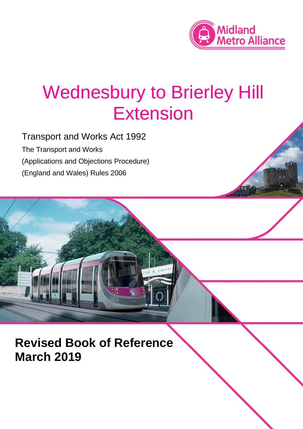

# Wednesbury to Brierley Hill Extension

Transport and Works Act 1992 The Transport and Works (Applications and Objections Procedure) (England and Wales) Rules 2006

**Revised Book of Reference March 2019**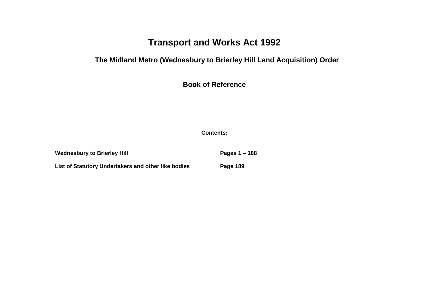## **Transport and Works Act 1992**

#### **The Midland Metro (Wednesbury to Brierley Hill Land Acquisition) Order**

**Book of Reference**

**Contents:**

Wednesbury to Brierley Hill **Pages 1 – 188 List of Statutory Undertakers and other like bodies Page 189**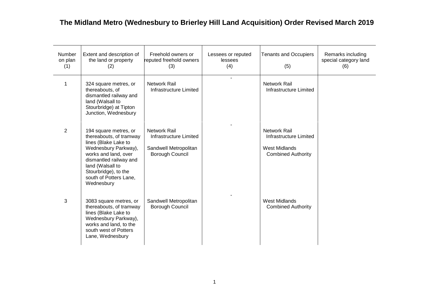| Number<br>on plan<br>(1) | Extent and description of<br>the land or property<br>(2)                                                                                                                                                                               | Freehold owners or<br>reputed freehold owners<br>(3)                               | Lessees or reputed<br>lessees<br>(4) | <b>Tenants and Occupiers</b><br>(5)                                                                | Remarks including<br>special category land<br>(6) |
|--------------------------|----------------------------------------------------------------------------------------------------------------------------------------------------------------------------------------------------------------------------------------|------------------------------------------------------------------------------------|--------------------------------------|----------------------------------------------------------------------------------------------------|---------------------------------------------------|
| 1                        | 324 square metres, or<br>thereabouts, of<br>dismantled railway and<br>land (Walsall to<br>Stourbridge) at Tipton<br>Junction, Wednesbury                                                                                               | <b>Network Rail</b><br>Infrastructure Limited                                      |                                      | <b>Network Rail</b><br>Infrastructure Limited                                                      |                                                   |
| $\overline{2}$           | 194 square metres, or<br>thereabouts, of tramway<br>lines (Blake Lake to<br>Wednesbury Parkway),<br>works and land, over<br>dismantled railway and<br>land (Walsall to<br>Stourbridge), to the<br>south of Potters Lane,<br>Wednesbury | Network Rail<br>Infrastructure Limited<br>Sandwell Metropolitan<br>Borough Council |                                      | <b>Network Rail</b><br>Infrastructure Limited<br><b>West Midlands</b><br><b>Combined Authority</b> |                                                   |
| 3                        | 3083 square metres, or<br>thereabouts, of tramway<br>lines (Blake Lake to<br>Wednesbury Parkway),<br>works and land, to the<br>south west of Potters<br>Lane, Wednesbury                                                               | Sandwell Metropolitan<br>Borough Council                                           |                                      | <b>West Midlands</b><br><b>Combined Authority</b>                                                  |                                                   |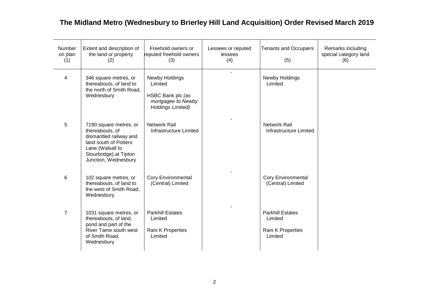| Number<br>on plan<br>(1) | Extent and description of<br>the land or property<br>(2)                                                                                                           | Freehold owners or<br>reputed freehold owners<br>(3)                                             | Lessees or reputed<br>lessees<br>(4) | <b>Tenants and Occupiers</b><br>(5)                                | Remarks including<br>special category land<br>(6) |
|--------------------------|--------------------------------------------------------------------------------------------------------------------------------------------------------------------|--------------------------------------------------------------------------------------------------|--------------------------------------|--------------------------------------------------------------------|---------------------------------------------------|
| 4                        | 346 square metres, or<br>thereabouts, of land to<br>the north of Smith Road,<br>Wednesbury                                                                         | Newby Holdings<br>Limited<br>HSBC Bank plc (as<br>mortgagee to Newby<br><b>Holdings Limited)</b> |                                      | Newby Holdings<br>Limited                                          |                                                   |
| 5                        | 7190 square metres, or<br>thereabouts, of<br>dismantled railway and<br>land south of Potters<br>Lane (Walsall to<br>Stourbridge) at Tipton<br>Junction, Wednesbury | Network Rail<br>Infrastructure Limited                                                           |                                      | <b>Network Rail</b><br>Infrastructure Limited                      |                                                   |
| 6                        | 102 square metres, or<br>thereabouts, of land to<br>the west of Smith Road,<br>Wednesbury                                                                          | <b>Cory Environmental</b><br>(Central) Limited                                                   |                                      | <b>Cory Environmental</b><br>(Central) Limited                     |                                                   |
| $\overline{7}$           | 1031 square metres, or<br>thereabouts, of land,<br>pond and part of the<br>River Tame south west<br>of Smith Road,<br>Wednesbury                                   | <b>Parkhill Estates</b><br>Limited<br>Rani K Properties<br>Limited                               |                                      | <b>Parkhill Estates</b><br>Limited<br>Rani K Properties<br>Limited |                                                   |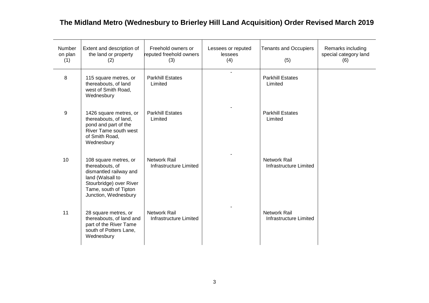| Number<br>on plan<br>(1) | Extent and description of<br>the land or property<br>(2)                                                                                                           | Freehold owners or<br>reputed freehold owners<br>(3) | Lessees or reputed<br>lessees<br>(4) | <b>Tenants and Occupiers</b><br>(5)           | Remarks including<br>special category land<br>(6) |
|--------------------------|--------------------------------------------------------------------------------------------------------------------------------------------------------------------|------------------------------------------------------|--------------------------------------|-----------------------------------------------|---------------------------------------------------|
| 8                        | 115 square metres, or<br>thereabouts, of land<br>west of Smith Road,<br>Wednesbury                                                                                 | <b>Parkhill Estates</b><br>Limited                   |                                      | <b>Parkhill Estates</b><br>Limited            |                                                   |
| 9                        | 1426 square metres, or<br>thereabouts, of land,<br>pond and part of the<br>River Tame south west<br>of Smith Road,<br>Wednesbury                                   | <b>Parkhill Estates</b><br>Limited                   |                                      | <b>Parkhill Estates</b><br>Limited            |                                                   |
| 10                       | 108 square metres, or<br>thereabouts, of<br>dismantled railway and<br>land (Walsall to<br>Stourbridge) over River<br>Tame, south of Tipton<br>Junction, Wednesbury | <b>Network Rail</b><br>Infrastructure Limited        |                                      | <b>Network Rail</b><br>Infrastructure Limited |                                                   |
| 11                       | 28 square metres, or<br>thereabouts, of land and<br>part of the River Tame<br>south of Potters Lane,<br>Wednesbury                                                 | <b>Network Rail</b><br>Infrastructure Limited        |                                      | <b>Network Rail</b><br>Infrastructure Limited |                                                   |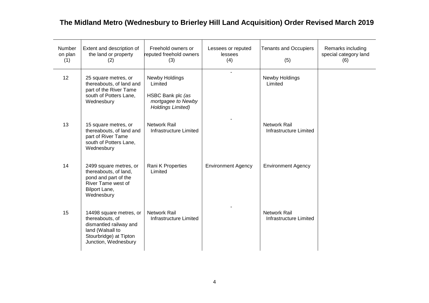| Number<br>on plan<br>(1) | Extent and description of<br>the land or property<br>(2)                                                                                   | Freehold owners or<br>reputed freehold owners<br>(3)                                             | Lessees or reputed<br>lessees<br>(4) | <b>Tenants and Occupiers</b><br>(5)           | Remarks including<br>special category land<br>(6) |
|--------------------------|--------------------------------------------------------------------------------------------------------------------------------------------|--------------------------------------------------------------------------------------------------|--------------------------------------|-----------------------------------------------|---------------------------------------------------|
| 12                       | 25 square metres, or<br>thereabouts, of land and<br>part of the River Tame<br>south of Potters Lane,<br>Wednesbury                         | Newby Holdings<br>Limited<br>HSBC Bank plc (as<br>mortgagee to Newby<br><b>Holdings Limited)</b> |                                      | Newby Holdings<br>Limited                     |                                                   |
| 13                       | 15 square metres, or<br>thereabouts, of land and<br>part of River Tame<br>south of Potters Lane,<br>Wednesbury                             | <b>Network Rail</b><br>Infrastructure Limited                                                    |                                      | <b>Network Rail</b><br>Infrastructure Limited |                                                   |
| 14                       | 2499 square metres, or<br>thereabouts, of land,<br>pond and part of the<br>River Tame west of<br>Bilport Lane,<br>Wednesbury               | Rani K Properties<br>Limited                                                                     | <b>Environment Agency</b>            | <b>Environment Agency</b>                     |                                                   |
| 15                       | 14498 square metres, or<br>thereabouts, of<br>dismantled railway and<br>land (Walsall to<br>Stourbridge) at Tipton<br>Junction, Wednesbury | <b>Network Rail</b><br>Infrastructure Limited                                                    |                                      | <b>Network Rail</b><br>Infrastructure Limited |                                                   |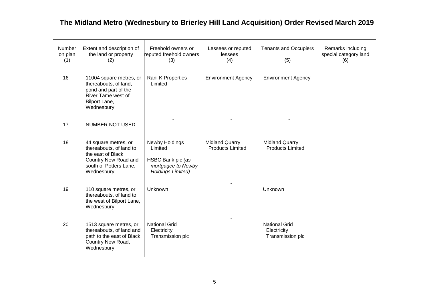| Number<br>on plan<br>(1) | Extent and description of<br>the land or property<br>(2)                                                                             | Freehold owners or<br>reputed freehold owners<br>(3)                                             | Lessees or reputed<br>lessees<br>(4)             | <b>Tenants and Occupiers</b><br>(5)                     | Remarks including<br>special category land<br>(6) |
|--------------------------|--------------------------------------------------------------------------------------------------------------------------------------|--------------------------------------------------------------------------------------------------|--------------------------------------------------|---------------------------------------------------------|---------------------------------------------------|
| 16                       | 11004 square metres, or<br>thereabouts, of land,<br>pond and part of the<br>River Tame west of<br>Bilport Lane,<br>Wednesbury        | Rani K Properties<br>Limited                                                                     | <b>Environment Agency</b>                        | <b>Environment Agency</b>                               |                                                   |
| 17                       | <b>NUMBER NOT USED</b>                                                                                                               |                                                                                                  |                                                  |                                                         |                                                   |
| 18                       | 44 square metres, or<br>thereabouts, of land to<br>the east of Black<br>Country New Road and<br>south of Potters Lane,<br>Wednesbury | Newby Holdings<br>Limited<br>HSBC Bank plc (as<br>mortgagee to Newby<br><b>Holdings Limited)</b> | <b>Midland Quarry</b><br><b>Products Limited</b> | <b>Midland Quarry</b><br><b>Products Limited</b>        |                                                   |
| 19                       | 110 square metres, or<br>thereabouts, of land to<br>the west of Bilport Lane,<br>Wednesbury                                          | Unknown                                                                                          |                                                  | Unknown                                                 |                                                   |
| 20                       | 1513 square metres, or<br>thereabouts, of land and<br>path to the east of Black<br>Country New Road,<br>Wednesbury                   | <b>National Grid</b><br>Electricity<br>Transmission plc                                          |                                                  | <b>National Grid</b><br>Electricity<br>Transmission plc |                                                   |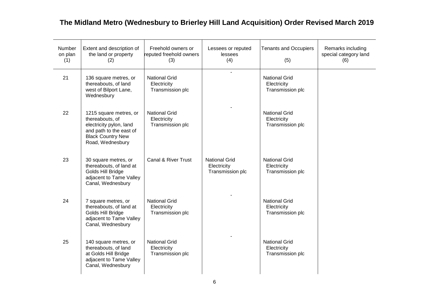| Number<br>on plan<br>(1) | Extent and description of<br>the land or property<br>(2)                                                                                        | Freehold owners or<br>reputed freehold owners<br>(3)    | Lessees or reputed<br>lessees<br>(4)                    | <b>Tenants and Occupiers</b><br>(5)                     | Remarks including<br>special category land<br>(6) |
|--------------------------|-------------------------------------------------------------------------------------------------------------------------------------------------|---------------------------------------------------------|---------------------------------------------------------|---------------------------------------------------------|---------------------------------------------------|
| 21                       | 136 square metres, or<br>thereabouts, of land<br>west of Bilport Lane,<br>Wednesbury                                                            | <b>National Grid</b><br>Electricity<br>Transmission plc | $\overline{a}$                                          | <b>National Grid</b><br>Electricity<br>Transmission plc |                                                   |
| 22                       | 1215 square metres, or<br>thereabouts, of<br>electricity pylon, land<br>and path to the east of<br><b>Black Country New</b><br>Road, Wednesbury | <b>National Grid</b><br>Electricity<br>Transmission plc |                                                         | <b>National Grid</b><br>Electricity<br>Transmission plc |                                                   |
| 23                       | 30 square metres, or<br>thereabouts, of land at<br>Golds Hill Bridge<br>adjacent to Tame Valley<br>Canal, Wednesbury                            | <b>Canal &amp; River Trust</b>                          | <b>National Grid</b><br>Electricity<br>Transmission plc | <b>National Grid</b><br>Electricity<br>Transmission plc |                                                   |
| 24                       | 7 square metres, or<br>thereabouts, of land at<br>Golds Hill Bridge<br>adjacent to Tame Valley<br>Canal, Wednesbury                             | <b>National Grid</b><br>Electricity<br>Transmission plc |                                                         | <b>National Grid</b><br>Electricity<br>Transmission plc |                                                   |
| 25                       | 140 square metres, or<br>thereabouts, of land<br>at Golds Hill Bridge<br>adjacent to Tame Valley<br>Canal, Wednesbury                           | <b>National Grid</b><br>Electricity<br>Transmission plc |                                                         | <b>National Grid</b><br>Electricity<br>Transmission plc |                                                   |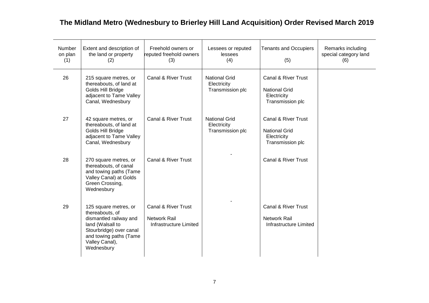| Number<br>on plan<br>(1) | Extent and description of<br>the land or property<br>(2)                                                                                                                    | Freehold owners or<br>reputed freehold owners<br>(3)                            | Lessees or reputed<br>lessees<br>(4)                    | <b>Tenants and Occupiers</b><br>(5)                                            | Remarks including<br>special category land<br>(6) |
|--------------------------|-----------------------------------------------------------------------------------------------------------------------------------------------------------------------------|---------------------------------------------------------------------------------|---------------------------------------------------------|--------------------------------------------------------------------------------|---------------------------------------------------|
| 26                       | 215 square metres, or<br>thereabouts, of land at<br>Golds Hill Bridge<br>adjacent to Tame Valley<br>Canal, Wednesbury                                                       | <b>Canal &amp; River Trust</b>                                                  | <b>National Grid</b><br>Electricity<br>Transmission plc | Canal & River Trust<br><b>National Grid</b><br>Electricity<br>Transmission plc |                                                   |
| 27                       | 42 square metres, or<br>thereabouts, of land at<br>Golds Hill Bridge<br>adjacent to Tame Valley<br>Canal, Wednesbury                                                        | <b>Canal &amp; River Trust</b>                                                  | <b>National Grid</b><br>Electricity<br>Transmission plc | Canal & River Trust<br><b>National Grid</b><br>Electricity<br>Transmission plc |                                                   |
| 28                       | 270 square metres, or<br>thereabouts, of canal<br>and towing paths (Tame<br>Valley Canal) at Golds<br>Green Crossing,<br>Wednesbury                                         | Canal & River Trust                                                             |                                                         | Canal & River Trust                                                            |                                                   |
| 29                       | 125 square metres, or<br>thereabouts, of<br>dismantled railway and<br>land (Walsall to<br>Stourbridge) over canal<br>and towing paths (Tame<br>Valley Canal),<br>Wednesbury | <b>Canal &amp; River Trust</b><br><b>Network Rail</b><br>Infrastructure Limited |                                                         | Canal & River Trust<br><b>Network Rail</b><br>Infrastructure Limited           |                                                   |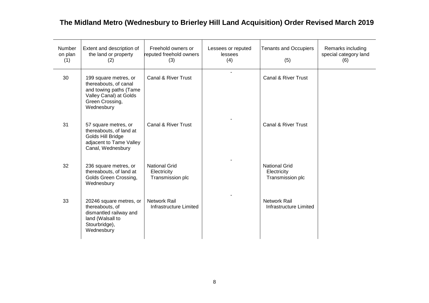| Number<br>on plan<br>(1) | Extent and description of<br>the land or property<br>(2)                                                                            | Freehold owners or<br>reputed freehold owners<br>(3)    | Lessees or reputed<br>lessees<br>(4) | <b>Tenants and Occupiers</b><br>(5)                     | Remarks including<br>special category land<br>(6) |
|--------------------------|-------------------------------------------------------------------------------------------------------------------------------------|---------------------------------------------------------|--------------------------------------|---------------------------------------------------------|---------------------------------------------------|
| 30                       | 199 square metres, or<br>thereabouts, of canal<br>and towing paths (Tame<br>Valley Canal) at Golds<br>Green Crossing,<br>Wednesbury | Canal & River Trust                                     |                                      | Canal & River Trust                                     |                                                   |
| 31                       | 57 square metres, or<br>thereabouts, of land at<br>Golds Hill Bridge<br>adjacent to Tame Valley<br>Canal, Wednesbury                | <b>Canal &amp; River Trust</b>                          |                                      | <b>Canal &amp; River Trust</b>                          |                                                   |
| 32                       | 236 square metres, or<br>thereabouts, of land at<br>Golds Green Crossing,<br>Wednesbury                                             | <b>National Grid</b><br>Electricity<br>Transmission plc |                                      | <b>National Grid</b><br>Electricity<br>Transmission plc |                                                   |
| 33                       | 20246 square metres, or<br>thereabouts, of<br>dismantled railway and<br>land (Walsall to<br>Stourbridge),<br>Wednesbury             | <b>Network Rail</b><br>Infrastructure Limited           |                                      | <b>Network Rail</b><br>Infrastructure Limited           |                                                   |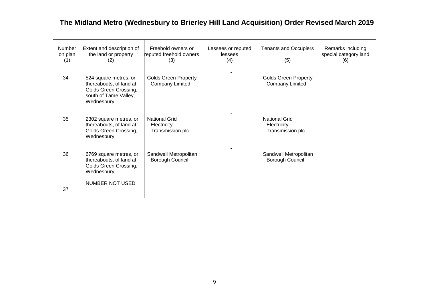| Number<br>on plan<br>(1) | Extent and description of<br>the land or property<br>(2)                                                         | Freehold owners or<br>reputed freehold owners<br>(3)    | Lessees or reputed<br><b>lessees</b><br>(4) | <b>Tenants and Occupiers</b><br>(5)                     | Remarks including<br>special category land<br>(6) |
|--------------------------|------------------------------------------------------------------------------------------------------------------|---------------------------------------------------------|---------------------------------------------|---------------------------------------------------------|---------------------------------------------------|
| 34                       | 524 square metres, or<br>thereabouts, of land at<br>Golds Green Crossing,<br>south of Tame Valley,<br>Wednesbury | <b>Golds Green Property</b><br><b>Company Limited</b>   |                                             | <b>Golds Green Property</b><br><b>Company Limited</b>   |                                                   |
| 35                       | 2302 square metres, or<br>thereabouts, of land at<br>Golds Green Crossing,<br>Wednesbury                         | <b>National Grid</b><br>Electricity<br>Transmission plc |                                             | <b>National Grid</b><br>Electricity<br>Transmission plc |                                                   |
| 36                       | 6769 square metres, or<br>thereabouts, of land at<br>Golds Green Crossing,<br>Wednesbury                         | Sandwell Metropolitan<br><b>Borough Council</b>         |                                             | Sandwell Metropolitan<br>Borough Council                |                                                   |
| 37                       | <b>NUMBER NOT USED</b>                                                                                           |                                                         |                                             |                                                         |                                                   |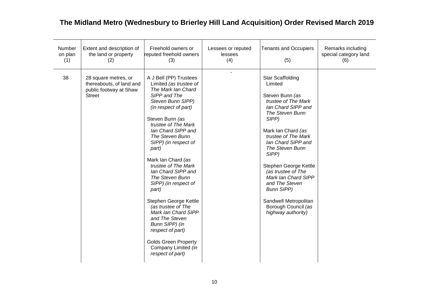| <b>Number</b><br>on plan<br>(1) | Extent and description of<br>the land or property<br>(2)                                    | Freehold owners or<br>reputed freehold owners<br>(3)                                                                                                                                                                                                                                                                                                                                                                                                                                                                                                                                   | Lessees or reputed<br>lessees<br>(4) | <b>Tenants and Occupiers</b><br>(5)                                                                                                                                                                                                                                                                                                                                                                              | Remarks including<br>special category land<br>(6) |
|---------------------------------|---------------------------------------------------------------------------------------------|----------------------------------------------------------------------------------------------------------------------------------------------------------------------------------------------------------------------------------------------------------------------------------------------------------------------------------------------------------------------------------------------------------------------------------------------------------------------------------------------------------------------------------------------------------------------------------------|--------------------------------------|------------------------------------------------------------------------------------------------------------------------------------------------------------------------------------------------------------------------------------------------------------------------------------------------------------------------------------------------------------------------------------------------------------------|---------------------------------------------------|
| 38                              | 28 square metres, or<br>thereabouts, of land and<br>public footway at Shaw<br><b>Street</b> | A J Bell (PP) Trustees<br>Limited (as trustee of<br>The Mark lan Chard<br>SIPP and The<br>Steven Bunn SIPP)<br>(in respect of part)<br>Steven Bunn (as<br>trustee of The Mark<br>lan Chard SIPP and<br>The Steven Bunn<br>SIPP) (in respect of<br>part)<br>Mark Ian Chard (as<br>trustee of The Mark<br>lan Chard SIPP and<br>The Steven Bunn<br>SIPP) (in respect of<br>part)<br>Stephen George Kettle<br>(as trustee of The<br>Mark lan Chard SIPP<br>and The Steven<br>Bunn SIPP) (in<br>respect of part)<br><b>Golds Green Property</b><br>Company Limited (in<br>respect of part) |                                      | <b>Star Scaffolding</b><br>Limited<br>Steven Bunn (as<br>trustee of The Mark<br>lan Chard SIPP and<br>The Steven Bunn<br>SIPP)<br>Mark Ian Chard (as<br>trustee of The Mark<br>lan Chard SIPP and<br>The Steven Bunn<br>SIPP)<br>Stephen George Kettle<br>(as trustee of The<br>Mark Ian Chard SIPP<br>and The Steven<br><b>Bunn SIPP)</b><br>Sandwell Metropolitan<br>Borough Council (as<br>highway authority) |                                                   |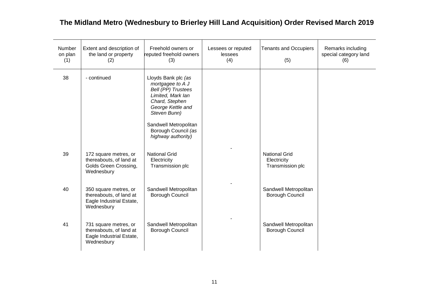| <b>Number</b><br>on plan<br>(1) | Extent and description of<br>the land or property<br>(2)                                   | Freehold owners or<br>reputed freehold owners<br>(3)                                                                                                                                                            | Lessees or reputed<br>lessees<br>(4) | <b>Tenants and Occupiers</b><br>(5)                     | Remarks including<br>special category land<br>(6) |
|---------------------------------|--------------------------------------------------------------------------------------------|-----------------------------------------------------------------------------------------------------------------------------------------------------------------------------------------------------------------|--------------------------------------|---------------------------------------------------------|---------------------------------------------------|
| 38                              | - continued                                                                                | Lloyds Bank plc (as<br>mortgagee to A J<br>Bell (PP) Trustees<br>Limited, Mark lan<br>Chard, Stephen<br>George Kettle and<br>Steven Bunn)<br>Sandwell Metropolitan<br>Borough Council (as<br>highway authority) |                                      |                                                         |                                                   |
| 39                              | 172 square metres, or<br>thereabouts, of land at<br>Golds Green Crossing,<br>Wednesbury    | <b>National Grid</b><br>Electricity<br>Transmission plc                                                                                                                                                         |                                      | <b>National Grid</b><br>Electricity<br>Transmission plc |                                                   |
| 40                              | 350 square metres, or<br>thereabouts, of land at<br>Eagle Industrial Estate,<br>Wednesbury | Sandwell Metropolitan<br>Borough Council                                                                                                                                                                        |                                      | Sandwell Metropolitan<br>Borough Council                |                                                   |
| 41                              | 731 square metres, or<br>thereabouts, of land at<br>Eagle Industrial Estate,<br>Wednesbury | Sandwell Metropolitan<br>Borough Council                                                                                                                                                                        |                                      | Sandwell Metropolitan<br>Borough Council                |                                                   |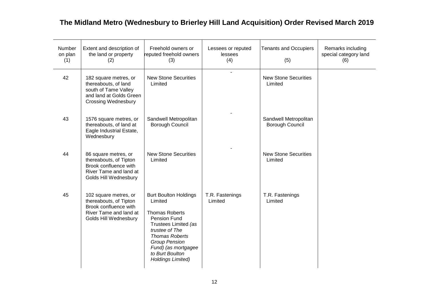| Number<br>on plan<br>(1) | Extent and description of<br>the land or property<br>(2)                                                                       | Freehold owners or<br>reputed freehold owners<br>(3)                                                                                                                                                                                              | Lessees or reputed<br>lessees<br>(4) | <b>Tenants and Occupiers</b><br>(5)      | Remarks including<br>special category land<br>(6) |
|--------------------------|--------------------------------------------------------------------------------------------------------------------------------|---------------------------------------------------------------------------------------------------------------------------------------------------------------------------------------------------------------------------------------------------|--------------------------------------|------------------------------------------|---------------------------------------------------|
| 42                       | 182 square metres, or<br>thereabouts, of land<br>south of Tame Valley<br>and land at Golds Green<br><b>Crossing Wednesbury</b> | <b>New Stone Securities</b><br>Limited                                                                                                                                                                                                            | $\overline{a}$                       | <b>New Stone Securities</b><br>Limited   |                                                   |
| 43                       | 1576 square metres, or<br>thereabouts, of land at<br>Eagle Industrial Estate,<br>Wednesbury                                    | Sandwell Metropolitan<br>Borough Council                                                                                                                                                                                                          |                                      | Sandwell Metropolitan<br>Borough Council |                                                   |
| 44                       | 86 square metres, or<br>thereabouts, of Tipton<br>Brook confluence with<br>River Tame and land at<br>Golds Hill Wednesbury     | <b>New Stone Securities</b><br>Limited                                                                                                                                                                                                            |                                      | <b>New Stone Securities</b><br>Limited   |                                                   |
| 45                       | 102 square metres, or<br>thereabouts, of Tipton<br>Brook confluence with<br>River Tame and land at<br>Golds Hill Wednesbury    | <b>Burt Boulton Holdings</b><br>Limited<br><b>Thomas Roberts</b><br>Pension Fund<br>Trustees Limited (as<br>trustee of The<br><b>Thomas Roberts</b><br><b>Group Pension</b><br>Fund) (as mortgagee<br>to Burt Boulton<br><b>Holdings Limited)</b> | T.R. Fastenings<br>Limited           | T.R. Fastenings<br>Limited               |                                                   |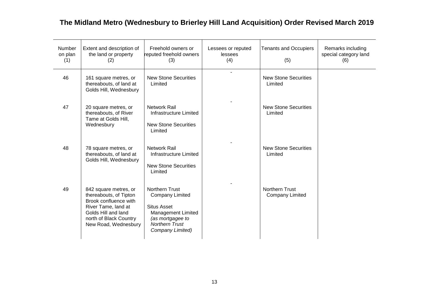| Number<br>on plan<br>(1) | Extent and description of<br>the land or property<br>(2)                                                                                                                 | Freehold owners or<br>reputed freehold owners<br>(3)                                                                                                                | Lessees or reputed<br>lessees<br>(4) | <b>Tenants and Occupiers</b><br>(5)             | Remarks including<br>special category land<br>(6) |
|--------------------------|--------------------------------------------------------------------------------------------------------------------------------------------------------------------------|---------------------------------------------------------------------------------------------------------------------------------------------------------------------|--------------------------------------|-------------------------------------------------|---------------------------------------------------|
| 46                       | 161 square metres, or<br>thereabouts, of land at<br>Golds Hill, Wednesbury                                                                                               | <b>New Stone Securities</b><br>Limited                                                                                                                              |                                      | <b>New Stone Securities</b><br>Limited          |                                                   |
| 47                       | 20 square metres, or<br>thereabouts, of River<br>Tame at Golds Hill,<br>Wednesbury                                                                                       | <b>Network Rail</b><br>Infrastructure Limited<br><b>New Stone Securities</b><br>Limited                                                                             |                                      | <b>New Stone Securities</b><br>Limited          |                                                   |
| 48                       | 78 square metres, or<br>thereabouts, of land at<br>Golds Hill, Wednesbury                                                                                                | <b>Network Rail</b><br><b>Infrastructure Limited</b><br><b>New Stone Securities</b><br>Limited                                                                      |                                      | <b>New Stone Securities</b><br>Limited          |                                                   |
| 49                       | 842 square metres, or<br>thereabouts, of Tipton<br>Brook confluence with<br>River Tame, land at<br>Golds Hill and land<br>north of Black Country<br>New Road, Wednesbury | <b>Northern Trust</b><br><b>Company Limited</b><br><b>Situs Asset</b><br><b>Management Limited</b><br>(as mortgagee to<br><b>Northern Trust</b><br>Company Limited) |                                      | <b>Northern Trust</b><br><b>Company Limited</b> |                                                   |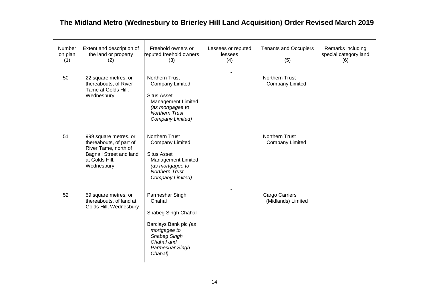| Number<br>on plan<br>(1) | Extent and description of<br>the land or property<br>(2)                                                                                   | Freehold owners or<br>reputed freehold owners<br>(3)                                                                                                                | Lessees or reputed<br>lessees<br>(4) | <b>Tenants and Occupiers</b><br>(5)             | Remarks including<br>special category land<br>(6) |
|--------------------------|--------------------------------------------------------------------------------------------------------------------------------------------|---------------------------------------------------------------------------------------------------------------------------------------------------------------------|--------------------------------------|-------------------------------------------------|---------------------------------------------------|
| 50                       | 22 square metres, or<br>thereabouts, of River<br>Tame at Golds Hill,<br>Wednesbury                                                         | <b>Northern Trust</b><br><b>Company Limited</b><br><b>Situs Asset</b><br><b>Management Limited</b><br>(as mortgagee to<br><b>Northern Trust</b><br>Company Limited) |                                      | <b>Northern Trust</b><br><b>Company Limited</b> |                                                   |
| 51                       | 999 square metres, or<br>thereabouts, of part of<br>River Tame, north of<br><b>Bagnall Street and land</b><br>at Golds Hill,<br>Wednesbury | Northern Trust<br><b>Company Limited</b><br><b>Situs Asset</b><br><b>Management Limited</b><br>(as mortgagee to<br><b>Northern Trust</b><br>Company Limited)        |                                      | Northern Trust<br><b>Company Limited</b>        |                                                   |
| 52                       | 59 square metres, or<br>thereabouts, of land at<br>Golds Hill, Wednesbury                                                                  | Parmeshar Singh<br>Chahal<br>Shabeg Singh Chahal<br>Barclays Bank plc (as<br>mortgagee to<br>Shabeg Singh<br>Chahal and<br>Parmeshar Singh<br>Chahal)               |                                      | Cargo Carriers<br>(Midlands) Limited            |                                                   |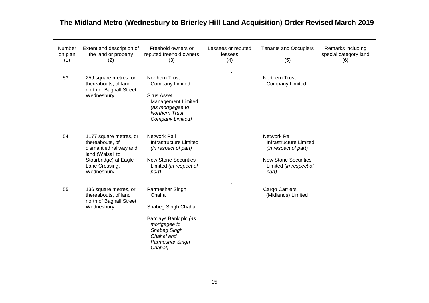| Number<br>on plan<br>(1) | Extent and description of<br>the land or property<br>(2)                                                                                         | Freehold owners or<br>reputed freehold owners<br>(3)                                                                                                  | Lessees or reputed<br>lessees<br>(4) | <b>Tenants and Occupiers</b><br>(5)                                                                                                     | Remarks including<br>special category land<br>(6) |
|--------------------------|--------------------------------------------------------------------------------------------------------------------------------------------------|-------------------------------------------------------------------------------------------------------------------------------------------------------|--------------------------------------|-----------------------------------------------------------------------------------------------------------------------------------------|---------------------------------------------------|
| 53                       | 259 square metres, or<br>thereabouts, of land<br>north of Bagnall Street,<br>Wednesbury                                                          | Northern Trust<br><b>Company Limited</b><br><b>Situs Asset</b><br><b>Management Limited</b><br>(as mortgagee to<br>Northern Trust<br>Company Limited) |                                      | Northern Trust<br><b>Company Limited</b>                                                                                                |                                                   |
| 54                       | 1177 square metres, or<br>thereabouts, of<br>dismantled railway and<br>land (Walsall to<br>Stourbridge) at Eagle<br>Lane Crossing,<br>Wednesbury | <b>Network Rail</b><br><b>Infrastructure Limited</b><br>(in respect of part)<br><b>New Stone Securities</b><br>Limited (in respect of<br>part)        |                                      | <b>Network Rail</b><br>Infrastructure Limited<br>(in respect of part)<br><b>New Stone Securities</b><br>Limited (in respect of<br>part) |                                                   |
| 55                       | 136 square metres, or<br>thereabouts, of land<br>north of Bagnall Street,<br>Wednesbury                                                          | Parmeshar Singh<br>Chahal<br>Shabeg Singh Chahal<br>Barclays Bank plc (as<br>mortgagee to<br>Shabeg Singh<br>Chahal and<br>Parmeshar Singh<br>Chahal) |                                      | Cargo Carriers<br>(Midlands) Limited                                                                                                    |                                                   |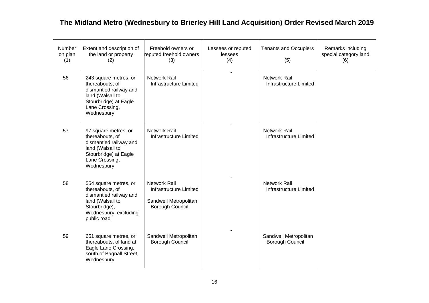| Number<br>on plan<br>(1) | Extent and description of<br>the land or property<br>(2)                                                                                        | Freehold owners or<br>reputed freehold owners<br>(3)                                      | Lessees or reputed<br>lessees<br>(4) | <b>Tenants and Occupiers</b><br>(5)           | Remarks including<br>special category land<br>(6) |
|--------------------------|-------------------------------------------------------------------------------------------------------------------------------------------------|-------------------------------------------------------------------------------------------|--------------------------------------|-----------------------------------------------|---------------------------------------------------|
| 56                       | 243 square metres, or<br>thereabouts, of<br>dismantled railway and<br>land (Walsall to<br>Stourbridge) at Eagle<br>Lane Crossing,<br>Wednesbury | <b>Network Rail</b><br>Infrastructure Limited                                             | $\sim$                               | Network Rail<br>Infrastructure Limited        |                                                   |
| 57                       | 97 square metres, or<br>thereabouts, of<br>dismantled railway and<br>land (Walsall to<br>Stourbridge) at Eagle<br>Lane Crossing,<br>Wednesbury  | <b>Network Rail</b><br>Infrastructure Limited                                             |                                      | <b>Network Rail</b><br>Infrastructure Limited |                                                   |
| 58                       | 554 square metres, or<br>thereabouts, of<br>dismantled railway and<br>land (Walsall to<br>Stourbridge),<br>Wednesbury, excluding<br>public road | <b>Network Rail</b><br>Infrastructure Limited<br>Sandwell Metropolitan<br>Borough Council |                                      | <b>Network Rail</b><br>Infrastructure Limited |                                                   |
| 59                       | 651 square metres, or<br>thereabouts, of land at<br>Eagle Lane Crossing,<br>south of Bagnall Street,<br>Wednesbury                              | Sandwell Metropolitan<br>Borough Council                                                  |                                      | Sandwell Metropolitan<br>Borough Council      |                                                   |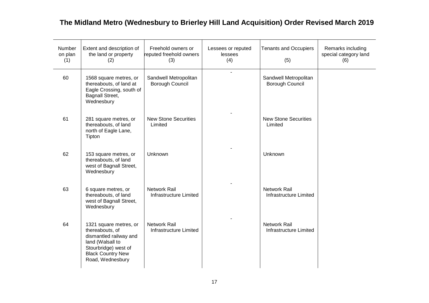| Number<br>on plan<br>(1) | Extent and description of<br>the land or property<br>(2)                                                                                                        | Freehold owners or<br>reputed freehold owners<br>(3) | Lessees or reputed<br>lessees<br>(4) | <b>Tenants and Occupiers</b><br>(5)           | Remarks including<br>special category land<br>(6) |
|--------------------------|-----------------------------------------------------------------------------------------------------------------------------------------------------------------|------------------------------------------------------|--------------------------------------|-----------------------------------------------|---------------------------------------------------|
| 60                       | 1568 square metres, or<br>thereabouts, of land at<br>Eagle Crossing, south of<br>Bagnall Street,<br>Wednesbury                                                  | Sandwell Metropolitan<br>Borough Council             | $\blacksquare$                       | Sandwell Metropolitan<br>Borough Council      |                                                   |
| 61                       | 281 square metres, or<br>thereabouts, of land<br>north of Eagle Lane,<br>Tipton                                                                                 | <b>New Stone Securities</b><br>Limited               |                                      | <b>New Stone Securities</b><br>Limited        |                                                   |
| 62                       | 153 square metres, or<br>thereabouts, of land<br>west of Bagnall Street,<br>Wednesbury                                                                          | Unknown                                              |                                      | Unknown                                       |                                                   |
| 63                       | 6 square metres, or<br>thereabouts, of land<br>west of Bagnall Street,<br>Wednesbury                                                                            | <b>Network Rail</b><br>Infrastructure Limited        |                                      | <b>Network Rail</b><br>Infrastructure Limited |                                                   |
| 64                       | 1321 square metres, or<br>thereabouts, of<br>dismantled railway and<br>land (Walsall to<br>Stourbridge) west of<br><b>Black Country New</b><br>Road, Wednesbury | <b>Network Rail</b><br>Infrastructure Limited        |                                      | Network Rail<br>Infrastructure Limited        |                                                   |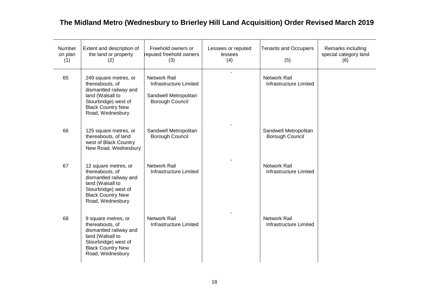| Number<br>on plan<br>(1) | Extent and description of<br>the land or property<br>(2)                                                                                                       | Freehold owners or<br>reputed freehold owners<br>(3)                                      | Lessees or reputed<br>lessees<br>(4) | <b>Tenants and Occupiers</b><br>(5)             | Remarks including<br>special category land<br>(6) |
|--------------------------|----------------------------------------------------------------------------------------------------------------------------------------------------------------|-------------------------------------------------------------------------------------------|--------------------------------------|-------------------------------------------------|---------------------------------------------------|
| 65                       | 249 square metres, or<br>thereabouts, of<br>dismantled railway and<br>land (Walsall to<br>Stourbridge) west of<br><b>Black Country New</b><br>Road, Wednesbury | <b>Network Rail</b><br>Infrastructure Limited<br>Sandwell Metropolitan<br>Borough Council |                                      | <b>Network Rail</b><br>Infrastructure Limited   |                                                   |
| 66                       | 125 square metres, or<br>thereabouts, of land<br>west of Black Country<br>New Road, Wednesbury                                                                 | Sandwell Metropolitan<br><b>Borough Council</b>                                           |                                      | Sandwell Metropolitan<br><b>Borough Council</b> |                                                   |
| 67                       | 12 square metres, or<br>thereabouts, of<br>dismantled railway and<br>land (Walsall to<br>Stourbridge) west of<br><b>Black Country New</b><br>Road, Wednesbury  | <b>Network Rail</b><br>Infrastructure Limited                                             |                                      | <b>Network Rail</b><br>Infrastructure Limited   |                                                   |
| 68                       | 9 square metres, or<br>thereabouts, of<br>dismantled railway and<br>land (Walsall to<br>Stourbridge) west of<br><b>Black Country New</b><br>Road, Wednesbury   | <b>Network Rail</b><br>Infrastructure Limited                                             |                                      | <b>Network Rail</b><br>Infrastructure Limited   |                                                   |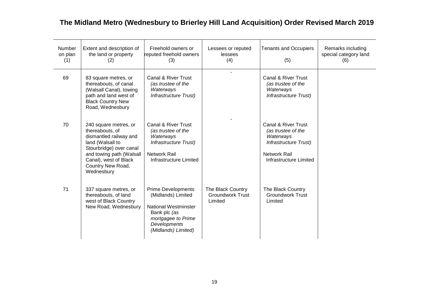| Number<br>on plan<br>(1) | Extent and description of<br>the land or property<br>(2)                                                                                                                                                  | Freehold owners or<br>reputed freehold owners<br>(3)                                                                                                        | Lessees or reputed<br>lessees<br>(4)                    | <b>Tenants and Occupiers</b><br>(5)                                                                                       | Remarks including<br>special category land<br>(6) |
|--------------------------|-----------------------------------------------------------------------------------------------------------------------------------------------------------------------------------------------------------|-------------------------------------------------------------------------------------------------------------------------------------------------------------|---------------------------------------------------------|---------------------------------------------------------------------------------------------------------------------------|---------------------------------------------------|
| 69                       | 83 square metres, or<br>thereabouts, of canal<br>(Walsall Canal), towing<br>path and land west of<br><b>Black Country New</b><br>Road, Wednesbury                                                         | Canal & River Trust<br>(as trustee of the<br>Waterways<br>Infrastructure Trust)                                                                             |                                                         | Canal & River Trust<br>(as trustee of the<br>Waterways<br>Infrastructure Trust)                                           |                                                   |
| 70                       | 240 square metres, or<br>thereabouts, of<br>dismantled railway and<br>land (Walsall to<br>Stourbridge) over canal<br>and towing path (Walsall<br>Canal), west of Black<br>Country New Road,<br>Wednesbury | Canal & River Trust<br>(as trustee of the<br>Waterways<br>Infrastructure Trust)<br>Network Rail<br>Infrastructure Limited                                   |                                                         | Canal & River Trust<br>(as trustee of the<br>Waterways<br>Infrastructure Trust)<br>Network Rail<br>Infrastructure Limited |                                                   |
| 71                       | 337 square metres, or<br>thereabouts, of land<br>west of Black Country<br>New Road, Wednesbury                                                                                                            | <b>Prime Developments</b><br>(Midlands) Limited<br><b>National Westminster</b><br>Bank plc (as<br>mortgagee to Prime<br>Developments<br>(Midlands) Limited) | The Black Country<br><b>Groundwork Trust</b><br>Limited | The Black Country<br><b>Groundwork Trust</b><br>Limited                                                                   |                                                   |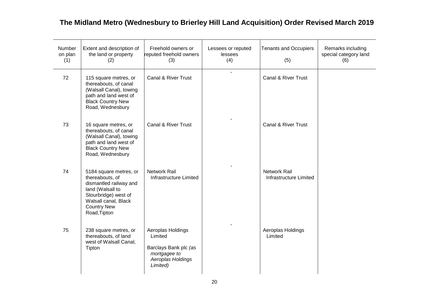| Number<br>on plan<br>(1) | Extent and description of<br>the land or property<br>(2)                                                                                                                      | Freehold owners or<br>reputed freehold owners<br>(3)                                                   | Lessees or reputed<br>lessees<br>(4) | <b>Tenants and Occupiers</b><br>(5)    | Remarks including<br>special category land<br>(6) |
|--------------------------|-------------------------------------------------------------------------------------------------------------------------------------------------------------------------------|--------------------------------------------------------------------------------------------------------|--------------------------------------|----------------------------------------|---------------------------------------------------|
| 72                       | 115 square metres, or<br>thereabouts, of canal<br>(Walsall Canal), towing<br>path and land west of<br><b>Black Country New</b><br>Road, Wednesbury                            | Canal & River Trust                                                                                    |                                      | Canal & River Trust                    |                                                   |
| 73                       | 16 square metres, or<br>thereabouts, of canal<br>(Walsall Canal), towing<br>path and land west of<br><b>Black Country New</b><br>Road, Wednesbury                             | Canal & River Trust                                                                                    |                                      | Canal & River Trust                    |                                                   |
| 74                       | 5184 square metres, or<br>thereabouts, of<br>dismantled railway and<br>land (Walsall to<br>Stourbridge) west of<br>Walsall canal, Black<br><b>Country New</b><br>Road, Tipton | Network Rail<br>Infrastructure Limited                                                                 |                                      | Network Rail<br>Infrastructure Limited |                                                   |
| 75                       | 238 square metres, or<br>thereabouts, of land<br>west of Walsall Canal,<br>Tipton                                                                                             | Aeroplas Holdings<br>Limited<br>Barclays Bank plc (as<br>mortgagee to<br>Aeroplas Holdings<br>Limited) |                                      | Aeroplas Holdings<br>Limited           |                                                   |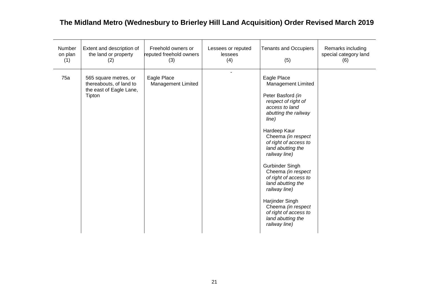| Number<br>on plan<br>(1) | Extent and description of<br>the land or property<br>(2)                              | Freehold owners or<br>reputed freehold owners<br>(3) | Lessees or reputed<br>lessees<br>(4) | <b>Tenants and Occupiers</b><br>(5)                                                                                                                                                                                                                                                                                                                                                                                                                   | Remarks including<br>special category land<br>(6) |
|--------------------------|---------------------------------------------------------------------------------------|------------------------------------------------------|--------------------------------------|-------------------------------------------------------------------------------------------------------------------------------------------------------------------------------------------------------------------------------------------------------------------------------------------------------------------------------------------------------------------------------------------------------------------------------------------------------|---------------------------------------------------|
| 75a                      | 565 square metres, or<br>thereabouts, of land to<br>the east of Eagle Lane,<br>Tipton | Eagle Place<br><b>Management Limited</b>             |                                      | Eagle Place<br>Management Limited<br>Peter Basford (in<br>respect of right of<br>access to land<br>abutting the railway<br>line)<br>Hardeep Kaur<br>Cheema (in respect<br>of right of access to<br>land abutting the<br>railway line)<br>Gurbinder Singh<br>Cheema (in respect<br>of right of access to<br>land abutting the<br>railway line)<br>Harjinder Singh<br>Cheema (in respect<br>of right of access to<br>land abutting the<br>railway line) |                                                   |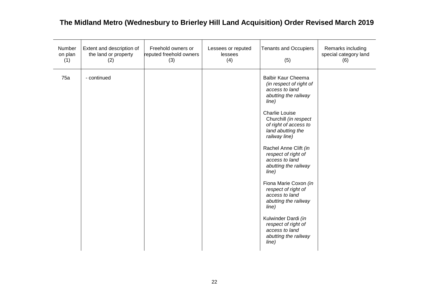| Number<br>on plan<br>(1) | Extent and description of<br>the land or property<br>(2) | Freehold owners or<br>reputed freehold owners<br>(3) | Lessees or reputed<br>lessees<br>(4) | <b>Tenants and Occupiers</b><br>(5)                                                                                                                                                                                                                                                                                                                                                                                                                                                                                             | Remarks including<br>special category land<br>(6) |
|--------------------------|----------------------------------------------------------|------------------------------------------------------|--------------------------------------|---------------------------------------------------------------------------------------------------------------------------------------------------------------------------------------------------------------------------------------------------------------------------------------------------------------------------------------------------------------------------------------------------------------------------------------------------------------------------------------------------------------------------------|---------------------------------------------------|
| 75a                      | - continued                                              |                                                      |                                      | <b>Balbir Kaur Cheema</b><br>(in respect of right of<br>access to land<br>abutting the railway<br>line)<br><b>Charlie Louise</b><br>Churchill (in respect<br>of right of access to<br>land abutting the<br>railway line)<br>Rachel Anne Clift (in<br>respect of right of<br>access to land<br>abutting the railway<br>line)<br>Fiona Marie Coxon (in<br>respect of right of<br>access to land<br>abutting the railway<br>line)<br>Kulwinder Dardi (in<br>respect of right of<br>access to land<br>abutting the railway<br>line) |                                                   |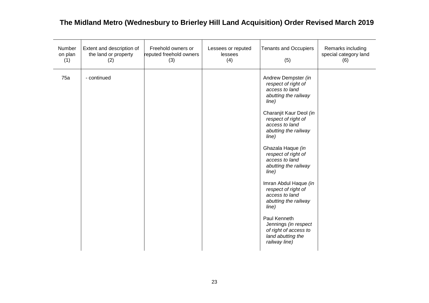| Number<br>on plan<br>(1) | Extent and description of<br>the land or property<br>(2) | Freehold owners or<br>reputed freehold owners<br>(3) | Lessees or reputed<br>lessees<br>(4) | <b>Tenants and Occupiers</b><br>(5)                                                                                                                                                                                                                                                                                                                                                                                                                                                                         | Remarks including<br>special category land<br>(6) |
|--------------------------|----------------------------------------------------------|------------------------------------------------------|--------------------------------------|-------------------------------------------------------------------------------------------------------------------------------------------------------------------------------------------------------------------------------------------------------------------------------------------------------------------------------------------------------------------------------------------------------------------------------------------------------------------------------------------------------------|---------------------------------------------------|
| 75a                      | - continued                                              |                                                      |                                      | Andrew Dempster (in<br>respect of right of<br>access to land<br>abutting the railway<br>line)<br>Charanjit Kaur Deol (in<br>respect of right of<br>access to land<br>abutting the railway<br>line)<br>Ghazala Haque (in<br>respect of right of<br>access to land<br>abutting the railway<br>line)<br>Imran Abdul Haque (in<br>respect of right of<br>access to land<br>abutting the railway<br>line)<br>Paul Kenneth<br>Jennings (in respect<br>of right of access to<br>land abutting the<br>railway line) |                                                   |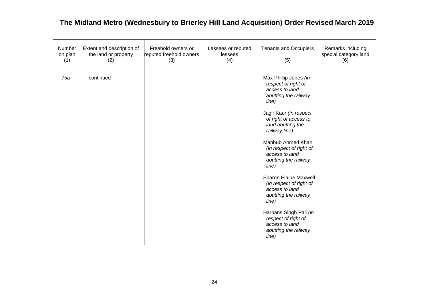| Number<br>on plan<br>(1) | Extent and description of<br>the land or property<br>(2) | Freehold owners or<br>reputed freehold owners<br>(3) | Lessees or reputed<br>lessees<br>(4) | <b>Tenants and Occupiers</b><br>(5)                                                                                                                                                                                                                                                                                                                                                                                                                                                                           | Remarks including<br>special category land<br>(6) |
|--------------------------|----------------------------------------------------------|------------------------------------------------------|--------------------------------------|---------------------------------------------------------------------------------------------------------------------------------------------------------------------------------------------------------------------------------------------------------------------------------------------------------------------------------------------------------------------------------------------------------------------------------------------------------------------------------------------------------------|---------------------------------------------------|
| 75a                      | - continued                                              |                                                      |                                      | Max Phillip Jones (in<br>respect of right of<br>access to land<br>abutting the railway<br>line)<br>Jagir Kaur (in respect<br>of right of access to<br>land abutting the<br>railway line)<br>Mahbub Ahmed Khan<br>(in respect of right of<br>access to land<br>abutting the railway<br>line)<br><b>Sharon Elaine Maxwell</b><br>(in respect of right of<br>access to land<br>abutting the railway<br>line)<br>Harbans Singh Pall (in<br>respect of right of<br>access to land<br>abutting the railway<br>line) |                                                   |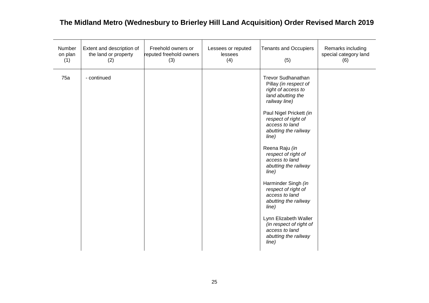| Number<br>on plan<br>(1) | Extent and description of<br>the land or property<br>(2) | Freehold owners or<br>reputed freehold owners<br>(3) | Lessees or reputed<br>lessees<br>(4) | <b>Tenants and Occupiers</b><br>(5)                                                                                                                                                                                                                                                                                                                                                                                                                                                                                     | Remarks including<br>special category land<br>(6) |
|--------------------------|----------------------------------------------------------|------------------------------------------------------|--------------------------------------|-------------------------------------------------------------------------------------------------------------------------------------------------------------------------------------------------------------------------------------------------------------------------------------------------------------------------------------------------------------------------------------------------------------------------------------------------------------------------------------------------------------------------|---------------------------------------------------|
| 75a                      | - continued                                              |                                                      |                                      | <b>Trevor Sudhanathan</b><br>Pillay (in respect of<br>right of access to<br>land abutting the<br>railway line)<br>Paul Nigel Prickett (in<br>respect of right of<br>access to land<br>abutting the railway<br>line)<br>Reena Raju (in<br>respect of right of<br>access to land<br>abutting the railway<br>line)<br>Harminder Singh (in<br>respect of right of<br>access to land<br>abutting the railway<br>line)<br>Lynn Elizabeth Waller<br>(in respect of right of<br>access to land<br>abutting the railway<br>line) |                                                   |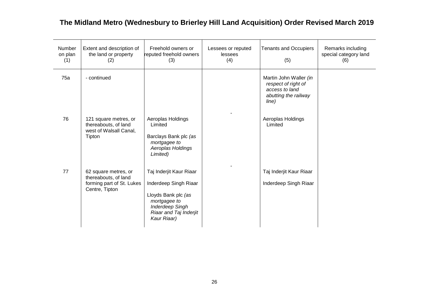| Number<br>on plan<br>(1) | Extent and description of<br>the land or property<br>(2)                                    | Freehold owners or<br>reputed freehold owners<br>(3)                                                                                                       | Lessees or reputed<br>lessees<br>(4) | <b>Tenants and Occupiers</b><br>(5)                                                              | Remarks including<br>special category land<br>(6) |
|--------------------------|---------------------------------------------------------------------------------------------|------------------------------------------------------------------------------------------------------------------------------------------------------------|--------------------------------------|--------------------------------------------------------------------------------------------------|---------------------------------------------------|
| 75a                      | - continued                                                                                 |                                                                                                                                                            |                                      | Martin John Waller (in<br>respect of right of<br>access to land<br>abutting the railway<br>line) |                                                   |
| 76                       | 121 square metres, or<br>thereabouts, of land<br>west of Walsall Canal,<br>Tipton           | Aeroplas Holdings<br>Limited<br>Barclays Bank plc (as<br>mortgagee to<br>Aeroplas Holdings<br>Limited)                                                     |                                      | Aeroplas Holdings<br>Limited                                                                     |                                                   |
| 77                       | 62 square metres, or<br>thereabouts, of land<br>forming part of St. Lukes<br>Centre, Tipton | Taj Inderjit Kaur Riaar<br>Inderdeep Singh Riaar<br>Lloyds Bank plc (as<br>mortgagee to<br><b>Inderdeep Singh</b><br>Riaar and Taj Inderjit<br>Kaur Riaar) |                                      | Taj Inderjit Kaur Riaar<br>Inderdeep Singh Riaar                                                 |                                                   |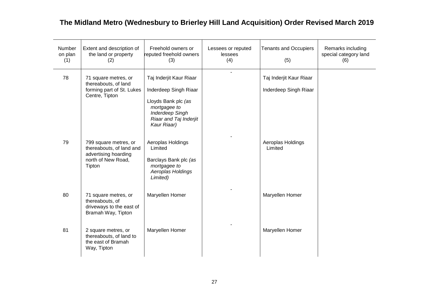| Number<br>on plan<br>(1) | Extent and description of<br>the land or property<br>(2)                                                  | Freehold owners or<br>reputed freehold owners<br>(3)                                                                                                       | Lessees or reputed<br>lessees<br>(4) | <b>Tenants and Occupiers</b><br>(5)              | Remarks including<br>special category land<br>(6) |
|--------------------------|-----------------------------------------------------------------------------------------------------------|------------------------------------------------------------------------------------------------------------------------------------------------------------|--------------------------------------|--------------------------------------------------|---------------------------------------------------|
| 78                       | 71 square metres, or<br>thereabouts, of land<br>forming part of St. Lukes<br>Centre, Tipton               | Taj Inderjit Kaur Riaar<br>Inderdeep Singh Riaar<br>Lloyds Bank plc (as<br>mortgagee to<br><b>Inderdeep Singh</b><br>Riaar and Taj Inderjit<br>Kaur Riaar) | $\blacksquare$                       | Taj Inderjit Kaur Riaar<br>Inderdeep Singh Riaar |                                                   |
| 79                       | 799 square metres, or<br>thereabouts, of land and<br>advertising hoarding<br>north of New Road,<br>Tipton | Aeroplas Holdings<br>Limited<br>Barclays Bank plc (as<br>mortgagee to<br>Aeroplas Holdings<br>Limited)                                                     |                                      | Aeroplas Holdings<br>Limited                     |                                                   |
| 80                       | 71 square metres, or<br>thereabouts, of<br>driveways to the east of<br>Bramah Way, Tipton                 | Maryellen Homer                                                                                                                                            |                                      | Maryellen Homer                                  |                                                   |
| 81                       | 2 square metres, or<br>thereabouts, of land to<br>the east of Bramah<br>Way, Tipton                       | Maryellen Homer                                                                                                                                            |                                      | Maryellen Homer                                  |                                                   |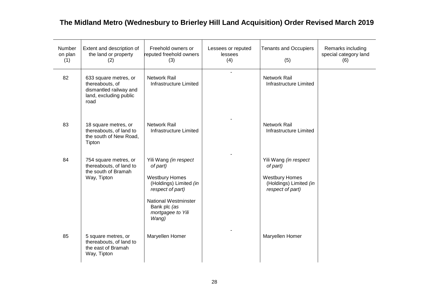| Number<br>on plan<br>(1) | Extent and description of<br>the land or property<br>(2)                                             | Freehold owners or<br>reputed freehold owners<br>(3)                                                                                                                                  | Lessees or reputed<br>lessees<br>(4) | <b>Tenants and Occupiers</b><br>(5)                                                                      | Remarks including<br>special category land<br>(6) |
|--------------------------|------------------------------------------------------------------------------------------------------|---------------------------------------------------------------------------------------------------------------------------------------------------------------------------------------|--------------------------------------|----------------------------------------------------------------------------------------------------------|---------------------------------------------------|
| 82                       | 633 square metres, or<br>thereabouts, of<br>dismantled railway and<br>land, excluding public<br>road | <b>Network Rail</b><br>Infrastructure Limited                                                                                                                                         | $\overline{a}$                       | Network Rail<br>Infrastructure Limited                                                                   |                                                   |
| 83                       | 18 square metres, or<br>thereabouts, of land to<br>the south of New Road,<br>Tipton                  | <b>Network Rail</b><br>Infrastructure Limited                                                                                                                                         |                                      | <b>Network Rail</b><br>Infrastructure Limited                                                            |                                                   |
| 84                       | 754 square metres, or<br>thereabouts, of land to<br>the south of Bramah<br>Way, Tipton               | Yili Wang (in respect<br>of part)<br><b>Westbury Homes</b><br>(Holdings) Limited (in<br>respect of part)<br><b>National Westminster</b><br>Bank plc (as<br>mortgagee to Yili<br>Wang) |                                      | Yili Wang (in respect<br>of part)<br><b>Westbury Homes</b><br>(Holdings) Limited (in<br>respect of part) |                                                   |
| 85                       | 5 square metres, or<br>thereabouts, of land to<br>the east of Bramah<br>Way, Tipton                  | Maryellen Homer                                                                                                                                                                       |                                      | Maryellen Homer                                                                                          |                                                   |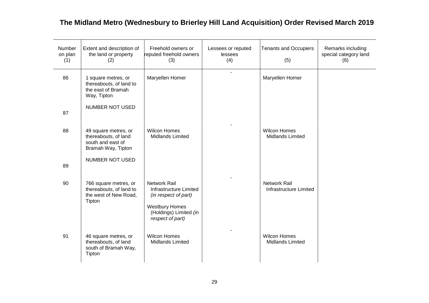| Number<br>on plan<br>(1) | Extent and description of<br>the land or property<br>(2)                                | Freehold owners or<br>reputed freehold owners<br>(3)                                                                                         | Lessees or reputed<br>lessees<br>(4) | <b>Tenants and Occupiers</b><br>(5)            | Remarks including<br>special category land<br>(6) |
|--------------------------|-----------------------------------------------------------------------------------------|----------------------------------------------------------------------------------------------------------------------------------------------|--------------------------------------|------------------------------------------------|---------------------------------------------------|
| 86                       | 1 square metres, or<br>thereabouts, of land to<br>the east of Bramah<br>Way, Tipton     | Maryellen Homer                                                                                                                              | ÷.                                   | Maryellen Homer                                |                                                   |
| 87                       | NUMBER NOT USED                                                                         |                                                                                                                                              |                                      |                                                |                                                   |
| 88                       | 49 square metres, or<br>thereabouts, of land<br>south and east of<br>Bramah Way, Tipton | <b>Wilcon Homes</b><br><b>Midlands Limited</b>                                                                                               |                                      | <b>Wilcon Homes</b><br>Midlands Limited        |                                                   |
| 89                       | NUMBER NOT USED                                                                         |                                                                                                                                              |                                      |                                                |                                                   |
| 90                       | 766 square metres, or<br>thereabouts, of land to<br>the west of New Road,<br>Tipton     | <b>Network Rail</b><br>Infrastructure Limited<br>(in respect of part)<br><b>Westbury Homes</b><br>(Holdings) Limited (in<br>respect of part) |                                      | <b>Network Rail</b><br>Infrastructure Limited  |                                                   |
| 91                       | 46 square metres, or<br>thereabouts, of land<br>south of Bramah Way,<br>Tipton          | <b>Wilcon Homes</b><br><b>Midlands Limited</b>                                                                                               |                                      | <b>Wilcon Homes</b><br><b>Midlands Limited</b> |                                                   |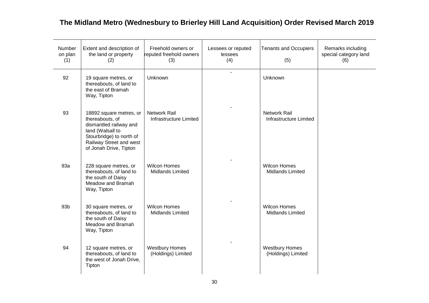| Number<br>on plan<br>(1) | Extent and description of<br>the land or property<br>(2)                                                                                                                  | Freehold owners or<br>reputed freehold owners<br>(3) | Lessees or reputed<br>lessees<br>(4) | <b>Tenants and Occupiers</b><br>(5)         | Remarks including<br>special category land<br>(6) |
|--------------------------|---------------------------------------------------------------------------------------------------------------------------------------------------------------------------|------------------------------------------------------|--------------------------------------|---------------------------------------------|---------------------------------------------------|
| 92                       | 19 square metres, or<br>thereabouts, of land to<br>the east of Bramah<br>Way, Tipton                                                                                      | Unknown                                              | $\sim$                               | Unknown                                     |                                                   |
| 93                       | 18892 square metres, or<br>thereabouts, of<br>dismantled railway and<br>land (Walsall to<br>Stourbridge) to north of<br>Railway Street and west<br>of Jonah Drive, Tipton | Network Rail<br>Infrastructure Limited               |                                      | Network Rail<br>Infrastructure Limited      |                                                   |
| 93a                      | 228 square metres, or<br>thereabouts, of land to<br>the south of Daisy<br>Meadow and Bramah<br>Way, Tipton                                                                | <b>Wilcon Homes</b><br>Midlands Limited              |                                      | <b>Wilcon Homes</b><br>Midlands Limited     |                                                   |
| 93 <sub>b</sub>          | 30 square metres, or<br>thereabouts, of land to<br>the south of Daisy<br>Meadow and Bramah<br>Way, Tipton                                                                 | <b>Wilcon Homes</b><br><b>Midlands Limited</b>       |                                      | <b>Wilcon Homes</b><br>Midlands Limited     |                                                   |
| 94                       | 12 square metres, or<br>thereabouts, of land to<br>the west of Jonah Drive,<br>Tipton                                                                                     | <b>Westbury Homes</b><br>(Holdings) Limited          |                                      | <b>Westbury Homes</b><br>(Holdings) Limited |                                                   |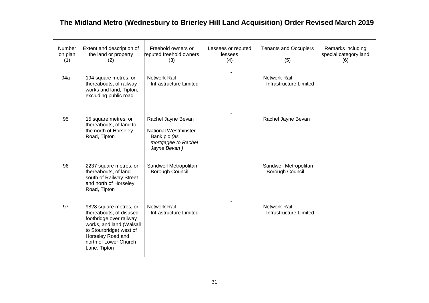| Number<br>on plan<br>(1) | Extent and description of<br>the land or property<br>(2)                                                                                                                                          | Freehold owners or<br>reputed freehold owners<br>(3)                                                     | Lessees or reputed<br>lessees<br>(4) | <b>Tenants and Occupiers</b><br>(5)           | Remarks including<br>special category land<br>(6) |
|--------------------------|---------------------------------------------------------------------------------------------------------------------------------------------------------------------------------------------------|----------------------------------------------------------------------------------------------------------|--------------------------------------|-----------------------------------------------|---------------------------------------------------|
| 94a                      | 194 square metres, or<br>thereabouts, of railway<br>works and land, Tipton,<br>excluding public road                                                                                              | Network Rail<br><b>Infrastructure Limited</b>                                                            |                                      | <b>Network Rail</b><br>Infrastructure Limited |                                                   |
| 95                       | 15 square metres, or<br>thereabouts, of land to<br>the north of Horseley<br>Road, Tipton                                                                                                          | Rachel Jayne Bevan<br><b>National Westminster</b><br>Bank plc (as<br>mortgagee to Rachel<br>Jayne Bevan) |                                      | Rachel Jayne Bevan                            |                                                   |
| 96                       | 2237 square metres, or<br>thereabouts, of land<br>south of Railway Street<br>and north of Horseley<br>Road, Tipton                                                                                | Sandwell Metropolitan<br>Borough Council                                                                 |                                      | Sandwell Metropolitan<br>Borough Council      |                                                   |
| 97                       | 9828 square metres, or<br>thereabouts, of disused<br>footbridge over railway<br>works, and land (Walsall<br>to Stourbridge) west of<br>Horseley Road and<br>north of Lower Church<br>Lane, Tipton | <b>Network Rail</b><br>Infrastructure Limited                                                            |                                      | <b>Network Rail</b><br>Infrastructure Limited |                                                   |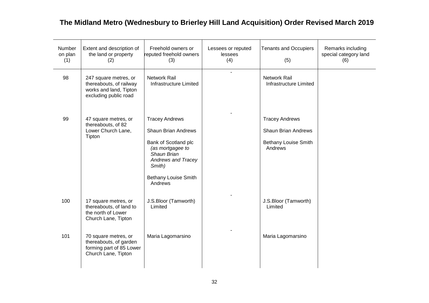| Number<br>on plan<br>(1) | Extent and description of<br>the land or property<br>(2)                                            | Freehold owners or<br>reputed freehold owners<br>(3)                                                                                                                                            | Lessees or reputed<br>lessees<br>(4) | <b>Tenants and Occupiers</b><br>(5)                                                    | Remarks including<br>special category land<br>(6) |
|--------------------------|-----------------------------------------------------------------------------------------------------|-------------------------------------------------------------------------------------------------------------------------------------------------------------------------------------------------|--------------------------------------|----------------------------------------------------------------------------------------|---------------------------------------------------|
| 98                       | 247 square metres, or<br>thereabouts, of railway<br>works and land, Tipton<br>excluding public road | <b>Network Rail</b><br>Infrastructure Limited                                                                                                                                                   | $\blacksquare$                       | <b>Network Rail</b><br>Infrastructure Limited                                          |                                                   |
| 99                       | 47 square metres, or<br>thereabouts, of 82<br>Lower Church Lane,<br>Tipton                          | <b>Tracey Andrews</b><br><b>Shaun Brian Andrews</b><br>Bank of Scotland plc<br>(as mortgagee to<br>Shaun Brian<br><b>Andrews and Tracey</b><br>Smith)<br><b>Bethany Louise Smith</b><br>Andrews |                                      | <b>Tracey Andrews</b><br><b>Shaun Brian Andrews</b><br>Bethany Louise Smith<br>Andrews |                                                   |
| 100                      | 17 square metres, or<br>thereabouts, of land to<br>the north of Lower<br>Church Lane, Tipton        | J.S.Bloor (Tamworth)<br>Limited                                                                                                                                                                 |                                      | J.S.Bloor (Tamworth)<br>Limited                                                        |                                                   |
| 101                      | 70 square metres, or<br>thereabouts, of garden<br>forming part of 85 Lower<br>Church Lane, Tipton   | Maria Lagomarsino                                                                                                                                                                               |                                      | Maria Lagomarsino                                                                      |                                                   |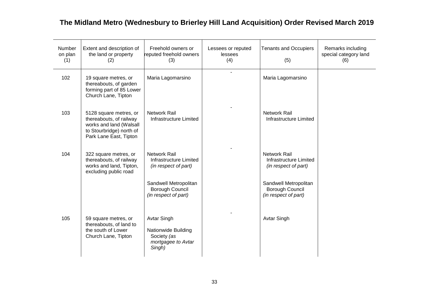| Number<br>on plan<br>(1) | Extent and description of<br>the land or property<br>(2)                                                                           | Freehold owners or<br>reputed freehold owners<br>(3)                                     | Lessees or reputed<br>lessees<br>(4) | <b>Tenants and Occupiers</b><br>(5)                                     | Remarks including<br>special category land<br>(6) |
|--------------------------|------------------------------------------------------------------------------------------------------------------------------------|------------------------------------------------------------------------------------------|--------------------------------------|-------------------------------------------------------------------------|---------------------------------------------------|
| 102                      | 19 square metres, or<br>thereabouts, of garden<br>forming part of 85 Lower<br>Church Lane, Tipton                                  | Maria Lagomarsino                                                                        |                                      | Maria Lagomarsino                                                       |                                                   |
| 103                      | 5128 square metres, or<br>thereabouts, of railway<br>works and land (Walsall<br>to Stourbridge) north of<br>Park Lane East, Tipton | <b>Network Rail</b><br>Infrastructure Limited                                            |                                      | Network Rail<br>Infrastructure Limited                                  |                                                   |
| 104                      | 322 square metres, or<br>thereabouts, of railway<br>works and land, Tipton,<br>excluding public road                               | <b>Network Rail</b><br>Infrastructure Limited<br>(in respect of part)                    |                                      | <b>Network Rail</b><br>Infrastructure Limited<br>(in respect of part)   |                                                   |
|                          |                                                                                                                                    | Sandwell Metropolitan<br>Borough Council<br>(in respect of part)                         |                                      | Sandwell Metropolitan<br><b>Borough Council</b><br>(in respect of part) |                                                   |
| 105                      | 59 square metres, or<br>thereabouts, of land to<br>the south of Lower<br>Church Lane, Tipton                                       | <b>Avtar Singh</b><br>Nationwide Building<br>Society (as<br>mortgagee to Avtar<br>Singh) |                                      | <b>Avtar Singh</b>                                                      |                                                   |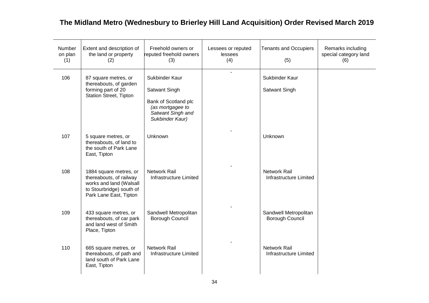| Number<br>on plan<br>(1) | Extent and description of<br>the land or property<br>(2)                                                                           | Freehold owners or<br>reputed freehold owners<br>(3)                                                                | Lessees or reputed<br>lessees<br>(4) | <b>Tenants and Occupiers</b><br>(5)             | Remarks including<br>special category land<br>(6) |
|--------------------------|------------------------------------------------------------------------------------------------------------------------------------|---------------------------------------------------------------------------------------------------------------------|--------------------------------------|-------------------------------------------------|---------------------------------------------------|
| 106                      | 87 square metres, or<br>thereabouts, of garden<br>forming part of 20<br><b>Station Street, Tipton</b>                              | Sukbinder Kaur<br>Satwant Singh<br>Bank of Scotland plc<br>(as mortgagee to<br>Satwant Singh and<br>Sukbinder Kaur) |                                      | Sukbinder Kaur<br>Satwant Singh                 |                                                   |
| 107                      | 5 square metres, or<br>thereabouts, of land to<br>the south of Park Lane<br>East, Tipton                                           | Unknown                                                                                                             |                                      | Unknown                                         |                                                   |
| 108                      | 1884 square metres, or<br>thereabouts, of railway<br>works and land (Walsall<br>to Stourbridge) south of<br>Park Lane East, Tipton | <b>Network Rail</b><br>Infrastructure Limited                                                                       |                                      | <b>Network Rail</b><br>Infrastructure Limited   |                                                   |
| 109                      | 433 square metres, or<br>thereabouts, of car park<br>and land west of Smith<br>Place, Tipton                                       | Sandwell Metropolitan<br>Borough Council                                                                            |                                      | Sandwell Metropolitan<br><b>Borough Council</b> |                                                   |
| 110                      | 665 square metres, or<br>thereabouts, of path and<br>land south of Park Lane<br>East, Tipton                                       | <b>Network Rail</b><br>Infrastructure Limited                                                                       |                                      | <b>Network Rail</b><br>Infrastructure Limited   |                                                   |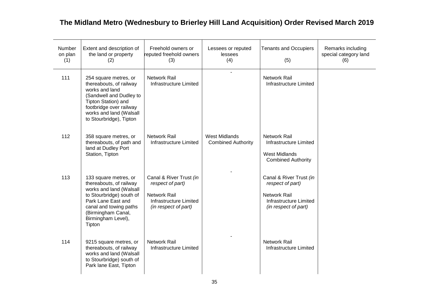| Number<br>on plan<br>(1) | Extent and description of<br>the land or property<br>(2)                                                                                                                                                      | Freehold owners or<br>reputed freehold owners<br>(3)                                                                 | Lessees or reputed<br>lessees<br>(4)              | <b>Tenants and Occupiers</b><br>(5)                                                                                  | Remarks including<br>special category land<br>(6) |
|--------------------------|---------------------------------------------------------------------------------------------------------------------------------------------------------------------------------------------------------------|----------------------------------------------------------------------------------------------------------------------|---------------------------------------------------|----------------------------------------------------------------------------------------------------------------------|---------------------------------------------------|
| 111                      | 254 square metres, or<br>thereabouts, of railway<br>works and land<br>(Sandwell and Dudley to<br>Tipton Station) and<br>footbridge over railway<br>works and land (Walsall<br>to Stourbridge), Tipton         | <b>Network Rail</b><br>Infrastructure Limited                                                                        | $\sim$                                            | <b>Network Rail</b><br>Infrastructure Limited                                                                        |                                                   |
| 112                      | 358 square metres, or<br>thereabouts, of path and<br>land at Dudley Port<br>Station, Tipton                                                                                                                   | <b>Network Rail</b><br><b>Infrastructure Limited</b>                                                                 | <b>West Midlands</b><br><b>Combined Authority</b> | <b>Network Rail</b><br>Infrastructure Limited<br><b>West Midlands</b><br><b>Combined Authority</b>                   |                                                   |
| 113                      | 133 square metres, or<br>thereabouts, of railway<br>works and land (Walsall<br>to Stourbridge) south of<br>Park Lane East and<br>canal and towing paths<br>(Birmingham Canal,<br>Birmingham Level),<br>Tipton | Canal & River Trust (in<br>respect of part)<br><b>Network Rail</b><br>Infrastructure Limited<br>(in respect of part) |                                                   | Canal & River Trust (in<br>respect of part)<br><b>Network Rail</b><br>Infrastructure Limited<br>(in respect of part) |                                                   |
| 114                      | 9215 square metres, or<br>thereabouts, of railway<br>works and land (Walsall<br>to Stourbridge) south of<br>Park lane East, Tipton                                                                            | <b>Network Rail</b><br>Infrastructure Limited                                                                        |                                                   | <b>Network Rail</b><br>Infrastructure Limited                                                                        |                                                   |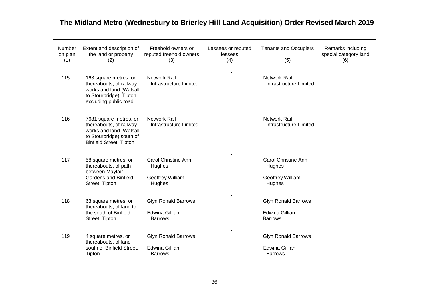| Number<br>on plan<br>(1) | Extent and description of<br>the land or property<br>(2)                                                                                   | Freehold owners or<br>reputed freehold owners<br>(3)                  | Lessees or reputed<br>lessees<br>(4) | <b>Tenants and Occupiers</b><br>(5)                                   | Remarks including<br>special category land<br>(6) |
|--------------------------|--------------------------------------------------------------------------------------------------------------------------------------------|-----------------------------------------------------------------------|--------------------------------------|-----------------------------------------------------------------------|---------------------------------------------------|
| 115                      | 163 square metres, or<br>thereabouts, of railway<br>works and land (Walsall<br>to Stourbridge), Tipton,<br>excluding public road           | <b>Network Rail</b><br>Infrastructure Limited                         | L.                                   | <b>Network Rail</b><br>Infrastructure Limited                         |                                                   |
| 116                      | 7681 square metres, or<br>thereabouts, of railway<br>works and land (Walsall<br>to Stourbridge) south of<br><b>Binfield Street, Tipton</b> | <b>Network Rail</b><br>Infrastructure Limited                         |                                      | <b>Network Rail</b><br>Infrastructure Limited                         |                                                   |
| 117                      | 58 square metres, or<br>thereabouts, of path<br>between Mayfair<br><b>Gardens and Binfield</b><br>Street, Tipton                           | <b>Carol Christine Ann</b><br>Hughes<br>Geoffrey William<br>Hughes    |                                      | Carol Christine Ann<br>Hughes<br>Geoffrey William<br>Hughes           |                                                   |
| 118                      | 63 square metres, or<br>thereabouts, of land to<br>the south of Binfield<br>Street, Tipton                                                 | <b>Glyn Ronald Barrows</b><br><b>Edwina Gillian</b><br><b>Barrows</b> |                                      | <b>Glyn Ronald Barrows</b><br><b>Edwina Gillian</b><br><b>Barrows</b> |                                                   |
| 119                      | 4 square metres, or<br>thereabouts, of land<br>south of Binfield Street,<br>Tipton                                                         | <b>Glyn Ronald Barrows</b><br>Edwina Gillian<br><b>Barrows</b>        |                                      | <b>Glyn Ronald Barrows</b><br>Edwina Gillian<br><b>Barrows</b>        |                                                   |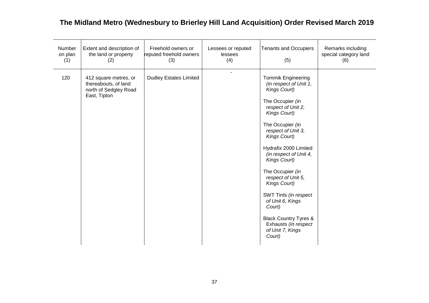| Number<br>on plan<br>(1) | Extent and description of<br>the land or property<br>(2)                               | Freehold owners or<br>reputed freehold owners<br>(3) | Lessees or reputed<br>lessees<br>(4) | <b>Tenants and Occupiers</b><br>(5)                                                                                                                                                                                                                                                                                                                                                                                                                                   | Remarks including<br>special category land<br>(6) |
|--------------------------|----------------------------------------------------------------------------------------|------------------------------------------------------|--------------------------------------|-----------------------------------------------------------------------------------------------------------------------------------------------------------------------------------------------------------------------------------------------------------------------------------------------------------------------------------------------------------------------------------------------------------------------------------------------------------------------|---------------------------------------------------|
| 120                      | 412 square metres, or<br>thereabouts, of land<br>north of Sedgley Road<br>East, Tipton | <b>Dudley Estates Limited</b>                        | $\blacksquare$                       | <b>Tommik Engineering</b><br>(in respect of Unit 1,<br>Kings Court)<br>The Occupier (in<br>respect of Unit 2,<br>Kings Court)<br>The Occupier (in<br>respect of Unit 3,<br>Kings Court)<br>Hydrafix 2000 Limited<br>(in respect of Unit 4,<br>Kings Court)<br>The Occupier (in<br>respect of Unit 5,<br>Kings Court)<br>SWT Tints (in respect<br>of Unit 6, Kings<br>Court)<br><b>Black Country Tyres &amp;</b><br>Exhausts (in respect<br>of Unit 7, Kings<br>Court) |                                                   |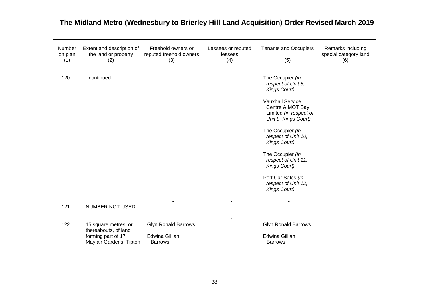| Number<br>on plan<br>(1) | Extent and description of<br>the land or property<br>(2)                                      | Freehold owners or<br>reputed freehold owners<br>(3)           | Lessees or reputed<br>lessees<br>(4) | <b>Tenants and Occupiers</b><br>(5)                                                                                                                                                                                                                                                                                                        | Remarks including<br>special category land<br>(6) |
|--------------------------|-----------------------------------------------------------------------------------------------|----------------------------------------------------------------|--------------------------------------|--------------------------------------------------------------------------------------------------------------------------------------------------------------------------------------------------------------------------------------------------------------------------------------------------------------------------------------------|---------------------------------------------------|
| 120                      | - continued                                                                                   |                                                                |                                      | The Occupier (in<br>respect of Unit 8,<br>Kings Court)<br><b>Vauxhall Service</b><br>Centre & MOT Bay<br>Limited (in respect of<br>Unit 9, Kings Court)<br>The Occupier (in<br>respect of Unit 10,<br>Kings Court)<br>The Occupier (in<br>respect of Unit 11,<br>Kings Court)<br>Port Car Sales (in<br>respect of Unit 12,<br>Kings Court) |                                                   |
| 121                      | NUMBER NOT USED                                                                               |                                                                |                                      |                                                                                                                                                                                                                                                                                                                                            |                                                   |
| 122                      | 15 square metres, or<br>thereabouts, of land<br>forming part of 17<br>Mayfair Gardens, Tipton | <b>Glyn Ronald Barrows</b><br>Edwina Gillian<br><b>Barrows</b> |                                      | <b>Glyn Ronald Barrows</b><br><b>Edwina Gillian</b><br><b>Barrows</b>                                                                                                                                                                                                                                                                      |                                                   |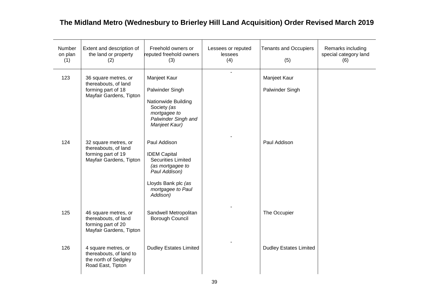| Number<br>on plan<br>(1) | Extent and description of<br>the land or property<br>(2)                                      | Freehold owners or<br>reputed freehold owners<br>(3)                                                                                                          | Lessees or reputed<br>lessees<br>(4) | <b>Tenants and Occupiers</b><br>(5) | Remarks including<br>special category land<br>(6) |
|--------------------------|-----------------------------------------------------------------------------------------------|---------------------------------------------------------------------------------------------------------------------------------------------------------------|--------------------------------------|-------------------------------------|---------------------------------------------------|
| 123                      | 36 square metres, or<br>thereabouts, of land<br>forming part of 18<br>Mayfair Gardens, Tipton | Manjeet Kaur<br>Palwinder Singh<br>Nationwide Building<br>Society (as<br>mortgagee to<br>Palwinder Singh and<br>Manjeet Kaur)                                 |                                      | Manjeet Kaur<br>Palwinder Singh     |                                                   |
| 124                      | 32 square metres, or<br>thereabouts, of land<br>forming part of 19<br>Mayfair Gardens, Tipton | Paul Addison<br><b>IDEM Capital</b><br><b>Securities Limited</b><br>(as mortgagee to<br>Paul Addison)<br>Lloyds Bank plc (as<br>mortgagee to Paul<br>Addison) |                                      | Paul Addison                        |                                                   |
| 125                      | 46 square metres, or<br>thereabouts, of land<br>forming part of 20<br>Mayfair Gardens, Tipton | Sandwell Metropolitan<br>Borough Council                                                                                                                      |                                      | The Occupier                        |                                                   |
| 126                      | 4 square metres, or<br>thereabouts, of land to<br>the north of Sedgley<br>Road East, Tipton   | <b>Dudley Estates Limited</b>                                                                                                                                 |                                      | <b>Dudley Estates Limited</b>       |                                                   |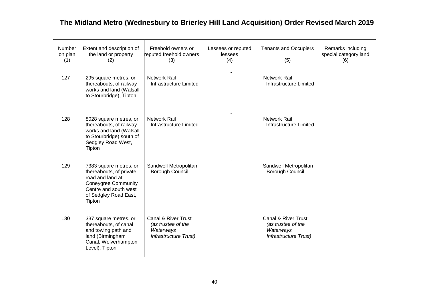| <b>Number</b><br>on plan<br>(1) | Extent and description of<br>the land or property<br>(2)                                                                                                        | Freehold owners or<br>reputed freehold owners<br>(3)                                              | Lessees or reputed<br>lessees<br>(4) | <b>Tenants and Occupiers</b><br>(5)                                                        | Remarks including<br>special category land<br>(6) |
|---------------------------------|-----------------------------------------------------------------------------------------------------------------------------------------------------------------|---------------------------------------------------------------------------------------------------|--------------------------------------|--------------------------------------------------------------------------------------------|---------------------------------------------------|
| 127                             | 295 square metres, or<br>thereabouts, of railway<br>works and land (Walsall<br>to Stourbridge), Tipton                                                          | <b>Network Rail</b><br><b>Infrastructure Limited</b>                                              |                                      | <b>Network Rail</b><br>Infrastructure Limited                                              |                                                   |
| 128                             | 8028 square metres, or<br>thereabouts, of railway<br>works and land (Walsall<br>to Stourbridge) south of<br>Sedgley Road West,<br>Tipton                        | Network Rail<br>Infrastructure Limited                                                            |                                      | <b>Network Rail</b><br>Infrastructure Limited                                              |                                                   |
| 129                             | 7383 square metres, or<br>thereabouts, of private<br>road and land at<br><b>Coneygree Community</b><br>Centre and south west<br>of Sedgley Road East,<br>Tipton | Sandwell Metropolitan<br>Borough Council                                                          |                                      | Sandwell Metropolitan<br><b>Borough Council</b>                                            |                                                   |
| 130                             | 337 square metres, or<br>thereabouts, of canal<br>and towing path and<br>land (Birmingham<br>Canal, Wolverhampton<br>Level), Tipton                             | <b>Canal &amp; River Trust</b><br>(as trustee of the<br>Waterways<br><b>Infrastructure Trust)</b> |                                      | <b>Canal &amp; River Trust</b><br>(as trustee of the<br>Waterways<br>Infrastructure Trust) |                                                   |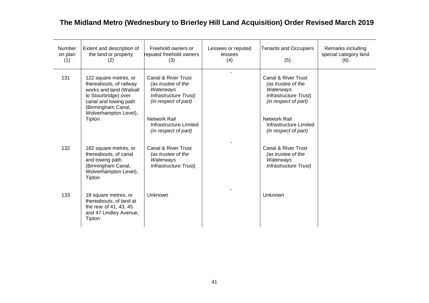| Number<br>on plan<br>(1) | Extent and description of<br>the land or property<br>(2)                                                                                                                    | Freehold owners or<br>reputed freehold owners<br>(3)                                                    | Lessees or reputed<br>lessees<br>(4) | <b>Tenants and Occupiers</b><br>(5)                                                                            | Remarks including<br>special category land<br>(6) |
|--------------------------|-----------------------------------------------------------------------------------------------------------------------------------------------------------------------------|---------------------------------------------------------------------------------------------------------|--------------------------------------|----------------------------------------------------------------------------------------------------------------|---------------------------------------------------|
| 131                      | 122 square metres, or<br>thereabouts, of railway<br>works and land (Walsall<br>to Stourbridge) over<br>canal and towing path<br>(Birmingham Canal,<br>Wolverhampton Level), | Canal & River Trust<br>(as trustee of the<br>Waterways<br>Infrastructure Trust)<br>(in respect of part) |                                      | Canal & River Trust<br>(as trustee of the<br>Waterways<br><b>Infrastructure Trust)</b><br>(in respect of part) |                                                   |
|                          | Tipton                                                                                                                                                                      | <b>Network Rail</b><br>Infrastructure Limited<br>(in respect of part)                                   |                                      | Network Rail<br>Infrastructure Limited<br>(in respect of part)                                                 |                                                   |
| 132                      | 182 square metres, or<br>thereabouts, of canal<br>and towing path<br>(Birmingham Canal,<br>Wolverhampton Level),<br>Tipton                                                  | Canal & River Trust<br>(as trustee of the<br>Waterways<br>Infrastructure Trust)                         |                                      | Canal & River Trust<br>(as trustee of the<br>Waterways<br>Infrastructure Trust)                                |                                                   |
| 133                      | 18 square metres, or<br>thereabouts, of land at<br>the rear of 41, 43, 45<br>and 47 Lindley Avenue,<br>Tipton                                                               | Unknown                                                                                                 |                                      | Unknown                                                                                                        |                                                   |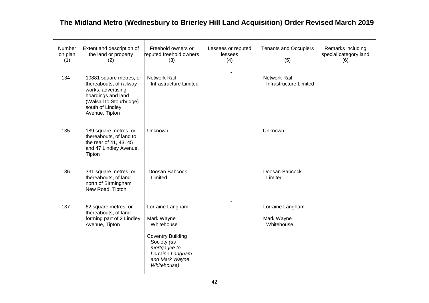| Number<br>on plan<br>(1) | Extent and description of<br>the land or property<br>(2)                                                                                                         | Freehold owners or<br>reputed freehold owners<br>(3)                                                                                                         | Lessees or reputed<br>lessees<br>(4) | <b>Tenants and Occupiers</b><br>(5)           | Remarks including<br>special category land<br>(6) |
|--------------------------|------------------------------------------------------------------------------------------------------------------------------------------------------------------|--------------------------------------------------------------------------------------------------------------------------------------------------------------|--------------------------------------|-----------------------------------------------|---------------------------------------------------|
| 134                      | 10881 square metres, or<br>thereabouts, of railway<br>works, advertising<br>hoardings and land<br>(Walsall to Stourbridge)<br>south of Lindley<br>Avenue, Tipton | Network Rail<br>Infrastructure Limited                                                                                                                       | $\overline{a}$                       | <b>Network Rail</b><br>Infrastructure Limited |                                                   |
| 135                      | 189 square metres, or<br>thereabouts, of land to<br>the rear of 41, 43, 45<br>and 47 Lindley Avenue,<br>Tipton                                                   | Unknown                                                                                                                                                      |                                      | Unknown                                       |                                                   |
| 136                      | 331 square metres, or<br>thereabouts, of land<br>north of Birmingham<br>New Road, Tipton                                                                         | Doosan Babcock<br>Limited                                                                                                                                    |                                      | Doosan Babcock<br>Limited                     |                                                   |
| 137                      | 62 square metres, or<br>thereabouts, of land<br>forming part of 2 Lindley<br>Avenue, Tipton                                                                      | Lorraine Langham<br>Mark Wayne<br>Whitehouse<br><b>Coventry Building</b><br>Society (as<br>mortgagee to<br>Lorraine Langham<br>and Mark Wayne<br>Whitehouse) |                                      | Lorraine Langham<br>Mark Wayne<br>Whitehouse  |                                                   |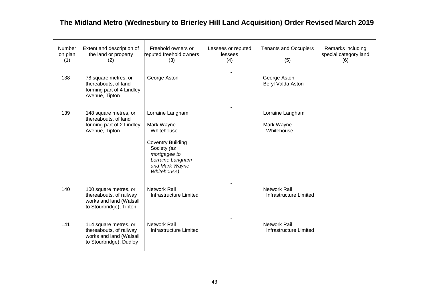| <b>Number</b><br>on plan<br>(1) | Extent and description of<br>the land or property<br>(2)                                               | Freehold owners or<br>reputed freehold owners<br>(3)                                                                                                         | Lessees or reputed<br>lessees<br>(4) | <b>Tenants and Occupiers</b><br>(5)           | Remarks including<br>special category land<br>(6) |
|---------------------------------|--------------------------------------------------------------------------------------------------------|--------------------------------------------------------------------------------------------------------------------------------------------------------------|--------------------------------------|-----------------------------------------------|---------------------------------------------------|
| 138                             | 78 square metres, or<br>thereabouts, of land<br>forming part of 4 Lindley<br>Avenue, Tipton            | George Aston                                                                                                                                                 |                                      | George Aston<br>Beryl Valda Aston             |                                                   |
| 139                             | 148 square metres, or<br>thereabouts, of land<br>forming part of 2 Lindley<br>Avenue, Tipton           | Lorraine Langham<br>Mark Wayne<br>Whitehouse<br><b>Coventry Building</b><br>Society (as<br>mortgagee to<br>Lorraine Langham<br>and Mark Wayne<br>Whitehouse) |                                      | Lorraine Langham<br>Mark Wayne<br>Whitehouse  |                                                   |
| 140                             | 100 square metres, or<br>thereabouts, of railway<br>works and land (Walsall<br>to Stourbridge), Tipton | <b>Network Rail</b><br>Infrastructure Limited                                                                                                                |                                      | <b>Network Rail</b><br>Infrastructure Limited |                                                   |
| 141                             | 114 square metres, or<br>thereabouts, of railway<br>works and land (Walsall<br>to Stourbridge), Dudley | <b>Network Rail</b><br>Infrastructure Limited                                                                                                                |                                      | <b>Network Rail</b><br>Infrastructure Limited |                                                   |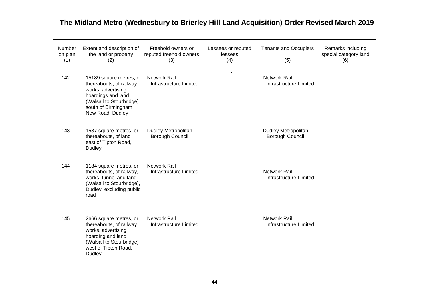| Number<br>on plan<br>(1) | Extent and description of<br>the land or property<br>(2)                                                                                                              | Freehold owners or<br>reputed freehold owners<br>(3) | Lessees or reputed<br>lessees<br>(4) | <b>Tenants and Occupiers</b><br>(5)                  | Remarks including<br>special category land<br>(6) |
|--------------------------|-----------------------------------------------------------------------------------------------------------------------------------------------------------------------|------------------------------------------------------|--------------------------------------|------------------------------------------------------|---------------------------------------------------|
| 142                      | 15189 square metres, or<br>thereabouts, of railway<br>works, advertising<br>hoardings and land<br>(Walsall to Stourbridge)<br>south of Birmingham<br>New Road, Dudley | <b>Network Rail</b><br><b>Infrastructure Limited</b> |                                      | <b>Network Rail</b><br><b>Infrastructure Limited</b> |                                                   |
| 143                      | 1537 square metres, or<br>thereabouts, of land<br>east of Tipton Road,<br>Dudley                                                                                      | <b>Dudley Metropolitan</b><br>Borough Council        |                                      | <b>Dudley Metropolitan</b><br>Borough Council        |                                                   |
| 144                      | 1184 square metres, or<br>thereabouts, of railway,<br>works, tunnel and land<br>(Walsall to Stourbridge),<br>Dudley, excluding public<br>road                         | <b>Network Rail</b><br>Infrastructure Limited        |                                      | Network Rail<br>Infrastructure Limited               |                                                   |
| 145                      | 2666 square metres, or<br>thereabouts, of railway<br>works, advertising<br>hoarding and land<br>(Walsall to Stourbridge)<br>west of Tipton Road,<br>Dudley            | Network Rail<br>Infrastructure Limited               |                                      | <b>Network Rail</b><br>Infrastructure Limited        |                                                   |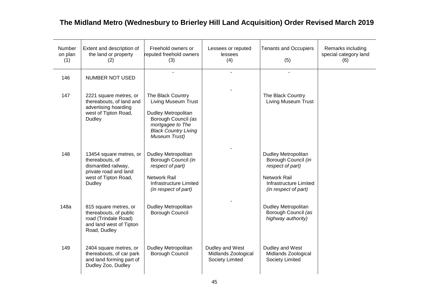| <b>Number</b><br>on plan<br>(1) | Extent and description of<br>the land or property<br>(2)                                                                            | Freehold owners or<br>reputed freehold owners<br>(3)                                                                                                       | Lessees or reputed<br>lessees<br>(4)                      | <b>Tenants and Occupiers</b><br>(5)                                                                                                                   | Remarks including<br>special category land<br>(6) |
|---------------------------------|-------------------------------------------------------------------------------------------------------------------------------------|------------------------------------------------------------------------------------------------------------------------------------------------------------|-----------------------------------------------------------|-------------------------------------------------------------------------------------------------------------------------------------------------------|---------------------------------------------------|
| 146                             | <b>NUMBER NOT USED</b>                                                                                                              |                                                                                                                                                            |                                                           |                                                                                                                                                       |                                                   |
| 147                             | 2221 square metres, or<br>thereabouts, of land and<br>advertising hoarding<br>west of Tipton Road,<br>Dudley                        | The Black Country<br>Living Museum Trust<br>Dudley Metropolitan<br>Borough Council (as<br>mortgagee to The<br><b>Black Country Living</b><br>Museum Trust) |                                                           | The Black Country<br><b>Living Museum Trust</b>                                                                                                       |                                                   |
| 148                             | 13454 square metres, or<br>thereabouts, of<br>dismantled railway,<br>private road and land<br>west of Tipton Road,<br><b>Dudley</b> | <b>Dudley Metropolitan</b><br>Borough Council (in<br>respect of part)<br><b>Network Rail</b><br>Infrastructure Limited<br>(in respect of part)             |                                                           | <b>Dudley Metropolitan</b><br>Borough Council (in<br>respect of part)<br><b>Network Rail</b><br><b>Infrastructure Limited</b><br>(in respect of part) |                                                   |
| 148a                            | 815 square metres, or<br>thereabouts, of public<br>road (Trindale Road)<br>and land west of Tipton<br>Road, Dudley                  | Dudley Metropolitan<br>Borough Council                                                                                                                     |                                                           | Dudley Metropolitan<br>Borough Council (as<br>highway authority)                                                                                      |                                                   |
| 149                             | 2404 square metres, or<br>thereabouts, of car park<br>and land forming part of<br>Dudley Zoo, Dudley                                | Dudley Metropolitan<br>Borough Council                                                                                                                     | Dudley and West<br>Midlands Zoological<br>Society Limited | Dudley and West<br>Midlands Zoological<br>Society Limited                                                                                             |                                                   |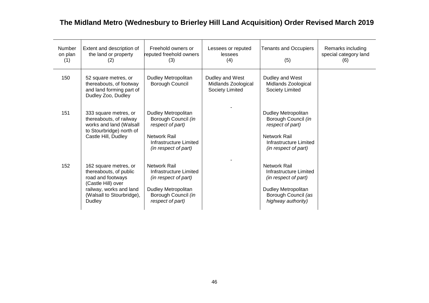| Number<br>on plan<br>(1) | Extent and description of<br>the land or property<br>(2)                                                                                                     | Freehold owners or<br>reputed freehold owners<br>(3)                                                                             | Lessees or reputed<br>lessees<br>(4)                      | <b>Tenants and Occupiers</b><br>(5)                                                                                                              | Remarks including<br>special category land<br>(6) |
|--------------------------|--------------------------------------------------------------------------------------------------------------------------------------------------------------|----------------------------------------------------------------------------------------------------------------------------------|-----------------------------------------------------------|--------------------------------------------------------------------------------------------------------------------------------------------------|---------------------------------------------------|
| 150                      | 52 square metres, or<br>thereabouts, of footway<br>and land forming part of<br>Dudley Zoo, Dudley                                                            | Dudley Metropolitan<br><b>Borough Council</b>                                                                                    | Dudley and West<br>Midlands Zoological<br>Society Limited | Dudley and West<br>Midlands Zoological<br>Society Limited                                                                                        |                                                   |
| 151                      | 333 square metres, or<br>thereabouts, of railway<br>works and land (Walsall<br>to Stourbridge) north of<br>Castle Hill, Dudley                               | Dudley Metropolitan<br>Borough Council (in<br>respect of part)<br>Network Rail<br>Infrastructure Limited<br>(in respect of part) |                                                           | <b>Dudley Metropolitan</b><br>Borough Council (in<br>respect of part)<br>Network Rail<br>Infrastructure Limited<br>(in respect of part)          |                                                   |
| 152                      | 162 square metres, or<br>thereabouts, of public<br>road and footways<br>(Castle Hill) over<br>railway, works and land<br>(Walsall to Stourbridge),<br>Dudley | Network Rail<br>Infrastructure Limited<br>(in respect of part)<br>Dudley Metropolitan<br>Borough Council (in<br>respect of part) |                                                           | <b>Network Rail</b><br>Infrastructure Limited<br>(in respect of part)<br><b>Dudley Metropolitan</b><br>Borough Council (as<br>highway authority) |                                                   |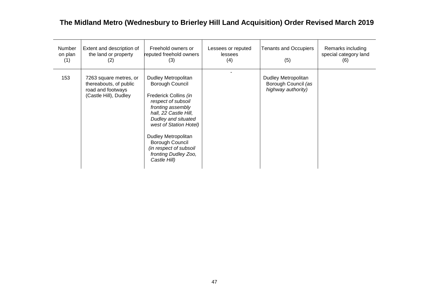| <b>Number</b><br>on plan<br>(1) | Extent and description of<br>the land or property<br>(2)                                       | Freehold owners or<br>reputed freehold owners<br>(3)                                                                                                                                                                                                                                             | Lessees or reputed<br>lessees<br>(4) | <b>Tenants and Occupiers</b><br>(5)                              | Remarks including<br>special category land<br>(6) |
|---------------------------------|------------------------------------------------------------------------------------------------|--------------------------------------------------------------------------------------------------------------------------------------------------------------------------------------------------------------------------------------------------------------------------------------------------|--------------------------------------|------------------------------------------------------------------|---------------------------------------------------|
| 153                             | 7263 square metres, or<br>thereabouts, of public<br>road and footways<br>(Castle Hill), Dudley | Dudley Metropolitan<br>Borough Council<br>Frederick Collins (in<br>respect of subsoil<br>fronting assembly<br>hall, 22 Castle Hill,<br>Dudley and situated<br>west of Station Hotel)<br>Dudley Metropolitan<br>Borough Council<br>(in respect of subsoil<br>fronting Dudley Zoo,<br>Castle Hill) |                                      | Dudley Metropolitan<br>Borough Council (as<br>highway authority) |                                                   |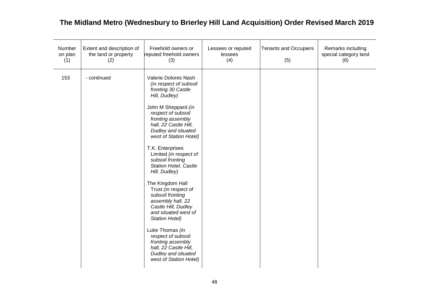| Number<br>on plan<br>(1) | Extent and description of<br>the land or property<br>(2) | Freehold owners or<br>reputed freehold owners<br>(3)                                                                                                                                                                                                                                                                                                                                                                                                                                                                                                                                                                     | Lessees or reputed<br>lessees<br>(4) | <b>Tenants and Occupiers</b><br>(5) | Remarks including<br>special category land<br>(6) |
|--------------------------|----------------------------------------------------------|--------------------------------------------------------------------------------------------------------------------------------------------------------------------------------------------------------------------------------------------------------------------------------------------------------------------------------------------------------------------------------------------------------------------------------------------------------------------------------------------------------------------------------------------------------------------------------------------------------------------------|--------------------------------------|-------------------------------------|---------------------------------------------------|
| 153                      | - continued                                              | Valerie Dolores Nash<br>(in respect of subsoil<br>fronting 30 Castle<br>Hill, Dudley)<br>John M Sheppard (in<br>respect of subsoil<br>fronting assembly<br>hall, 22 Castle Hill,<br>Dudley and situated<br>west of Station Hotel)<br>T.K. Enterprises<br>Limited (in respect of<br>subsoil fronting<br>Station Hotel, Castle<br>Hill, Dudley)<br>The Kingdom Hall<br>Trust (in respect of<br>subsoil fronting<br>assembly hall, 22<br>Castle Hill, Dudley<br>and situated west of<br><b>Station Hotel)</b><br>Luke Thomas (in<br>respect of subsoil<br>fronting assembly<br>hall, 22 Castle Hill,<br>Dudley and situated |                                      |                                     |                                                   |
|                          |                                                          | west of Station Hotel)                                                                                                                                                                                                                                                                                                                                                                                                                                                                                                                                                                                                   |                                      |                                     |                                                   |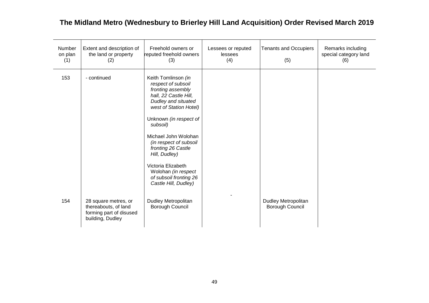| Number<br>on plan<br>(1) | Extent and description of<br>the land or property<br>(2)                                    | Freehold owners or<br>reputed freehold owners<br>(3)                                                                                                                                                                                                                                                                                                                   | Lessees or reputed<br>lessees<br>(4) | <b>Tenants and Occupiers</b><br>(5)    | Remarks including<br>special category land<br>(6) |
|--------------------------|---------------------------------------------------------------------------------------------|------------------------------------------------------------------------------------------------------------------------------------------------------------------------------------------------------------------------------------------------------------------------------------------------------------------------------------------------------------------------|--------------------------------------|----------------------------------------|---------------------------------------------------|
| 153                      | - continued                                                                                 | Keith Tomlinson (in<br>respect of subsoil<br>fronting assembly<br>hall, 22 Castle Hill,<br>Dudley and situated<br>west of Station Hotel)<br>Unknown (in respect of<br>subsoil)<br>Michael John Wolohan<br>(in respect of subsoil<br>fronting 26 Castle<br>Hill, Dudley)<br>Victoria Elizabeth<br>Wolohan (in respect<br>of subsoil fronting 26<br>Castle Hill, Dudley) |                                      |                                        |                                                   |
| 154                      | 28 square metres, or<br>thereabouts, of land<br>forming part of disused<br>building, Dudley | Dudley Metropolitan<br>Borough Council                                                                                                                                                                                                                                                                                                                                 |                                      | Dudley Metropolitan<br>Borough Council |                                                   |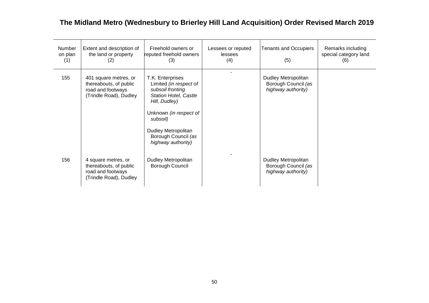| Number<br>on plan<br>(1) | Extent and description of<br>the land or property<br>(2)                                       | Freehold owners or<br>reputed freehold owners<br>(3)                                                                                                                                                                      | Lessees or reputed<br>lessees<br>(4) | <b>Tenants and Occupiers</b><br>(5)                              | Remarks including<br>special category land<br>(6) |
|--------------------------|------------------------------------------------------------------------------------------------|---------------------------------------------------------------------------------------------------------------------------------------------------------------------------------------------------------------------------|--------------------------------------|------------------------------------------------------------------|---------------------------------------------------|
| 155                      | 401 square metres, or<br>thereabouts, of public<br>road and footways<br>(Trindle Road), Dudley | T.K. Enterprises<br>Limited (in respect of<br>subsoil fronting<br><b>Station Hotel, Castle</b><br>Hill, Dudley)<br>Unknown (in respect of<br>subsoil)<br>Dudley Metropolitan<br>Borough Council (as<br>highway authority) |                                      | Dudley Metropolitan<br>Borough Council (as<br>highway authority) |                                                   |
| 156                      | 4 square metres, or<br>thereabouts, of public<br>road and footways<br>(Trindle Road), Dudley   | Dudley Metropolitan<br>Borough Council                                                                                                                                                                                    |                                      | Dudley Metropolitan<br>Borough Council (as<br>highway authority) |                                                   |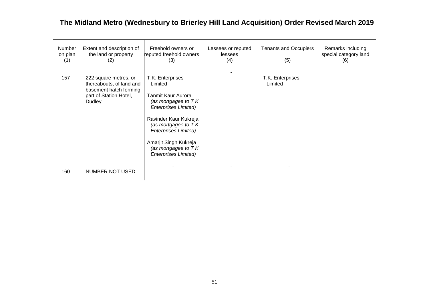| Number<br>on plan<br>(1) | Extent and description of<br>the land or property<br>(2)                                                        | Freehold owners or<br>reputed freehold owners<br>(3)                                                                                                                                                                                                                               | Lessees or reputed<br>lessees<br>(4) | <b>Tenants and Occupiers</b><br>(5) | Remarks including<br>special category land<br>(6) |
|--------------------------|-----------------------------------------------------------------------------------------------------------------|------------------------------------------------------------------------------------------------------------------------------------------------------------------------------------------------------------------------------------------------------------------------------------|--------------------------------------|-------------------------------------|---------------------------------------------------|
| 157                      | 222 square metres, or<br>thereabouts, of land and<br>basement hatch forming<br>part of Station Hotel,<br>Dudley | T.K. Enterprises<br>Limited<br><b>Tanmit Kaur Aurora</b><br>(as mortgagee to $TK$<br><b>Enterprises Limited)</b><br>Ravinder Kaur Kukreja<br>(as mortgagee to $TK$<br><b>Enterprises Limited)</b><br>Amarjit Singh Kukreja<br>(as mortgagee to $TK$<br><b>Enterprises Limited)</b> |                                      | T.K. Enterprises<br>Limited         |                                                   |
| 160                      | NUMBER NOT USED                                                                                                 |                                                                                                                                                                                                                                                                                    |                                      |                                     |                                                   |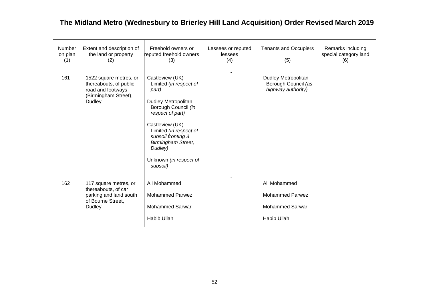| <b>Number</b><br>on plan<br>(1) | Extent and description of<br>the land or property<br>(2)                                                       | Freehold owners or<br>reputed freehold owners<br>(3)                                                                                                                                                                                                                  | Lessees or reputed<br>lessees<br>(4) | <b>Tenants and Occupiers</b><br>(5)                                             | Remarks including<br>special category land<br>(6) |
|---------------------------------|----------------------------------------------------------------------------------------------------------------|-----------------------------------------------------------------------------------------------------------------------------------------------------------------------------------------------------------------------------------------------------------------------|--------------------------------------|---------------------------------------------------------------------------------|---------------------------------------------------|
| 161                             | 1522 square metres, or<br>thereabouts, of public<br>road and footways<br>(Birmingham Street),<br><b>Dudley</b> | Castleview (UK)<br>Limited (in respect of<br>part)<br>Dudley Metropolitan<br>Borough Council (in<br>respect of part)<br>Castleview (UK)<br>Limited (in respect of<br>subsoil fronting 3<br><b>Birmingham Street,</b><br>Dudley)<br>Unknown (in respect of<br>subsoil) |                                      | <b>Dudley Metropolitan</b><br>Borough Council (as<br>highway authority)         |                                                   |
| 162                             | 117 square metres, or<br>thereabouts, of car<br>parking and land south<br>of Bourne Street,<br><b>Dudley</b>   | Ali Mohammed<br><b>Mohammed Parwez</b><br><b>Mohammed Sarwar</b><br>Habib Ullah                                                                                                                                                                                       |                                      | Ali Mohammed<br><b>Mohammed Parwez</b><br><b>Mohammed Sarwar</b><br>Habib Ullah |                                                   |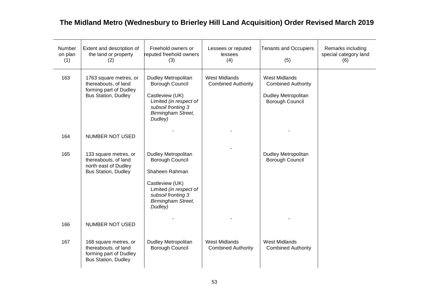| Number<br>on plan<br>(1) | Extent and description of<br>the land or property<br>(2)                                               | Freehold owners or<br>reputed freehold owners<br>(3)                                                                                                                | Lessees or reputed<br>lessees<br>(4)              | <b>Tenants and Occupiers</b><br>(5)                                                                       | Remarks including<br>special category land<br>(6) |
|--------------------------|--------------------------------------------------------------------------------------------------------|---------------------------------------------------------------------------------------------------------------------------------------------------------------------|---------------------------------------------------|-----------------------------------------------------------------------------------------------------------|---------------------------------------------------|
| 163                      | 1763 square metres, or<br>thereabouts, of land<br>forming part of Dudley<br><b>Bus Station, Dudley</b> | Dudley Metropolitan<br>Borough Council<br>Castleview (UK)<br>Limited (in respect of<br>subsoil fronting 3<br><b>Birmingham Street,</b><br>Dudley)                   | <b>West Midlands</b><br><b>Combined Authority</b> | <b>West Midlands</b><br><b>Combined Authority</b><br><b>Dudley Metropolitan</b><br><b>Borough Council</b> |                                                   |
| 164                      | NUMBER NOT USED                                                                                        |                                                                                                                                                                     |                                                   |                                                                                                           |                                                   |
| 165                      | 133 square metres, or<br>thereabouts, of land<br>north east of Dudley<br><b>Bus Station, Dudley</b>    | Dudley Metropolitan<br>Borough Council<br>Shaheen Rahman<br>Castleview (UK)<br>Limited (in respect of<br>subsoil fronting 3<br><b>Birmingham Street,</b><br>Dudley) |                                                   | <b>Dudley Metropolitan</b><br><b>Borough Council</b>                                                      |                                                   |
| 166                      | <b>NUMBER NOT USED</b>                                                                                 |                                                                                                                                                                     |                                                   |                                                                                                           |                                                   |
| 167                      | 168 square metres, or<br>thereabouts, of land<br>forming part of Dudley<br><b>Bus Station, Dudley</b>  | <b>Dudley Metropolitan</b><br>Borough Council                                                                                                                       | <b>West Midlands</b><br><b>Combined Authority</b> | <b>West Midlands</b><br><b>Combined Authority</b>                                                         |                                                   |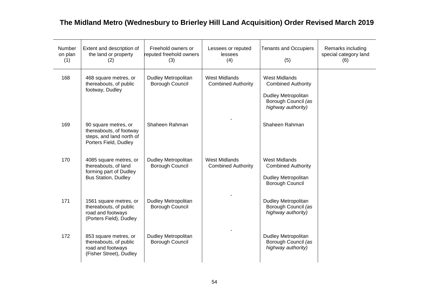| Number<br>on plan<br>(1) | Extent and description of<br>the land or property<br>(2)                                               | Freehold owners or<br>reputed freehold owners<br>(3) | Lessees or reputed<br>lessees<br>(4)              | <b>Tenants and Occupiers</b><br>(5)                                                                                          | Remarks including<br>special category land<br>(6) |
|--------------------------|--------------------------------------------------------------------------------------------------------|------------------------------------------------------|---------------------------------------------------|------------------------------------------------------------------------------------------------------------------------------|---------------------------------------------------|
| 168                      | 468 square metres, or<br>thereabouts, of public<br>footway, Dudley                                     | Dudley Metropolitan<br>Borough Council               | <b>West Midlands</b><br><b>Combined Authority</b> | <b>West Midlands</b><br><b>Combined Authority</b><br><b>Dudley Metropolitan</b><br>Borough Council (as<br>highway authority) |                                                   |
| 169                      | 90 square metres, or<br>thereabouts, of footway<br>steps, and land north of<br>Porters Field, Dudley   | Shaheen Rahman                                       |                                                   | Shaheen Rahman                                                                                                               |                                                   |
| 170                      | 4085 square metres, or<br>thereabouts, of land<br>forming part of Dudley<br><b>Bus Station, Dudley</b> | Dudley Metropolitan<br>Borough Council               | <b>West Midlands</b><br><b>Combined Authority</b> | <b>West Midlands</b><br><b>Combined Authority</b><br><b>Dudley Metropolitan</b><br>Borough Council                           |                                                   |
| 171                      | 1561 square metres, or<br>thereabouts, of public<br>road and footways<br>(Porters Field), Dudley       | Dudley Metropolitan<br>Borough Council               |                                                   | <b>Dudley Metropolitan</b><br>Borough Council (as<br>highway authority)                                                      |                                                   |
| 172                      | 853 square metres, or<br>thereabouts, of public<br>road and footways<br>(Fisher Street), Dudley        | Dudley Metropolitan<br><b>Borough Council</b>        |                                                   | <b>Dudley Metropolitan</b><br>Borough Council (as<br>highway authority)                                                      |                                                   |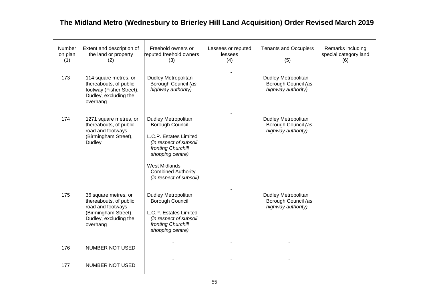| Number<br>on plan<br>(1) | Extent and description of<br>the land or property<br>(2)                                                                         | Freehold owners or<br>reputed freehold owners<br>(3)                                                                                                                                                                 | Lessees or reputed<br>lessees<br>(4) | <b>Tenants and Occupiers</b><br>(5)                                     | Remarks including<br>special category land<br>(6) |
|--------------------------|----------------------------------------------------------------------------------------------------------------------------------|----------------------------------------------------------------------------------------------------------------------------------------------------------------------------------------------------------------------|--------------------------------------|-------------------------------------------------------------------------|---------------------------------------------------|
| 173                      | 114 square metres, or<br>thereabouts, of public<br>footway (Fisher Street),<br>Dudley, excluding the<br>overhang                 | <b>Dudley Metropolitan</b><br>Borough Council (as<br>highway authority)                                                                                                                                              |                                      | <b>Dudley Metropolitan</b><br>Borough Council (as<br>highway authority) |                                                   |
| 174                      | 1271 square metres, or<br>thereabouts, of public<br>road and footways<br>(Birmingham Street),<br>Dudley                          | Dudley Metropolitan<br>Borough Council<br>L.C.P. Estates Limited<br>(in respect of subsoil<br>fronting Churchill<br>shopping centre)<br><b>West Midlands</b><br><b>Combined Authority</b><br>(in respect of subsoil) |                                      | Dudley Metropolitan<br>Borough Council (as<br>highway authority)        |                                                   |
| 175                      | 36 square metres, or<br>thereabouts, of public<br>road and footways<br>(Birmingham Street),<br>Dudley, excluding the<br>overhang | Dudley Metropolitan<br>Borough Council<br>L.C.P. Estates Limited<br>(in respect of subsoil<br>fronting Churchill<br>shopping centre)                                                                                 |                                      | Dudley Metropolitan<br>Borough Council (as<br>highway authority)        |                                                   |
| 176                      | NUMBER NOT USED                                                                                                                  |                                                                                                                                                                                                                      |                                      |                                                                         |                                                   |
| 177                      | NUMBER NOT USED                                                                                                                  |                                                                                                                                                                                                                      |                                      |                                                                         |                                                   |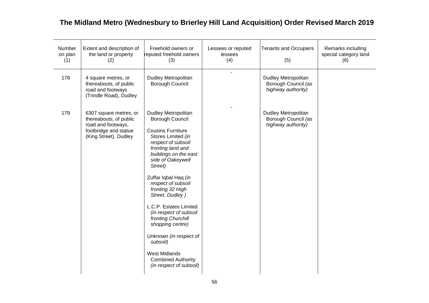| Number<br>on plan<br>(1) | Extent and description of<br>the land or property<br>(2)                                                                 | Freehold owners or<br>reputed freehold owners<br>(3)                                                                                                                                                                                                                                                                                                                                                                                                                                                         | Lessees or reputed<br>lessees<br>(4) | <b>Tenants and Occupiers</b><br>(5)                                     | Remarks including<br>special category land<br>(6) |
|--------------------------|--------------------------------------------------------------------------------------------------------------------------|--------------------------------------------------------------------------------------------------------------------------------------------------------------------------------------------------------------------------------------------------------------------------------------------------------------------------------------------------------------------------------------------------------------------------------------------------------------------------------------------------------------|--------------------------------------|-------------------------------------------------------------------------|---------------------------------------------------|
| 178                      | 4 square metres, or<br>thereabouts, of public<br>road and footways<br>(Trindle Road), Dudley                             | Dudley Metropolitan<br><b>Borough Council</b>                                                                                                                                                                                                                                                                                                                                                                                                                                                                | ÷                                    | <b>Dudley Metropolitan</b><br>Borough Council (as<br>highway authority) |                                                   |
| 179                      | 6307 square metres, or<br>thereabouts, of public<br>road and footways,<br>footbridge and statue<br>(King Street), Dudley | <b>Dudley Metropolitan</b><br>Borough Council<br><b>Cousins Furniture</b><br>Stores Limited (in<br>respect of subsoil<br>fronting land and<br>buildings on the east<br>side of Oakeywell<br>Street)<br>Zuffar Iqbal Haq (in<br>respect of subsoil<br>fronting 32 High<br>Street, Dudley)<br>L.C.P. Estates Limited<br>(in respect of subsoil<br>fronting Churchill<br>shopping centre)<br>Unknown (in respect of<br>subsoil)<br><b>West Midlands</b><br><b>Combined Authority</b><br>(in respect of subsoil) |                                      | <b>Dudley Metropolitan</b><br>Borough Council (as<br>highway authority) |                                                   |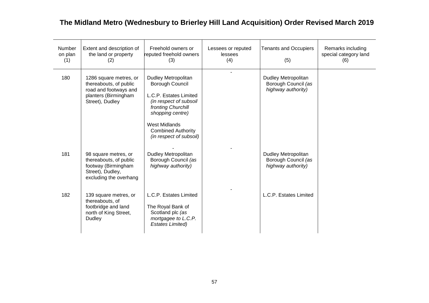| Number<br>on plan<br>(1) | Extent and description of<br>the land or property<br>(2)                                                             | Freehold owners or<br>reputed freehold owners<br>(3)                                                                                                                                                                 | Lessees or reputed<br>lessees<br>(4) | <b>Tenants and Occupiers</b><br>(5)                                     | Remarks including<br>special category land<br>(6) |
|--------------------------|----------------------------------------------------------------------------------------------------------------------|----------------------------------------------------------------------------------------------------------------------------------------------------------------------------------------------------------------------|--------------------------------------|-------------------------------------------------------------------------|---------------------------------------------------|
| 180                      | 1286 square metres, or<br>thereabouts, of public<br>road and footways and<br>planters (Birmingham<br>Street), Dudley | Dudley Metropolitan<br>Borough Council<br>L.C.P. Estates Limited<br>(in respect of subsoil<br>fronting Churchill<br>shopping centre)<br><b>West Midlands</b><br><b>Combined Authority</b><br>(in respect of subsoil) |                                      | <b>Dudley Metropolitan</b><br>Borough Council (as<br>highway authority) |                                                   |
| 181                      | 98 square metres, or<br>thereabouts, of public<br>footway (Birmingham<br>Street), Dudley,<br>excluding the overhang  | Dudley Metropolitan<br>Borough Council (as<br>highway authority)                                                                                                                                                     |                                      | <b>Dudley Metropolitan</b><br>Borough Council (as<br>highway authority) |                                                   |
| 182                      | 139 square metres, or<br>thereabouts, of<br>footbridge and land<br>north of King Street,<br>Dudley                   | L.C.P. Estates Limited<br>The Royal Bank of<br>Scotland plc (as<br>mortgagee to L.C.P.<br><b>Estates Limited)</b>                                                                                                    |                                      | L.C.P. Estates Limited                                                  |                                                   |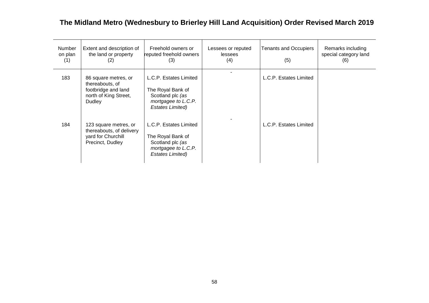| Number<br>on plan<br>(1) | Extent and description of<br>the land or property<br>(2)                                          | Freehold owners or<br>reputed freehold owners<br>(3)                                                              | Lessees or reputed<br>lessees<br>(4) | <b>Tenants and Occupiers</b><br>(5) | Remarks including<br>special category land<br>(6) |
|--------------------------|---------------------------------------------------------------------------------------------------|-------------------------------------------------------------------------------------------------------------------|--------------------------------------|-------------------------------------|---------------------------------------------------|
| 183                      | 86 square metres, or<br>thereabouts, of<br>footbridge and land<br>north of King Street,<br>Dudley | L.C.P. Estates Limited<br>The Royal Bank of<br>Scotland plc (as<br>mortgagee to L.C.P.<br>Estates Limited)        |                                      | L.C.P. Estates Limited              |                                                   |
| 184                      | 123 square metres, or<br>thereabouts, of delivery<br>yard for Churchill<br>Precinct, Dudley       | L.C.P. Estates Limited<br>The Royal Bank of<br>Scotland plc (as<br>mortgagee to L.C.P.<br><b>Estates Limited)</b> |                                      | L.C.P. Estates Limited              |                                                   |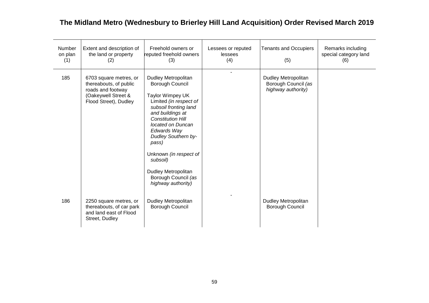| Number<br>on plan<br>(1) | Extent and description of<br>the land or property<br>(2)                                                              | Freehold owners or<br>reputed freehold owners<br>(3)                                                                                                                                                                                                                                                                                               | Lessees or reputed<br>lessees<br>(4) | <b>Tenants and Occupiers</b><br>(5)                                     | Remarks including<br>special category land<br>(6) |
|--------------------------|-----------------------------------------------------------------------------------------------------------------------|----------------------------------------------------------------------------------------------------------------------------------------------------------------------------------------------------------------------------------------------------------------------------------------------------------------------------------------------------|--------------------------------------|-------------------------------------------------------------------------|---------------------------------------------------|
| 185                      | 6703 square metres, or<br>thereabouts, of public<br>roads and footway<br>(Oakeywell Street &<br>Flood Street), Dudley | Dudley Metropolitan<br>Borough Council<br>Taylor Wimpey UK<br>Limited (in respect of<br>subsoil fronting land<br>and buildings at<br><b>Constitution Hill</b><br>located on Duncan<br>Edwards Way<br><b>Dudley Southern by-</b><br>pass)<br>Unknown (in respect of<br>subsoil)<br>Dudley Metropolitan<br>Borough Council (as<br>highway authority) |                                      | <b>Dudley Metropolitan</b><br>Borough Council (as<br>highway authority) |                                                   |
| 186                      | 2250 square metres, or<br>thereabouts, of car park<br>and land east of Flood<br>Street, Dudley                        | Dudley Metropolitan<br>Borough Council                                                                                                                                                                                                                                                                                                             |                                      | Dudley Metropolitan<br>Borough Council                                  |                                                   |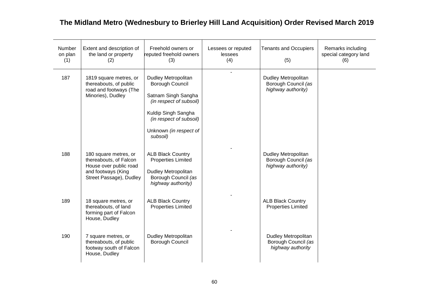| Number<br>on plan<br>(1) | Extent and description of<br>the land or property<br>(2)                                                                   | Freehold owners or<br>reputed freehold owners<br>(3)                                                                                                                             | Lessees or reputed<br>lessees<br>(4) | <b>Tenants and Occupiers</b><br>(5)                              | Remarks including<br>special category land<br>(6) |
|--------------------------|----------------------------------------------------------------------------------------------------------------------------|----------------------------------------------------------------------------------------------------------------------------------------------------------------------------------|--------------------------------------|------------------------------------------------------------------|---------------------------------------------------|
| 187                      | 1819 square metres, or<br>thereabouts, of public<br>road and footways (The<br>Minories), Dudley                            | Dudley Metropolitan<br>Borough Council<br>Satnam Singh Sangha<br>(in respect of subsoil)<br>Kuldip Singh Sangha<br>(in respect of subsoil)<br>Unknown (in respect of<br>subsoil) |                                      | Dudley Metropolitan<br>Borough Council (as<br>highway authority) |                                                   |
| 188                      | 180 square metres, or<br>thereabouts, of Falcon<br>House over public road<br>and footways (King<br>Street Passage), Dudley | <b>ALB Black Country</b><br><b>Properties Limited</b><br><b>Dudley Metropolitan</b><br>Borough Council (as<br>highway authority)                                                 |                                      | Dudley Metropolitan<br>Borough Council (as<br>highway authority) |                                                   |
| 189                      | 18 square metres, or<br>thereabouts, of land<br>forming part of Falcon<br>House, Dudley                                    | <b>ALB Black Country</b><br><b>Properties Limited</b>                                                                                                                            |                                      | <b>ALB Black Country</b><br><b>Properties Limited</b>            |                                                   |
| 190                      | 7 square metres, or<br>thereabouts, of public<br>footway south of Falcon<br>House, Dudley                                  | Dudley Metropolitan<br>Borough Council                                                                                                                                           |                                      | Dudley Metropolitan<br>Borough Council (as<br>highway authority  |                                                   |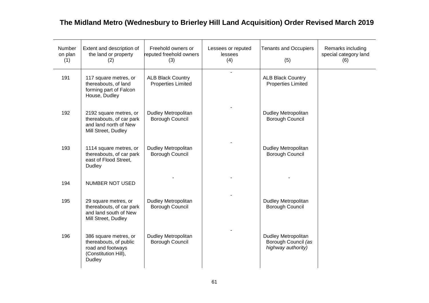| Number<br>on plan<br>(1) | Extent and description of<br>the land or property<br>(2)                                               | Freehold owners or<br>reputed freehold owners<br>(3)  | Lessees or reputed<br>lessees<br>(4) | <b>Tenants and Occupiers</b><br>(5)                                     | Remarks including<br>special category land<br>(6) |
|--------------------------|--------------------------------------------------------------------------------------------------------|-------------------------------------------------------|--------------------------------------|-------------------------------------------------------------------------|---------------------------------------------------|
| 191                      | 117 square metres, or<br>thereabouts, of land<br>forming part of Falcon<br>House, Dudley               | <b>ALB Black Country</b><br><b>Properties Limited</b> | $\overline{a}$                       | <b>ALB Black Country</b><br><b>Properties Limited</b>                   |                                                   |
| 192                      | 2192 square metres, or<br>thereabouts, of car park<br>and land north of New<br>Mill Street, Dudley     | Dudley Metropolitan<br>Borough Council                |                                      | <b>Dudley Metropolitan</b><br>Borough Council                           |                                                   |
| 193                      | 1114 square metres, or<br>thereabouts, of car park<br>east of Flood Street,<br>Dudley                  | <b>Dudley Metropolitan</b><br><b>Borough Council</b>  |                                      | <b>Dudley Metropolitan</b><br><b>Borough Council</b>                    |                                                   |
| 194                      | NUMBER NOT USED                                                                                        |                                                       |                                      |                                                                         |                                                   |
| 195                      | 29 square metres, or<br>thereabouts, of car park<br>and land south of New<br>Mill Street, Dudley       | <b>Dudley Metropolitan</b><br><b>Borough Council</b>  |                                      | <b>Dudley Metropolitan</b><br><b>Borough Council</b>                    |                                                   |
| 196                      | 386 square metres, or<br>thereabouts, of public<br>road and footways<br>(Constitution Hill),<br>Dudley | <b>Dudley Metropolitan</b><br>Borough Council         |                                      | <b>Dudley Metropolitan</b><br>Borough Council (as<br>highway authority) |                                                   |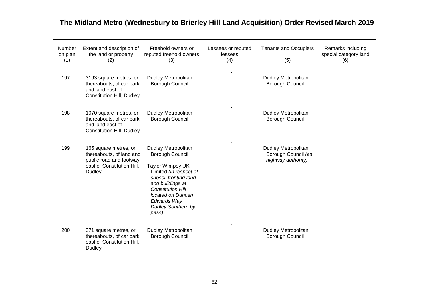| Number<br>on plan<br>(1) | Extent and description of<br>the land or property<br>(2)                                                             | Freehold owners or<br>reputed freehold owners<br>(3)                                                                                                                                                                                            | Lessees or reputed<br>lessees<br>(4) | <b>Tenants and Occupiers</b><br>(5)                              | Remarks including<br>special category land<br>(6) |
|--------------------------|----------------------------------------------------------------------------------------------------------------------|-------------------------------------------------------------------------------------------------------------------------------------------------------------------------------------------------------------------------------------------------|--------------------------------------|------------------------------------------------------------------|---------------------------------------------------|
| 197                      | 3193 square metres, or<br>thereabouts, of car park<br>and land east of<br><b>Constitution Hill, Dudley</b>           | <b>Dudley Metropolitan</b><br>Borough Council                                                                                                                                                                                                   |                                      | Dudley Metropolitan<br>Borough Council                           |                                                   |
| 198                      | 1070 square metres, or<br>thereabouts, of car park<br>and land east of<br><b>Constitution Hill, Dudley</b>           | Dudley Metropolitan<br>Borough Council                                                                                                                                                                                                          |                                      | Dudley Metropolitan<br>Borough Council                           |                                                   |
| 199                      | 165 square metres, or<br>thereabouts, of land and<br>public road and footway<br>east of Constitution Hill,<br>Dudley | <b>Dudley Metropolitan</b><br>Borough Council<br>Taylor Wimpey UK<br>Limited (in respect of<br>subsoil fronting land<br>and buildings at<br><b>Constitution Hill</b><br>located on Duncan<br>Edwards Way<br><b>Dudley Southern by-</b><br>pass) |                                      | Dudley Metropolitan<br>Borough Council (as<br>highway authority) |                                                   |
| 200                      | 371 square metres, or<br>thereabouts, of car park<br>east of Constitution Hill,<br>Dudley                            | <b>Dudley Metropolitan</b><br>Borough Council                                                                                                                                                                                                   |                                      | Dudley Metropolitan<br>Borough Council                           |                                                   |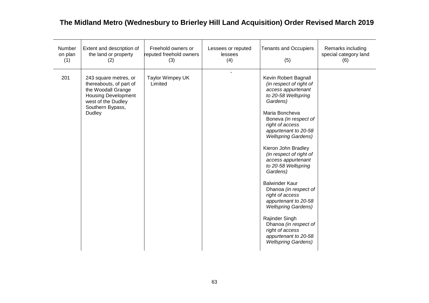| Number<br>on plan<br>(1) | Extent and description of<br>the land or property<br>(2)                                                                                                 | Freehold owners or<br>reputed freehold owners<br>(3) | Lessees or reputed<br>lessees<br>(4) | <b>Tenants and Occupiers</b><br>(5)                                                                                                                                                                                                                                                                                                                                                                                                                                                                                                                                                    | Remarks including<br>special category land<br>(6) |
|--------------------------|----------------------------------------------------------------------------------------------------------------------------------------------------------|------------------------------------------------------|--------------------------------------|----------------------------------------------------------------------------------------------------------------------------------------------------------------------------------------------------------------------------------------------------------------------------------------------------------------------------------------------------------------------------------------------------------------------------------------------------------------------------------------------------------------------------------------------------------------------------------------|---------------------------------------------------|
| 201                      | 243 square metres, or<br>thereabouts, of part of<br>the Woodall Grange<br><b>Housing Development</b><br>west of the Dudley<br>Southern Bypass,<br>Dudley | Taylor Wimpey UK<br>Limited                          |                                      | Kevin Robert Bagnall<br>(in respect of right of<br>access appurtenant<br>to 20-58 Wellspring<br>Gardens)<br>Maria Boncheva<br>Boneva (in respect of<br>right of access<br>appurtenant to 20-58<br><b>Wellspring Gardens)</b><br>Kieron John Bradley<br>(in respect of right of<br>access appurtenant<br>to 20-58 Wellspring<br>Gardens)<br><b>Balwinder Kaur</b><br>Dhanoa (in respect of<br>right of access<br>appurtenant to 20-58<br><b>Wellspring Gardens)</b><br>Rajinder Singh<br>Dhanoa (in respect of<br>right of access<br>appurtenant to 20-58<br><b>Wellspring Gardens)</b> |                                                   |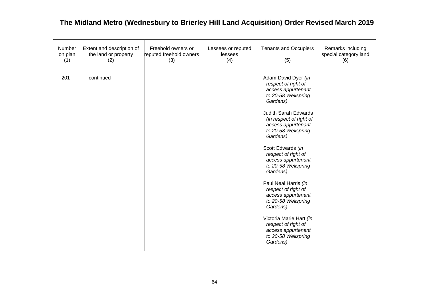| Number<br>on plan<br>(1) | Extent and description of<br>the land or property<br>(2) | Freehold owners or<br>reputed freehold owners<br>(3) | Lessees or reputed<br>lessees<br>(4) | <b>Tenants and Occupiers</b><br>(5)                                                                                                                                                                                                                                                                                                                                                                                                                                                                                                            | Remarks including<br>special category land<br>(6) |
|--------------------------|----------------------------------------------------------|------------------------------------------------------|--------------------------------------|------------------------------------------------------------------------------------------------------------------------------------------------------------------------------------------------------------------------------------------------------------------------------------------------------------------------------------------------------------------------------------------------------------------------------------------------------------------------------------------------------------------------------------------------|---------------------------------------------------|
| 201                      | - continued                                              |                                                      |                                      | Adam David Dyer (in<br>respect of right of<br>access appurtenant<br>to 20-58 Wellspring<br>Gardens)<br><b>Judith Sarah Edwards</b><br>(in respect of right of<br>access appurtenant<br>to 20-58 Wellspring<br>Gardens)<br>Scott Edwards (in<br>respect of right of<br>access appurtenant<br>to 20-58 Wellspring<br>Gardens)<br>Paul Neal Harris (in<br>respect of right of<br>access appurtenant<br>to 20-58 Wellspring<br>Gardens)<br>Victoria Marie Hart (in<br>respect of right of<br>access appurtenant<br>to 20-58 Wellspring<br>Gardens) |                                                   |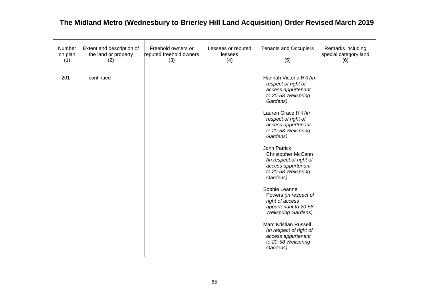| Number<br>on plan<br>(1) | Extent and description of<br>the land or property<br>(2) | Freehold owners or<br>reputed freehold owners<br>(3) | Lessees or reputed<br>lessees<br>(4) | <b>Tenants and Occupiers</b><br>(5)                                                                                                                                                                                                                                                                                                                                                                                                                                                                                                                                                | Remarks including<br>special category land<br>(6) |
|--------------------------|----------------------------------------------------------|------------------------------------------------------|--------------------------------------|------------------------------------------------------------------------------------------------------------------------------------------------------------------------------------------------------------------------------------------------------------------------------------------------------------------------------------------------------------------------------------------------------------------------------------------------------------------------------------------------------------------------------------------------------------------------------------|---------------------------------------------------|
| 201                      | - continued                                              |                                                      |                                      | Hannah Victoria Hill (in<br>respect of right of<br>access appurtenant<br>to 20-58 Wellspring<br>Gardens)<br>Lauren Grace Hill (in<br>respect of right of<br>access appurtenant<br>to 20-58 Wellspring<br>Gardens)<br>John Patrick<br>Christopher McCann<br>(in respect of right of<br>access appurtenant<br>to 20-58 Wellspring<br>Gardens)<br>Sophie Leanne<br>Powers (in respect of<br>right of access<br>appurtenant to 20-58<br><b>Wellspring Gardens)</b><br><b>Marc Kristian Russell</b><br>(in respect of right of<br>access appurtenant<br>to 20-58 Wellspring<br>Gardens) |                                                   |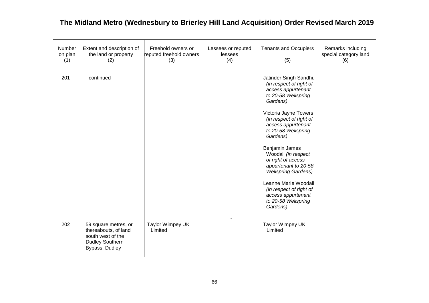| Number<br>on plan<br>(1) | Extent and description of<br>the land or property<br>(2)                                                      | Freehold owners or<br>reputed freehold owners<br>(3) | Lessees or reputed<br>lessees<br>(4) | <b>Tenants and Occupiers</b><br>(5)                                                                                                                                                                                                                                                                                                                                                                                                                     | Remarks including<br>special category land<br>(6) |
|--------------------------|---------------------------------------------------------------------------------------------------------------|------------------------------------------------------|--------------------------------------|---------------------------------------------------------------------------------------------------------------------------------------------------------------------------------------------------------------------------------------------------------------------------------------------------------------------------------------------------------------------------------------------------------------------------------------------------------|---------------------------------------------------|
| 201                      | - continued                                                                                                   |                                                      |                                      | Jatinder Singh Sandhu<br>(in respect of right of<br>access appurtenant<br>to 20-58 Wellspring<br>Gardens)<br>Victoria Jayne Towers<br>(in respect of right of<br>access appurtenant<br>to 20-58 Wellspring<br>Gardens)<br>Benjamin James<br>Woodall (in respect<br>of right of access<br>appurtenant to 20-58<br><b>Wellspring Gardens)</b><br>Leanne Marie Woodall<br>(in respect of right of<br>access appurtenant<br>to 20-58 Wellspring<br>Gardens) |                                                   |
| 202                      | 59 square metres, or<br>thereabouts, of land<br>south west of the<br><b>Dudley Southern</b><br>Bypass, Dudley | Taylor Wimpey UK<br>Limited                          |                                      | Taylor Wimpey UK<br>Limited                                                                                                                                                                                                                                                                                                                                                                                                                             |                                                   |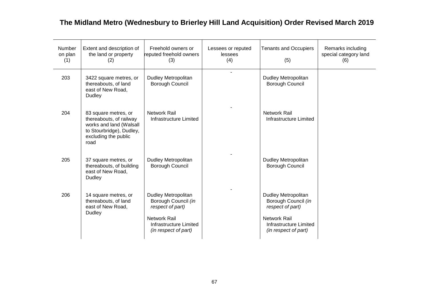| Extent and description of<br>the land or property<br>(2)                                                                               | Freehold owners or<br>(3)                                                                                       | Lessees or reputed<br>lessees<br>(4)            | <b>Tenants and Occupiers</b><br>(5)                                                                             | Remarks including<br>special category land<br>(6) |
|----------------------------------------------------------------------------------------------------------------------------------------|-----------------------------------------------------------------------------------------------------------------|-------------------------------------------------|-----------------------------------------------------------------------------------------------------------------|---------------------------------------------------|
| 3422 square metres, or<br>thereabouts, of land<br>east of New Road,<br>Dudley                                                          | <b>Dudley Metropolitan</b><br>Borough Council                                                                   |                                                 | <b>Dudley Metropolitan</b><br>Borough Council                                                                   |                                                   |
| 83 square metres, or<br>thereabouts, of railway<br>works and land (Walsall<br>to Stourbridge), Dudley,<br>excluding the public<br>road | <b>Network Rail</b><br>Infrastructure Limited                                                                   |                                                 | <b>Network Rail</b><br>Infrastructure Limited                                                                   |                                                   |
| 37 square metres, or<br>thereabouts, of building<br>east of New Road,<br>Dudley                                                        | Dudley Metropolitan<br>Borough Council                                                                          |                                                 | <b>Dudley Metropolitan</b><br>Borough Council                                                                   |                                                   |
| 14 square metres, or<br>thereabouts, of land<br>east of New Road,<br>Dudley                                                            | Dudley Metropolitan<br>Borough Council (in<br>respect of part)<br><b>Network Rail</b><br>Infrastructure Limited |                                                 | Dudley Metropolitan<br>Borough Council (in<br>respect of part)<br><b>Network Rail</b><br>Infrastructure Limited |                                                   |
|                                                                                                                                        |                                                                                                                 | reputed freehold owners<br>(in respect of part) |                                                                                                                 | (in respect of part)                              |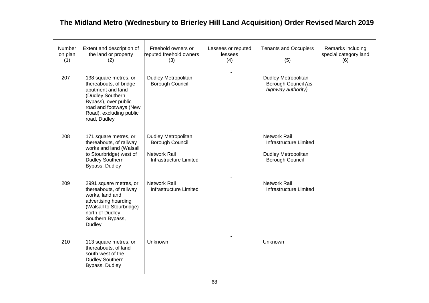| Number<br>on plan<br>(1) | Extent and description of<br>the land or property<br>(2)                                                                                                                              | Freehold owners or<br>reputed freehold owners<br>(3)                                           | Lessees or reputed<br>lessees<br>(4) | <b>Tenants and Occupiers</b><br>(5)                                                            | Remarks including<br>special category land<br>(6) |
|--------------------------|---------------------------------------------------------------------------------------------------------------------------------------------------------------------------------------|------------------------------------------------------------------------------------------------|--------------------------------------|------------------------------------------------------------------------------------------------|---------------------------------------------------|
| 207                      | 138 square metres, or<br>thereabouts, of bridge<br>abutment and land<br>(Dudley Southern<br>Bypass), over public<br>road and footways (New<br>Road), excluding public<br>road, Dudley | <b>Dudley Metropolitan</b><br>Borough Council                                                  |                                      | <b>Dudley Metropolitan</b><br>Borough Council (as<br>highway authority)                        |                                                   |
| 208                      | 171 square metres, or<br>thereabouts, of railway<br>works and land (Walsall<br>to Stourbridge) west of<br><b>Dudley Southern</b><br>Bypass, Dudley                                    | <b>Dudley Metropolitan</b><br>Borough Council<br><b>Network Rail</b><br>Infrastructure Limited |                                      | <b>Network Rail</b><br>Infrastructure Limited<br><b>Dudley Metropolitan</b><br>Borough Council |                                                   |
| 209                      | 2991 square metres, or<br>thereabouts, of railway<br>works, land and<br>advertising hoarding<br>(Walsall to Stourbridge)<br>north of Dudley<br>Southern Bypass,<br>Dudley             | <b>Network Rail</b><br>Infrastructure Limited                                                  |                                      | <b>Network Rail</b><br>Infrastructure Limited                                                  |                                                   |
| 210                      | 113 square metres, or<br>thereabouts, of land<br>south west of the<br><b>Dudley Southern</b><br>Bypass, Dudley                                                                        | Unknown                                                                                        |                                      | Unknown                                                                                        |                                                   |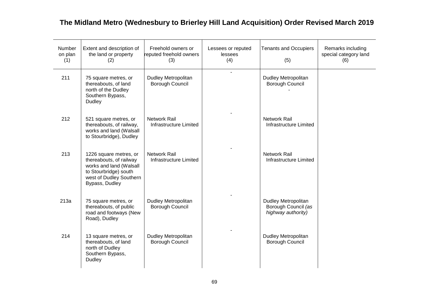| Number<br>on plan<br>(1) | Extent and description of<br>the land or property<br>(2)                                                                                           | Freehold owners or<br>reputed freehold owners<br>(3) | Lessees or reputed<br>lessees<br>(4) | <b>Tenants and Occupiers</b><br>(5)                                     | Remarks including<br>special category land<br>(6) |
|--------------------------|----------------------------------------------------------------------------------------------------------------------------------------------------|------------------------------------------------------|--------------------------------------|-------------------------------------------------------------------------|---------------------------------------------------|
| 211                      | 75 square metres, or<br>thereabouts, of land<br>north of the Dudley<br>Southern Bypass,<br>Dudley                                                  | <b>Dudley Metropolitan</b><br>Borough Council        | $\overline{a}$                       | <b>Dudley Metropolitan</b><br><b>Borough Council</b>                    |                                                   |
| 212                      | 521 square metres, or<br>thereabouts, of railway,<br>works and land (Walsall<br>to Stourbridge), Dudley                                            | <b>Network Rail</b><br><b>Infrastructure Limited</b> |                                      | Network Rail<br>Infrastructure Limited                                  |                                                   |
| 213                      | 1226 square metres, or<br>thereabouts, of railway<br>works and land (Walsall<br>to Stourbridge) south<br>west of Dudley Southern<br>Bypass, Dudley | Network Rail<br>Infrastructure Limited               |                                      | <b>Network Rail</b><br>Infrastructure Limited                           |                                                   |
| 213a                     | 75 square metres, or<br>thereabouts, of public<br>road and footways (New<br>Road), Dudley                                                          | Dudley Metropolitan<br>Borough Council               |                                      | <b>Dudley Metropolitan</b><br>Borough Council (as<br>highway authority) |                                                   |
| 214                      | 13 square metres, or<br>thereabouts, of land<br>north of Dudley<br>Southern Bypass,<br><b>Dudley</b>                                               | Dudley Metropolitan<br>Borough Council               |                                      | <b>Dudley Metropolitan</b><br><b>Borough Council</b>                    |                                                   |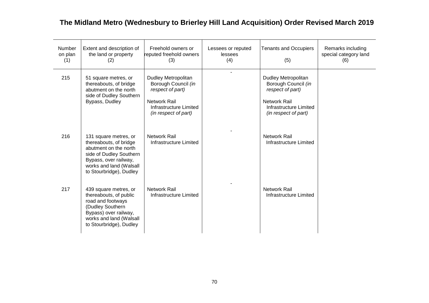| <b>Number</b><br>on plan<br>(1) | Extent and description of<br>the land or property<br>(2)                                                                                                                           | Freehold owners or<br>reputed freehold owners<br>(3)                                                                                    | Lessees or reputed<br>lessees<br>(4) | <b>Tenants and Occupiers</b><br>(5)                                                                                                            | Remarks including<br>special category land<br>(6) |
|---------------------------------|------------------------------------------------------------------------------------------------------------------------------------------------------------------------------------|-----------------------------------------------------------------------------------------------------------------------------------------|--------------------------------------|------------------------------------------------------------------------------------------------------------------------------------------------|---------------------------------------------------|
| 215                             | 51 square metres, or<br>thereabouts, of bridge<br>abutment on the north<br>side of Dudley Southern<br>Bypass, Dudley                                                               | <b>Dudley Metropolitan</b><br>Borough Council (in<br>respect of part)<br>Network Rail<br>Infrastructure Limited<br>(in respect of part) |                                      | <b>Dudley Metropolitan</b><br>Borough Council (in<br>respect of part)<br><b>Network Rail</b><br>Infrastructure Limited<br>(in respect of part) |                                                   |
| 216                             | 131 square metres, or<br>thereabouts, of bridge<br>abutment on the north<br>side of Dudley Southern<br>Bypass, over railway,<br>works and land (Walsall<br>to Stourbridge), Dudley | <b>Network Rail</b><br>Infrastructure Limited                                                                                           |                                      | <b>Network Rail</b><br>Infrastructure Limited                                                                                                  |                                                   |
| 217                             | 439 square metres, or<br>thereabouts, of public<br>road and footways<br>(Dudley Southern<br>Bypass) over railway,<br>works and land (Walsall<br>to Stourbridge), Dudley            | Network Rail<br>Infrastructure Limited                                                                                                  |                                      | <b>Network Rail</b><br>Infrastructure Limited                                                                                                  |                                                   |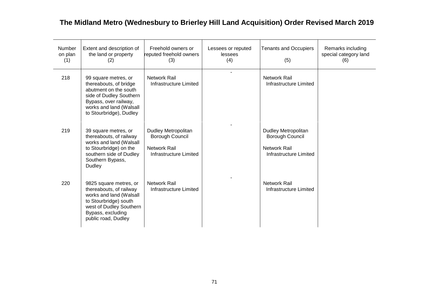| Number<br>on plan<br>(1) | Extent and description of<br>the land or property<br>(2)                                                                                                                          | Freehold owners or<br>reputed freehold owners<br>(3)                                    | Lessees or reputed<br>lessees<br>(4) | <b>Tenants and Occupiers</b><br>(5)                                                     | Remarks including<br>special category land<br>(6) |
|--------------------------|-----------------------------------------------------------------------------------------------------------------------------------------------------------------------------------|-----------------------------------------------------------------------------------------|--------------------------------------|-----------------------------------------------------------------------------------------|---------------------------------------------------|
| 218                      | 99 square metres, or<br>thereabouts, of bridge<br>abutment on the south<br>side of Dudley Southern<br>Bypass, over railway,<br>works and land (Walsall<br>to Stourbridge), Dudley | <b>Network Rail</b><br>Infrastructure Limited                                           |                                      | <b>Network Rail</b><br>Infrastructure Limited                                           |                                                   |
| 219                      | 39 square metres, or<br>thereabouts, of railway<br>works and land (Walsall<br>to Stourbridge) on the<br>southern side of Dudley<br>Southern Bypass,<br>Dudley                     | Dudley Metropolitan<br>Borough Council<br><b>Network Rail</b><br>Infrastructure Limited |                                      | Dudley Metropolitan<br>Borough Council<br><b>Network Rail</b><br>Infrastructure Limited |                                                   |
| 220                      | 9825 square metres, or<br>thereabouts, of railway<br>works and land (Walsall<br>to Stourbridge) south<br>west of Dudley Southern<br>Bypass, excluding<br>public road, Dudley      | Network Rail<br>Infrastructure Limited                                                  |                                      | <b>Network Rail</b><br>Infrastructure Limited                                           |                                                   |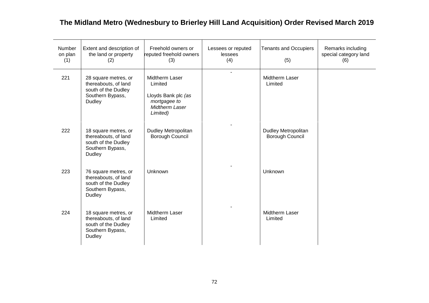| Number<br>on plan<br>(1) | Extent and description of<br>the land or property<br>(2)                                          | Freehold owners or<br>reputed freehold owners<br>(3)                                           | Lessees or reputed<br>lessees<br>(4) | <b>Tenants and Occupiers</b><br>(5)           | Remarks including<br>special category land<br>(6) |
|--------------------------|---------------------------------------------------------------------------------------------------|------------------------------------------------------------------------------------------------|--------------------------------------|-----------------------------------------------|---------------------------------------------------|
| 221                      | 28 square metres, or<br>thereabouts, of land<br>south of the Dudley<br>Southern Bypass,<br>Dudley | Midtherm Laser<br>Limited<br>Lloyds Bank plc (as<br>mortgagee to<br>Midtherm Laser<br>Limited) | ÷.                                   | Midtherm Laser<br>Limited                     |                                                   |
| 222                      | 18 square metres, or<br>thereabouts, of land<br>south of the Dudley<br>Southern Bypass,<br>Dudley | Dudley Metropolitan<br>Borough Council                                                         |                                      | Dudley Metropolitan<br><b>Borough Council</b> |                                                   |
| 223                      | 76 square metres, or<br>thereabouts, of land<br>south of the Dudley<br>Southern Bypass,<br>Dudley | Unknown                                                                                        |                                      | Unknown                                       |                                                   |
| 224                      | 18 square metres, or<br>thereabouts, of land<br>south of the Dudley<br>Southern Bypass,<br>Dudley | <b>Midtherm Laser</b><br>Limited                                                               |                                      | <b>Midtherm Laser</b><br>Limited              |                                                   |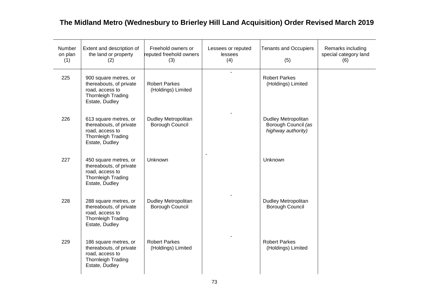| Number<br>on plan<br>(1) | Extent and description of<br>the land or property<br>(2)                                                           | Freehold owners or<br>reputed freehold owners<br>(3) | Lessees or reputed<br>lessees<br>(4) | <b>Tenants and Occupiers</b><br>(5)                                     | Remarks including<br>special category land<br>(6) |
|--------------------------|--------------------------------------------------------------------------------------------------------------------|------------------------------------------------------|--------------------------------------|-------------------------------------------------------------------------|---------------------------------------------------|
| 225                      | 900 square metres, or<br>thereabouts, of private<br>road, access to<br><b>Thornleigh Trading</b><br>Estate, Dudley | <b>Robert Parkes</b><br>(Holdings) Limited           | $\overline{\phantom{a}}$             | <b>Robert Parkes</b><br>(Holdings) Limited                              |                                                   |
| 226                      | 613 square metres, or<br>thereabouts, of private<br>road, access to<br>Thornleigh Trading<br>Estate, Dudley        | Dudley Metropolitan<br>Borough Council               |                                      | <b>Dudley Metropolitan</b><br>Borough Council (as<br>highway authority) |                                                   |
| 227                      | 450 square metres, or<br>thereabouts, of private<br>road, access to<br>Thornleigh Trading<br>Estate, Dudley        | Unknown                                              |                                      | Unknown                                                                 |                                                   |
| 228                      | 288 square metres, or<br>thereabouts, of private<br>road, access to<br>Thornleigh Trading<br>Estate, Dudley        | Dudley Metropolitan<br>Borough Council               |                                      | Dudley Metropolitan<br>Borough Council                                  |                                                   |
| 229                      | 186 square metres, or<br>thereabouts, of private<br>road, access to<br>Thornleigh Trading<br>Estate, Dudley        | <b>Robert Parkes</b><br>(Holdings) Limited           |                                      | <b>Robert Parkes</b><br>(Holdings) Limited                              |                                                   |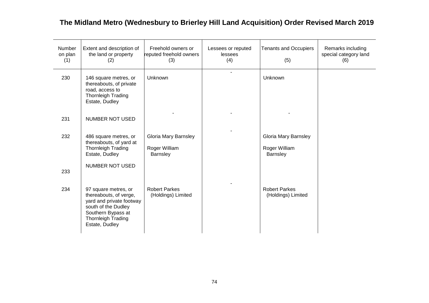| Number<br>on plan<br>(1) | Extent and description of<br>the land or property<br>(2)                                                                                                        | Freehold owners or<br>reputed freehold owners<br>(3)     | Lessees or reputed<br>lessees<br>(4) | <b>Tenants and Occupiers</b><br>(5)               | Remarks including<br>special category land<br>(6) |
|--------------------------|-----------------------------------------------------------------------------------------------------------------------------------------------------------------|----------------------------------------------------------|--------------------------------------|---------------------------------------------------|---------------------------------------------------|
| 230                      | 146 square metres, or<br>thereabouts, of private<br>road, access to<br><b>Thornleigh Trading</b><br>Estate, Dudley                                              | Unknown                                                  | $\blacksquare$                       | Unknown                                           |                                                   |
| 231                      | <b>NUMBER NOT USED</b>                                                                                                                                          |                                                          |                                      |                                                   |                                                   |
| 232                      | 486 square metres, or<br>thereabouts, of yard at<br><b>Thornleigh Trading</b><br>Estate, Dudley                                                                 | <b>Gloria Mary Barnsley</b><br>Roger William<br>Barnsley |                                      | Gloria Mary Barnsley<br>Roger William<br>Barnsley |                                                   |
| 233                      | <b>NUMBER NOT USED</b>                                                                                                                                          |                                                          |                                      |                                                   |                                                   |
| 234                      | 97 square metres, or<br>thereabouts, of verge,<br>yard and private footway<br>south of the Dudley<br>Southern Bypass at<br>Thornleigh Trading<br>Estate, Dudley | <b>Robert Parkes</b><br>(Holdings) Limited               |                                      | <b>Robert Parkes</b><br>(Holdings) Limited        |                                                   |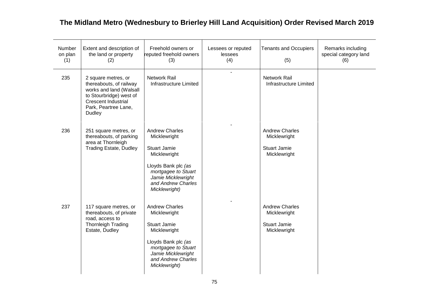| Number<br>on plan<br>(1) | Extent and description of<br>the land or property<br>(2)                                                                                                             | Freehold owners or<br>reputed freehold owners<br>(3)                                                                                                                                    | Lessees or reputed<br>lessees<br>(4) | <b>Tenants and Occupiers</b><br>(5)                                          | Remarks including<br>special category land<br>(6) |
|--------------------------|----------------------------------------------------------------------------------------------------------------------------------------------------------------------|-----------------------------------------------------------------------------------------------------------------------------------------------------------------------------------------|--------------------------------------|------------------------------------------------------------------------------|---------------------------------------------------|
| 235                      | 2 square metres, or<br>thereabouts, of railway<br>works and land (Walsall<br>to Stourbridge) west of<br><b>Crescent Industrial</b><br>Park, Peartree Lane,<br>Dudley | <b>Network Rail</b><br>Infrastructure Limited                                                                                                                                           |                                      | <b>Network Rail</b><br><b>Infrastructure Limited</b>                         |                                                   |
| 236                      | 251 square metres, or<br>thereabouts, of parking<br>area at Thornleigh<br><b>Trading Estate, Dudley</b>                                                              | <b>Andrew Charles</b><br>Micklewright<br><b>Stuart Jamie</b><br>Micklewright<br>Lloyds Bank plc (as<br>mortgagee to Stuart<br>Jamie Micklewright<br>and Andrew Charles<br>Micklewright) |                                      | <b>Andrew Charles</b><br>Micklewright<br><b>Stuart Jamie</b><br>Micklewright |                                                   |
| 237                      | 117 square metres, or<br>thereabouts, of private<br>road, access to<br><b>Thornleigh Trading</b><br>Estate, Dudley                                                   | <b>Andrew Charles</b><br>Micklewright<br><b>Stuart Jamie</b><br>Micklewright<br>Lloyds Bank plc (as<br>mortgagee to Stuart<br>Jamie Micklewright<br>and Andrew Charles<br>Micklewright) |                                      | <b>Andrew Charles</b><br>Micklewright<br><b>Stuart Jamie</b><br>Micklewright |                                                   |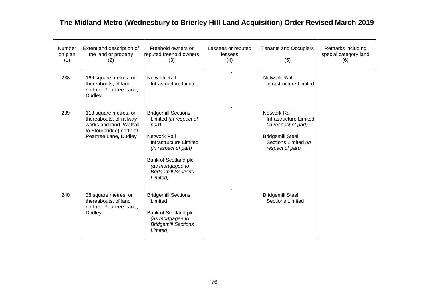| <b>Number</b><br>on plan<br>(1) | Extent and description of<br>the land or property<br>(2)                                                                         | Freehold owners or<br>reputed freehold owners<br>(3)                                                                                                                                                                         | Lessees or reputed<br>lessees<br>(4) | <b>Tenants and Occupiers</b><br>(5)                                                                                                          | Remarks including<br>special category land<br>(6) |
|---------------------------------|----------------------------------------------------------------------------------------------------------------------------------|------------------------------------------------------------------------------------------------------------------------------------------------------------------------------------------------------------------------------|--------------------------------------|----------------------------------------------------------------------------------------------------------------------------------------------|---------------------------------------------------|
| 238                             | 166 square metres, or<br>thereabouts, of land<br>north of Peartree Lane,<br>Dudley                                               | Network Rail<br>Infrastructure Limited                                                                                                                                                                                       |                                      | <b>Network Rail</b><br>Infrastructure Limited                                                                                                |                                                   |
| 239                             | 118 square metres, or<br>thereabouts, of railway<br>works and land (Walsall<br>to Stourbridge) north of<br>Peartree Lane, Dudley | <b>Bridgemill Sections</b><br>Limited (in respect of<br>part)<br><b>Network Rail</b><br>Infrastructure Limited<br>(in respect of part)<br>Bank of Scotland plc<br>(as mortgagee to<br><b>Bridgemill Sections</b><br>Limited) |                                      | <b>Network Rail</b><br>Infrastructure Limited<br>(in respect of part)<br><b>Bridgemill Steel</b><br>Sections Limited (in<br>respect of part) |                                                   |
| 240                             | 38 square metres, or<br>thereabouts, of land<br>north of Peartree Lane,<br>Dudley                                                | <b>Bridgemill Sections</b><br>Limited<br>Bank of Scotland plc<br>(as mortgagee to<br><b>Bridgemill Sections</b><br>Limited)                                                                                                  |                                      | <b>Bridgemill Steel</b><br><b>Sections Limited</b>                                                                                           |                                                   |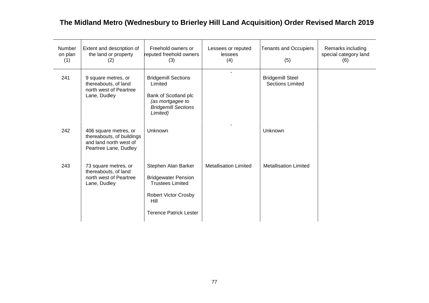| <b>Number</b><br>on plan<br>(1) | Extent and description of<br>the land or property<br>(2)                                              | Freehold owners or<br>reputed freehold owners<br>(3)                                                                                                 | Lessees or reputed<br>lessees<br>(4) | <b>Tenants and Occupiers</b><br>(5)                | Remarks including<br>special category land<br>(6) |
|---------------------------------|-------------------------------------------------------------------------------------------------------|------------------------------------------------------------------------------------------------------------------------------------------------------|--------------------------------------|----------------------------------------------------|---------------------------------------------------|
| 241                             | 9 square metres, or<br>thereabouts, of land<br>north west of Peartree<br>Lane, Dudley                 | <b>Bridgemill Sections</b><br>Limited<br>Bank of Scotland plc<br>(as mortgagee to<br><b>Bridgemill Sections</b><br>Limited)                          |                                      | <b>Bridgemill Steel</b><br><b>Sections Limited</b> |                                                   |
| 242                             | 406 square metres, or<br>thereabouts, of buildings<br>and land north west of<br>Peartree Lane, Dudley | Unknown                                                                                                                                              |                                      | Unknown                                            |                                                   |
| 243                             | 73 square metres, or<br>thereabouts, of land<br>north west of Peartree<br>Lane, Dudley                | Stephen Alan Barker<br><b>Bridgewater Pension</b><br><b>Trustees Limited</b><br><b>Robert Victor Crosby</b><br>Hill<br><b>Terence Patrick Lester</b> | <b>Metallisation Limited</b>         | <b>Metallisation Limited</b>                       |                                                   |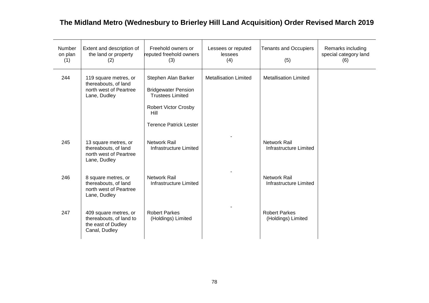| Number<br>on plan<br>(1) | Extent and description of<br>the land or property<br>(2)                                | Freehold owners or<br>reputed freehold owners<br>(3)                                                                                                 | Lessees or reputed<br>lessees<br>(4) | <b>Tenants and Occupiers</b><br>(5)           | Remarks including<br>special category land<br>(6) |
|--------------------------|-----------------------------------------------------------------------------------------|------------------------------------------------------------------------------------------------------------------------------------------------------|--------------------------------------|-----------------------------------------------|---------------------------------------------------|
| 244                      | 119 square metres, or<br>thereabouts, of land<br>north west of Peartree<br>Lane, Dudley | Stephen Alan Barker<br><b>Bridgewater Pension</b><br><b>Trustees Limited</b><br><b>Robert Victor Crosby</b><br>Hill<br><b>Terence Patrick Lester</b> | <b>Metallisation Limited</b>         | <b>Metallisation Limited</b>                  |                                                   |
| 245                      | 13 square metres, or<br>thereabouts, of land<br>north west of Peartree<br>Lane, Dudley  | <b>Network Rail</b><br>Infrastructure Limited                                                                                                        |                                      | <b>Network Rail</b><br>Infrastructure Limited |                                                   |
| 246                      | 8 square metres, or<br>thereabouts, of land<br>north west of Peartree<br>Lane, Dudley   | Network Rail<br>Infrastructure Limited                                                                                                               |                                      | <b>Network Rail</b><br>Infrastructure Limited |                                                   |
| 247                      | 409 square metres, or<br>thereabouts, of land to<br>the east of Dudley<br>Canal, Dudley | <b>Robert Parkes</b><br>(Holdings) Limited                                                                                                           |                                      | <b>Robert Parkes</b><br>(Holdings) Limited    |                                                   |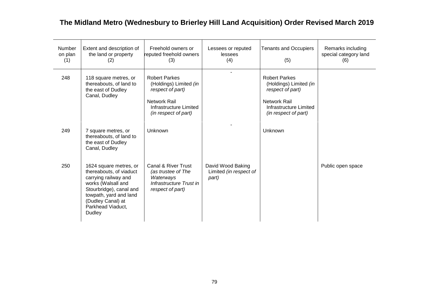| Number<br>on plan<br>(1) | Extent and description of<br>the land or property<br>(2)                                                                                                                                                 | Freehold owners or<br>reputed freehold owners<br>(3)                                                                                        | Lessees or reputed<br>lessees<br>(4)                 | <b>Tenants and Occupiers</b><br>(5)                                                                                                  | Remarks including<br>special category land<br>(6) |
|--------------------------|----------------------------------------------------------------------------------------------------------------------------------------------------------------------------------------------------------|---------------------------------------------------------------------------------------------------------------------------------------------|------------------------------------------------------|--------------------------------------------------------------------------------------------------------------------------------------|---------------------------------------------------|
| 248                      | 118 square metres, or<br>thereabouts, of land to<br>the east of Dudley<br>Canal, Dudley                                                                                                                  | <b>Robert Parkes</b><br>(Holdings) Limited (in<br>respect of part)<br><b>Network Rail</b><br>Infrastructure Limited<br>(in respect of part) |                                                      | <b>Robert Parkes</b><br>(Holdings) Limited (in<br>respect of part)<br>Network Rail<br>Infrastructure Limited<br>(in respect of part) |                                                   |
| 249                      | 7 square metres, or<br>thereabouts, of land to<br>the east of Dudley<br>Canal, Dudley                                                                                                                    | Unknown                                                                                                                                     |                                                      | <b>Unknown</b>                                                                                                                       |                                                   |
| 250                      | 1624 square metres, or<br>thereabouts, of viaduct<br>carrying railway and<br>works (Walsall and<br>Stourbridge), canal and<br>towpath, yard and land<br>(Dudley Canal) at<br>Parkhead Viaduct,<br>Dudley | Canal & River Trust<br>(as trustee of The<br>Waterways<br>Infrastructure Trust in<br>respect of part)                                       | David Wood Baking<br>Limited (in respect of<br>part) |                                                                                                                                      | Public open space                                 |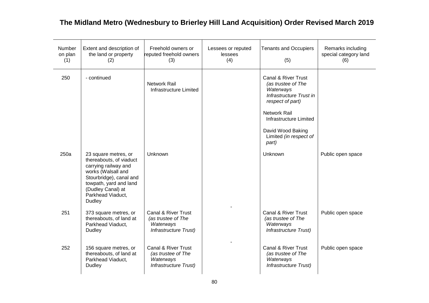| Number<br>on plan<br>(1) | Extent and description of<br>the land or property<br>(2)                                                                                                                                               | Freehold owners or<br>reputed freehold owners<br>(3)                                       | Lessees or reputed<br>lessees<br>(4) | <b>Tenants and Occupiers</b><br>(5)                                                                                                                    | Remarks including<br>special category land<br>(6) |
|--------------------------|--------------------------------------------------------------------------------------------------------------------------------------------------------------------------------------------------------|--------------------------------------------------------------------------------------------|--------------------------------------|--------------------------------------------------------------------------------------------------------------------------------------------------------|---------------------------------------------------|
| 250                      | - continued                                                                                                                                                                                            | <b>Network Rail</b><br><b>Infrastructure Limited</b>                                       |                                      | Canal & River Trust<br>(as trustee of The<br>Waterways<br>Infrastructure Trust in<br>respect of part)<br><b>Network Rail</b><br>Infrastructure Limited |                                                   |
|                          |                                                                                                                                                                                                        |                                                                                            |                                      | David Wood Baking<br>Limited (in respect of<br>part)                                                                                                   |                                                   |
| 250a                     | 23 square metres, or<br>thereabouts, of viaduct<br>carrying railway and<br>works (Walsall and<br>Stourbridge), canal and<br>towpath, yard and land<br>(Dudley Canal) at<br>Parkhead Viaduct,<br>Dudley | Unknown                                                                                    |                                      | Unknown                                                                                                                                                | Public open space                                 |
| 251                      | 373 square metres, or<br>thereabouts, of land at<br>Parkhead Viaduct,<br><b>Dudley</b>                                                                                                                 | <b>Canal &amp; River Trust</b><br>(as trustee of The<br>Waterways<br>Infrastructure Trust) |                                      | <b>Canal &amp; River Trust</b><br>(as trustee of The<br>Waterways<br>Infrastructure Trust)                                                             | Public open space                                 |
| 252                      | 156 square metres, or<br>thereabouts, of land at<br>Parkhead Viaduct,<br><b>Dudley</b>                                                                                                                 | Canal & River Trust<br>(as trustee of The<br>Waterways<br><b>Infrastructure Trust)</b>     |                                      | Canal & River Trust<br>(as trustee of The<br>Waterways<br>Infrastructure Trust)                                                                        | Public open space                                 |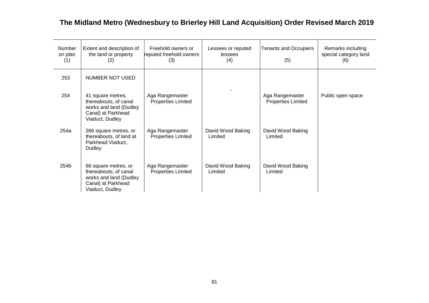| Number<br>on plan<br>(1) | Extent and description of<br>the land or property<br>(2)                                                         | Freehold owners or<br>reputed freehold owners<br>(3) | Lessees or reputed<br>lessees<br>(4) | <b>Tenants and Occupiers</b><br>(5)          | Remarks including<br>special category land<br>(6) |
|--------------------------|------------------------------------------------------------------------------------------------------------------|------------------------------------------------------|--------------------------------------|----------------------------------------------|---------------------------------------------------|
| 253                      | NUMBER NOT USED                                                                                                  |                                                      |                                      |                                              |                                                   |
| 254                      | 41 square metres,<br>thereabouts, of canal<br>works and land (Dudley<br>Canal) at Parkhead<br>Viaduct, Dudley    | Aga Rangemaster<br><b>Properties Limited</b>         |                                      | Aga Rangemaster<br><b>Properties Limited</b> | Public open space                                 |
| 254a                     | 266 square metres, or<br>thereabouts, of land at<br>Parkhead Viaduct,<br>Dudley                                  | Aga Rangemaster<br><b>Properties Limited</b>         | David Wood Baking<br>Limited         | David Wood Baking<br>Limited                 |                                                   |
| 254b                     | 66 square metres, or<br>thereabouts, of canal<br>works and land (Dudley<br>Canal) at Parkhead<br>Viaduct, Dudley | Aga Rangemaster<br><b>Properties Limited</b>         | David Wood Baking<br>Limited         | David Wood Baking<br>Limited                 |                                                   |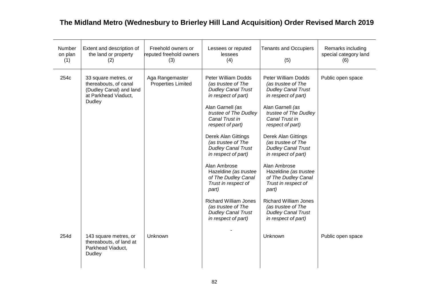| Number<br>on plan<br>(1) | Extent and description of<br>the land or property<br>(2)                                                   | Freehold owners or<br>reputed freehold owners<br>(3) | Lessees or reputed<br>lessees<br>(4)                                                                                                                                                                                                                                                                                                                                                                                                                                                               | <b>Tenants and Occupiers</b><br>(5)                                                                                                                                                                                                                                                                                                                                                                                                                                                                | Remarks including<br>special category land<br>(6) |
|--------------------------|------------------------------------------------------------------------------------------------------------|------------------------------------------------------|----------------------------------------------------------------------------------------------------------------------------------------------------------------------------------------------------------------------------------------------------------------------------------------------------------------------------------------------------------------------------------------------------------------------------------------------------------------------------------------------------|----------------------------------------------------------------------------------------------------------------------------------------------------------------------------------------------------------------------------------------------------------------------------------------------------------------------------------------------------------------------------------------------------------------------------------------------------------------------------------------------------|---------------------------------------------------|
| 254c                     | 33 square metres, or<br>thereabouts, of canal<br>(Dudley Canal) and land<br>at Parkhead Viaduct,<br>Dudley | Aga Rangemaster<br><b>Properties Limited</b>         | <b>Peter William Dodds</b><br>(as trustee of The<br><b>Dudley Canal Trust</b><br>in respect of part)<br>Alan Garnell (as<br>trustee of The Dudley<br>Canal Trust in<br>respect of part)<br>Derek Alan Gittings<br>(as trustee of The<br><b>Dudley Canal Trust</b><br>in respect of part)<br>Alan Ambrose<br>Hazeldine (as trustee<br>of The Dudley Canal<br>Trust in respect of<br>part)<br><b>Richard William Jones</b><br>(as trustee of The<br><b>Dudley Canal Trust</b><br>in respect of part) | <b>Peter William Dodds</b><br>(as trustee of The<br><b>Dudley Canal Trust</b><br>in respect of part)<br>Alan Garnell (as<br>trustee of The Dudley<br>Canal Trust in<br>respect of part)<br>Derek Alan Gittings<br>(as trustee of The<br><b>Dudley Canal Trust</b><br>in respect of part)<br>Alan Ambrose<br>Hazeldine (as trustee<br>of The Dudley Canal<br>Trust in respect of<br>part)<br><b>Richard William Jones</b><br>(as trustee of The<br><b>Dudley Canal Trust</b><br>in respect of part) | Public open space                                 |
| 254d                     | 143 square metres, or<br>thereabouts, of land at<br>Parkhead Viaduct,<br>Dudley                            | Unknown                                              |                                                                                                                                                                                                                                                                                                                                                                                                                                                                                                    | Unknown                                                                                                                                                                                                                                                                                                                                                                                                                                                                                            | Public open space                                 |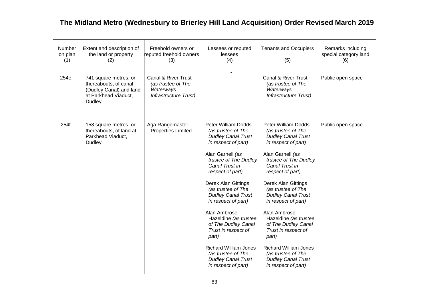| Number<br>on plan<br>(1) | Extent and description of<br>the land or property<br>(2)                                                           | Freehold owners or<br>reputed freehold owners<br>(3)                                       | Lessees or reputed<br>lessees<br>(4)                                                                                                                                                                                                                                                                                                                                                                                                                                                                      | <b>Tenants and Occupiers</b><br>(5)                                                                                                                                                                                                                                                                                                                                                                                                                                                                       | Remarks including<br>special category land<br>(6) |
|--------------------------|--------------------------------------------------------------------------------------------------------------------|--------------------------------------------------------------------------------------------|-----------------------------------------------------------------------------------------------------------------------------------------------------------------------------------------------------------------------------------------------------------------------------------------------------------------------------------------------------------------------------------------------------------------------------------------------------------------------------------------------------------|-----------------------------------------------------------------------------------------------------------------------------------------------------------------------------------------------------------------------------------------------------------------------------------------------------------------------------------------------------------------------------------------------------------------------------------------------------------------------------------------------------------|---------------------------------------------------|
| 254e                     | 741 square metres, or<br>thereabouts, of canal<br>(Dudley Canal) and land<br>at Parkhead Viaduct,<br><b>Dudley</b> | <b>Canal &amp; River Trust</b><br>(as trustee of The<br>Waterways<br>Infrastructure Trust) |                                                                                                                                                                                                                                                                                                                                                                                                                                                                                                           | Canal & River Trust<br>(as trustee of The<br>Waterways<br>Infrastructure Trust)                                                                                                                                                                                                                                                                                                                                                                                                                           | Public open space                                 |
| 254f                     | 158 square metres, or<br>thereabouts, of land at<br>Parkhead Viaduct,<br><b>Dudley</b>                             | Aga Rangemaster<br><b>Properties Limited</b>                                               | <b>Peter William Dodds</b><br>(as trustee of The<br><b>Dudley Canal Trust</b><br>in respect of part)<br>Alan Garnell (as<br>trustee of The Dudley<br>Canal Trust in<br>respect of part)<br><b>Derek Alan Gittings</b><br>(as trustee of The<br><b>Dudley Canal Trust</b><br>in respect of part)<br>Alan Ambrose<br>Hazeldine (as trustee<br>of The Dudley Canal<br>Trust in respect of<br>part)<br><b>Richard William Jones</b><br>(as trustee of The<br><b>Dudley Canal Trust</b><br>in respect of part) | <b>Peter William Dodds</b><br>(as trustee of The<br><b>Dudley Canal Trust</b><br>in respect of part)<br>Alan Garnell (as<br>trustee of The Dudley<br>Canal Trust in<br>respect of part)<br><b>Derek Alan Gittings</b><br>(as trustee of The<br><b>Dudley Canal Trust</b><br>in respect of part)<br>Alan Ambrose<br>Hazeldine (as trustee<br>of The Dudley Canal<br>Trust in respect of<br>part)<br><b>Richard William Jones</b><br>(as trustee of The<br><b>Dudley Canal Trust</b><br>in respect of part) | Public open space                                 |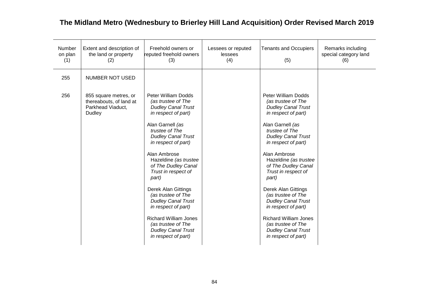| Number<br>on plan<br>(1) | Extent and description of<br>the land or property<br>(2)                        | Freehold owners or<br>reputed freehold owners<br>(3)                                                                                                                                                                                                                                                                                                                                                                                                                               | Lessees or reputed<br>lessees<br>(4) | <b>Tenants and Occupiers</b><br>(5)                                                                                                                                                                                                                                                                                                                                                                                                                                                | Remarks including<br>special category land<br>(6) |
|--------------------------|---------------------------------------------------------------------------------|------------------------------------------------------------------------------------------------------------------------------------------------------------------------------------------------------------------------------------------------------------------------------------------------------------------------------------------------------------------------------------------------------------------------------------------------------------------------------------|--------------------------------------|------------------------------------------------------------------------------------------------------------------------------------------------------------------------------------------------------------------------------------------------------------------------------------------------------------------------------------------------------------------------------------------------------------------------------------------------------------------------------------|---------------------------------------------------|
| 255                      | <b>NUMBER NOT USED</b>                                                          |                                                                                                                                                                                                                                                                                                                                                                                                                                                                                    |                                      |                                                                                                                                                                                                                                                                                                                                                                                                                                                                                    |                                                   |
| 256                      | 855 square metres, or<br>thereabouts, of land at<br>Parkhead Viaduct,<br>Dudley | <b>Peter William Dodds</b><br>(as trustee of The<br><b>Dudley Canal Trust</b><br>in respect of part)<br>Alan Garnell (as<br>trustee of The<br><b>Dudley Canal Trust</b><br>in respect of part)<br>Alan Ambrose<br>Hazeldine (as trustee<br>of The Dudley Canal<br>Trust in respect of<br>part)<br>Derek Alan Gittings<br>(as trustee of The<br><b>Dudley Canal Trust</b><br>in respect of part)<br><b>Richard William Jones</b><br>(as trustee of The<br><b>Dudley Canal Trust</b> |                                      | Peter William Dodds<br>(as trustee of The<br><b>Dudley Canal Trust</b><br>in respect of part)<br>Alan Garnell (as<br>trustee of The<br><b>Dudley Canal Trust</b><br>in respect of part)<br>Alan Ambrose<br>Hazeldine (as trustee<br>of The Dudley Canal<br>Trust in respect of<br>part)<br><b>Derek Alan Gittings</b><br>(as trustee of The<br><b>Dudley Canal Trust</b><br>in respect of part)<br><b>Richard William Jones</b><br>(as trustee of The<br><b>Dudley Canal Trust</b> |                                                   |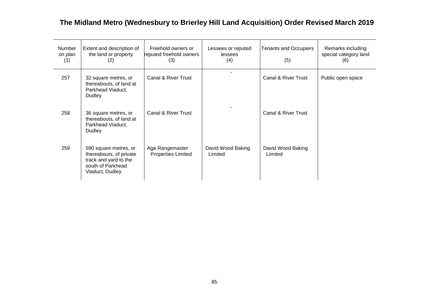| Number<br>on plan<br>(1) | Extent and description of<br>the land or property<br>(2)                                                          | Freehold owners or<br>reputed freehold owners<br>(3) | Lessees or reputed<br>lessees<br>(4) | <b>Tenants and Occupiers</b><br>(5) | Remarks including<br>special category land<br>(6) |
|--------------------------|-------------------------------------------------------------------------------------------------------------------|------------------------------------------------------|--------------------------------------|-------------------------------------|---------------------------------------------------|
| 257                      | 32 square metres, or<br>thereabouts, of land at<br>Parkhead Viaduct,<br>Dudley                                    | Canal & River Trust                                  |                                      | Canal & River Trust                 | Public open space                                 |
| 258                      | 36 square metres, or<br>thereabouts, of land at<br>Parkhead Viaduct,<br>Dudley                                    | Canal & River Trust                                  |                                      | Canal & River Trust                 |                                                   |
| 259                      | 590 square metres, or<br>thereabouts, of private<br>track and yard to the<br>south of Parkhead<br>Viaduct, Dudley | Aga Rangemaster<br><b>Properties Limited</b>         | David Wood Baking<br>Limited         | David Wood Baking<br>Limited        |                                                   |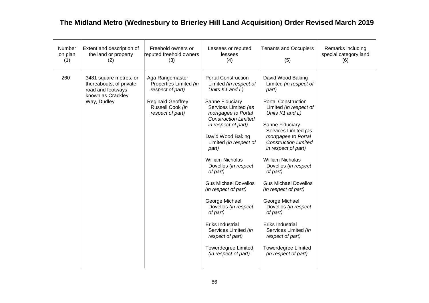| Number<br>on plan<br>(1) | Extent and description of<br>the land or property<br>(2)                                                   | Freehold owners or<br>reputed freehold owners<br>(3)                                                                              | Lessees or reputed<br>lessees<br>(4)                                                                                                                                                                                                                                                                                                                                                                                                                                                                                                                      | <b>Tenants and Occupiers</b><br>(5)                                                                                                                                                                                                                                                                                                                                                                                                                                                                                                                       | Remarks including<br>special category land<br>(6) |
|--------------------------|------------------------------------------------------------------------------------------------------------|-----------------------------------------------------------------------------------------------------------------------------------|-----------------------------------------------------------------------------------------------------------------------------------------------------------------------------------------------------------------------------------------------------------------------------------------------------------------------------------------------------------------------------------------------------------------------------------------------------------------------------------------------------------------------------------------------------------|-----------------------------------------------------------------------------------------------------------------------------------------------------------------------------------------------------------------------------------------------------------------------------------------------------------------------------------------------------------------------------------------------------------------------------------------------------------------------------------------------------------------------------------------------------------|---------------------------------------------------|
| 260                      | 3481 square metres, or<br>thereabouts, of private<br>road and footways<br>known as Crackley<br>Way, Dudley | Aga Rangemaster<br>Properties Limited (in<br>respect of part)<br><b>Reginald Geoffrey</b><br>Russell Cook (in<br>respect of part) | <b>Portal Construction</b><br>Limited (in respect of<br>Units K1 and L)<br>Sanne Fiduciary<br>Services Limited (as<br>mortgagee to Portal<br><b>Construction Limited</b><br>in respect of part)<br>David Wood Baking<br>Limited (in respect of<br>part)<br><b>William Nicholas</b><br>Dovellos (in respect<br>of part)<br><b>Gus Michael Dovellos</b><br>(in respect of part)<br>George Michael<br>Dovellos (in respect<br>of part)<br>Eriks Industrial<br>Services Limited (in<br>respect of part)<br><b>Towerdegree Limited</b><br>(in respect of part) | David Wood Baking<br>Limited (in respect of<br>part)<br><b>Portal Construction</b><br>Limited (in respect of<br>Units K1 and L)<br>Sanne Fiduciary<br>Services Limited (as<br>mortgagee to Portal<br><b>Construction Limited</b><br>in respect of part)<br><b>William Nicholas</b><br>Dovellos (in respect<br>of part)<br><b>Gus Michael Dovellos</b><br>(in respect of part)<br>George Michael<br>Dovellos (in respect<br>of part)<br>Eriks Industrial<br>Services Limited (in<br>respect of part)<br><b>Towerdegree Limited</b><br>(in respect of part) |                                                   |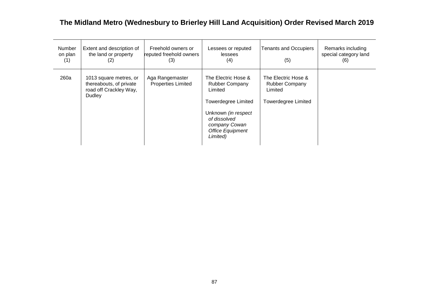| <b>Number</b><br>on plan<br>(1) | Extent and description of<br>the land or property<br>(2)                              | Freehold owners or<br>reputed freehold owners<br>(3) | Lessees or reputed<br>lessees<br>(4)                                                                                                                                                        | <b>Tenants and Occupiers</b><br>(5)                                                   | Remarks including<br>special category land<br>(6) |
|---------------------------------|---------------------------------------------------------------------------------------|------------------------------------------------------|---------------------------------------------------------------------------------------------------------------------------------------------------------------------------------------------|---------------------------------------------------------------------------------------|---------------------------------------------------|
| 260a                            | 1013 square metres, or<br>thereabouts, of private<br>road off Crackley Way,<br>Dudley | Aga Rangemaster<br><b>Properties Limited</b>         | The Electric Hose &<br><b>Rubber Company</b><br>Limited<br><b>Towerdegree Limited</b><br>Unknown <i>(in respect</i><br>of dissolved<br>company Cowan<br><b>Office Equipment</b><br>Limited) | The Electric Hose &<br><b>Rubber Company</b><br>Limited<br><b>Towerdegree Limited</b> |                                                   |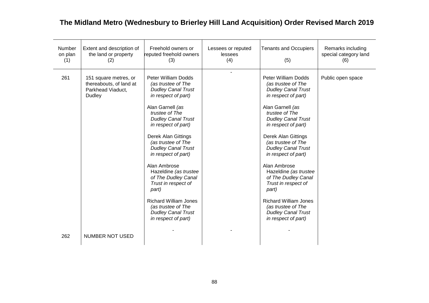| Number<br>on plan<br>(1) | Extent and description of<br>the land or property<br>(2)                        | Freehold owners or<br>reputed freehold owners<br>(3)                                                                                                                                                                                                                                                                                                                                                                                                                                                      | Lessees or reputed<br>lessees<br>(4) | <b>Tenants and Occupiers</b><br>(5)                                                                                                                                                                                                                                                                                                                                                                                                                                                                              | Remarks including<br>special category land<br>(6) |
|--------------------------|---------------------------------------------------------------------------------|-----------------------------------------------------------------------------------------------------------------------------------------------------------------------------------------------------------------------------------------------------------------------------------------------------------------------------------------------------------------------------------------------------------------------------------------------------------------------------------------------------------|--------------------------------------|------------------------------------------------------------------------------------------------------------------------------------------------------------------------------------------------------------------------------------------------------------------------------------------------------------------------------------------------------------------------------------------------------------------------------------------------------------------------------------------------------------------|---------------------------------------------------|
| 261                      | 151 square metres, or<br>thereabouts, of land at<br>Parkhead Viaduct,<br>Dudley | Peter William Dodds<br>(as trustee of The<br><b>Dudley Canal Trust</b><br>in respect of part)<br>Alan Garnell (as<br>trustee of The<br><b>Dudley Canal Trust</b><br>in respect of part)<br><b>Derek Alan Gittings</b><br>(as trustee of The<br><b>Dudley Canal Trust</b><br>in respect of part)<br>Alan Ambrose<br>Hazeldine (as trustee<br>of The Dudley Canal<br>Trust in respect of<br>part)<br><b>Richard William Jones</b><br>(as trustee of The<br><b>Dudley Canal Trust</b><br>in respect of part) |                                      | <b>Peter William Dodds</b><br>(as trustee of The<br><b>Dudley Canal Trust</b><br>in respect of part)<br>Alan Garnell (as<br>trustee of The<br><b>Dudley Canal Trust</b><br>in respect of part)<br><b>Derek Alan Gittings</b><br>(as trustee of The<br><b>Dudley Canal Trust</b><br>in respect of part)<br>Alan Ambrose<br>Hazeldine (as trustee<br>of The Dudley Canal<br>Trust in respect of<br>part)<br><b>Richard William Jones</b><br>(as trustee of The<br><b>Dudley Canal Trust</b><br>in respect of part) | Public open space                                 |
| 262                      | <b>NUMBER NOT USED</b>                                                          |                                                                                                                                                                                                                                                                                                                                                                                                                                                                                                           |                                      |                                                                                                                                                                                                                                                                                                                                                                                                                                                                                                                  |                                                   |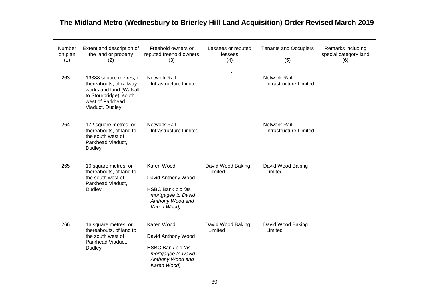| Number<br>on plan<br>(1) | Extent and description of<br>the land or property<br>(2)                                                                                       | Freehold owners or<br>reputed freehold owners<br>(3)                                                           | Lessees or reputed<br>lessees<br>(4) | <b>Tenants and Occupiers</b><br>(5)           | Remarks including<br>special category land<br>(6) |
|--------------------------|------------------------------------------------------------------------------------------------------------------------------------------------|----------------------------------------------------------------------------------------------------------------|--------------------------------------|-----------------------------------------------|---------------------------------------------------|
| 263                      | 19388 square metres, or<br>thereabouts, of railway<br>works and land (Walsall<br>to Stourbridge), south<br>west of Parkhead<br>Viaduct, Dudley | Network Rail<br>Infrastructure Limited                                                                         | $\overline{a}$                       | Network Rail<br>Infrastructure Limited        |                                                   |
| 264                      | 172 square metres, or<br>thereabouts, of land to<br>the south west of<br>Parkhead Viaduct,<br><b>Dudley</b>                                    | Network Rail<br>Infrastructure Limited                                                                         |                                      | Network Rail<br><b>Infrastructure Limited</b> |                                                   |
| 265                      | 10 square metres, or<br>thereabouts, of land to<br>the south west of<br>Parkhead Viaduct,<br>Dudley                                            | Karen Wood<br>David Anthony Wood<br>HSBC Bank plc (as<br>mortgagee to David<br>Anthony Wood and<br>Karen Wood) | David Wood Baking<br>Limited         | David Wood Baking<br>Limited                  |                                                   |
| 266                      | 16 square metres, or<br>thereabouts, of land to<br>the south west of<br>Parkhead Viaduct,<br>Dudley                                            | Karen Wood<br>David Anthony Wood<br>HSBC Bank plc (as<br>mortgagee to David<br>Anthony Wood and<br>Karen Wood) | David Wood Baking<br>Limited         | David Wood Baking<br>Limited                  |                                                   |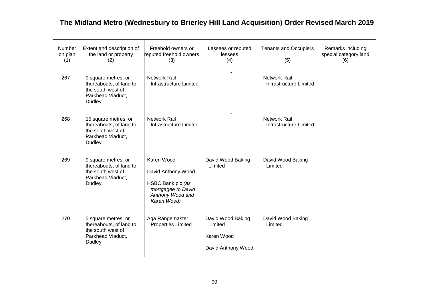| Number<br>on plan<br>(1) | Extent and description of<br>the land or property<br>(2)                                            | Freehold owners or<br>reputed freehold owners<br>(3)                                                           | Lessees or reputed<br>lessees<br>(4)                             | <b>Tenants and Occupiers</b><br>(5)           | Remarks including<br>special category land<br>(6) |
|--------------------------|-----------------------------------------------------------------------------------------------------|----------------------------------------------------------------------------------------------------------------|------------------------------------------------------------------|-----------------------------------------------|---------------------------------------------------|
| 267                      | 9 square metres, or<br>thereabouts, of land to<br>the south west of<br>Parkhead Viaduct,<br>Dudley  | <b>Network Rail</b><br>Infrastructure Limited                                                                  | $\blacksquare$                                                   | <b>Network Rail</b><br>Infrastructure Limited |                                                   |
| 268                      | 15 square metres, or<br>thereabouts, of land to<br>the south west of<br>Parkhead Viaduct,<br>Dudley | <b>Network Rail</b><br>Infrastructure Limited                                                                  |                                                                  | <b>Network Rail</b><br>Infrastructure Limited |                                                   |
| 269                      | 9 square metres, or<br>thereabouts, of land to<br>the south west of<br>Parkhead Viaduct,<br>Dudley  | Karen Wood<br>David Anthony Wood<br>HSBC Bank plc (as<br>mortgagee to David<br>Anthony Wood and<br>Karen Wood) | David Wood Baking<br>Limited                                     | David Wood Baking<br>Limited                  |                                                   |
| 270                      | 5 square metres, or<br>thereabouts, of land to<br>the south west of<br>Parkhead Viaduct,<br>Dudley  | Aga Rangemaster<br><b>Properties Limited</b>                                                                   | David Wood Baking<br>Limited<br>Karen Wood<br>David Anthony Wood | David Wood Baking<br>Limited                  |                                                   |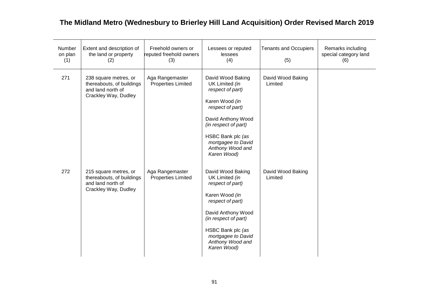| Number<br>on plan<br>(1) | Extent and description of<br>the land or property<br>(2)                                        | Freehold owners or<br>reputed freehold owners<br>(3) | Lessees or reputed<br>lessees<br>(4)                                                                                                                                                                                      | <b>Tenants and Occupiers</b><br>(5) | Remarks including<br>special category land<br>(6) |
|--------------------------|-------------------------------------------------------------------------------------------------|------------------------------------------------------|---------------------------------------------------------------------------------------------------------------------------------------------------------------------------------------------------------------------------|-------------------------------------|---------------------------------------------------|
| 271                      | 238 square metres, or<br>thereabouts, of buildings<br>and land north of<br>Crackley Way, Dudley | Aga Rangemaster<br><b>Properties Limited</b>         | David Wood Baking<br>UK Limited (in<br>respect of part)<br>Karen Wood (in<br>respect of part)<br>David Anthony Wood<br>(in respect of part)<br>HSBC Bank plc (as<br>mortgagee to David<br>Anthony Wood and<br>Karen Wood) | David Wood Baking<br>Limited        |                                                   |
| 272                      | 215 square metres, or<br>thereabouts, of buildings<br>and land north of<br>Crackley Way, Dudley | Aga Rangemaster<br><b>Properties Limited</b>         | David Wood Baking<br>UK Limited (in<br>respect of part)<br>Karen Wood (in<br>respect of part)<br>David Anthony Wood<br>(in respect of part)<br>HSBC Bank plc (as<br>mortgagee to David<br>Anthony Wood and<br>Karen Wood) | David Wood Baking<br>Limited        |                                                   |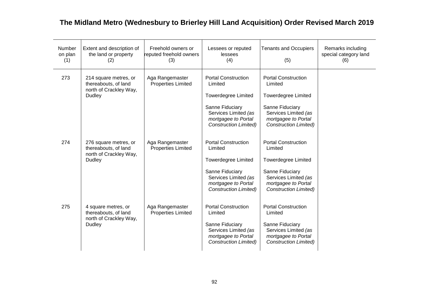| Number<br>on plan<br>(1) | Extent and description of<br>the land or property<br>(2)                                 | Freehold owners or<br>reputed freehold owners<br>(3) | Lessees or reputed<br>lessees<br>(4)                                                                                                                                  | <b>Tenants and Occupiers</b><br>(5)                                                                                                                                   | Remarks including<br>special category land<br>(6) |
|--------------------------|------------------------------------------------------------------------------------------|------------------------------------------------------|-----------------------------------------------------------------------------------------------------------------------------------------------------------------------|-----------------------------------------------------------------------------------------------------------------------------------------------------------------------|---------------------------------------------------|
| 273                      | 214 square metres, or<br>thereabouts, of land<br>north of Crackley Way,<br>Dudley        | Aga Rangemaster<br><b>Properties Limited</b>         | <b>Portal Construction</b><br>Limited<br><b>Towerdegree Limited</b><br>Sanne Fiduciary<br>Services Limited (as<br>mortgagee to Portal<br><b>Construction Limited)</b> | <b>Portal Construction</b><br>Limited<br><b>Towerdegree Limited</b><br>Sanne Fiduciary<br>Services Limited (as<br>mortgagee to Portal<br><b>Construction Limited)</b> |                                                   |
| 274                      | 276 square metres, or<br>thereabouts, of land<br>north of Crackley Way,<br><b>Dudley</b> | Aga Rangemaster<br><b>Properties Limited</b>         | <b>Portal Construction</b><br>Limited<br><b>Towerdegree Limited</b><br>Sanne Fiduciary<br>Services Limited (as<br>mortgagee to Portal<br><b>Construction Limited)</b> | <b>Portal Construction</b><br>Limited<br><b>Towerdegree Limited</b><br>Sanne Fiduciary<br>Services Limited (as<br>mortgagee to Portal<br><b>Construction Limited)</b> |                                                   |
| 275                      | 4 square metres, or<br>thereabouts, of land<br>north of Crackley Way,<br><b>Dudley</b>   | Aga Rangemaster<br><b>Properties Limited</b>         | <b>Portal Construction</b><br>Limited<br>Sanne Fiduciary<br>Services Limited (as<br>mortgagee to Portal<br><b>Construction Limited)</b>                               | <b>Portal Construction</b><br>Limited<br>Sanne Fiduciary<br>Services Limited (as<br>mortgagee to Portal<br><b>Construction Limited)</b>                               |                                                   |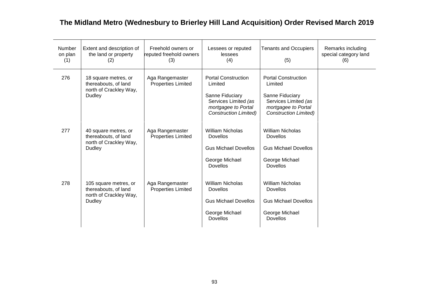| Number<br>on plan<br>(1) | Extent and description of<br>the land or property<br>(2)                          | Freehold owners or<br>reputed freehold owners<br>(3) | Lessees or reputed<br>lessees<br>(4)                                                                                                    | <b>Tenants and Occupiers</b><br>(5)                                                                                                     | Remarks including<br>special category land<br>(6) |
|--------------------------|-----------------------------------------------------------------------------------|------------------------------------------------------|-----------------------------------------------------------------------------------------------------------------------------------------|-----------------------------------------------------------------------------------------------------------------------------------------|---------------------------------------------------|
| 276                      | 18 square metres, or<br>thereabouts, of land<br>north of Crackley Way,<br>Dudley  | Aga Rangemaster<br><b>Properties Limited</b>         | <b>Portal Construction</b><br>Limited<br>Sanne Fiduciary<br>Services Limited (as<br>mortgagee to Portal<br><b>Construction Limited)</b> | <b>Portal Construction</b><br>Limited<br>Sanne Fiduciary<br>Services Limited (as<br>mortgagee to Portal<br><b>Construction Limited)</b> |                                                   |
| 277                      | 40 square metres, or<br>thereabouts, of land<br>north of Crackley Way,<br>Dudley  | Aga Rangemaster<br><b>Properties Limited</b>         | <b>William Nicholas</b><br><b>Dovellos</b><br><b>Gus Michael Dovellos</b><br>George Michael<br><b>Dovellos</b>                          | <b>William Nicholas</b><br><b>Dovellos</b><br><b>Gus Michael Dovellos</b><br>George Michael<br>Dovellos                                 |                                                   |
| 278                      | 105 square metres, or<br>thereabouts, of land<br>north of Crackley Way,<br>Dudley | Aga Rangemaster<br><b>Properties Limited</b>         | <b>William Nicholas</b><br><b>Dovellos</b><br><b>Gus Michael Dovellos</b><br>George Michael<br><b>Dovellos</b>                          | <b>William Nicholas</b><br><b>Dovellos</b><br><b>Gus Michael Dovellos</b><br>George Michael<br><b>Dovellos</b>                          |                                                   |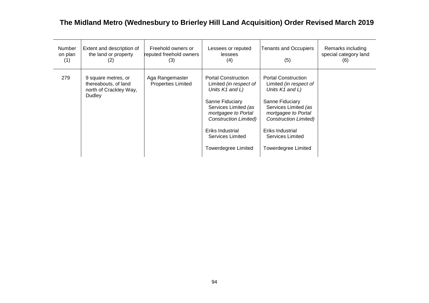| <b>Number</b><br>on plan<br>(1) | Extent and description of<br>the land or property<br>(2)                               | Freehold owners or<br>reputed freehold owners<br>(3) | Lessees or reputed<br>lessees<br>(4)                                                                                                                                                                                                     | <b>Tenants and Occupiers</b><br>(5)                                                                                                                                                                                                                    | Remarks including<br>special category land<br>(6) |
|---------------------------------|----------------------------------------------------------------------------------------|------------------------------------------------------|------------------------------------------------------------------------------------------------------------------------------------------------------------------------------------------------------------------------------------------|--------------------------------------------------------------------------------------------------------------------------------------------------------------------------------------------------------------------------------------------------------|---------------------------------------------------|
| 279                             | 9 square metres, or<br>thereabouts, of land<br>north of Crackley Way,<br><b>Dudley</b> | Aga Rangemaster<br><b>Properties Limited</b>         | <b>Portal Construction</b><br>Limited (in respect of<br>Units K1 and L)<br>Sanne Fiduciary<br>Services Limited (as<br>mortgagee to Portal<br><b>Construction Limited)</b><br>Eriks Industrial<br>Services Limited<br>Towerdegree Limited | <b>Portal Construction</b><br>Limited <i>(in respect of</i><br>Units K1 and L)<br>Sanne Fiduciary<br>Services Limited (as<br>mortgagee to Portal<br><b>Construction Limited)</b><br>Eriks Industrial<br>Services Limited<br><b>Towerdegree Limited</b> |                                                   |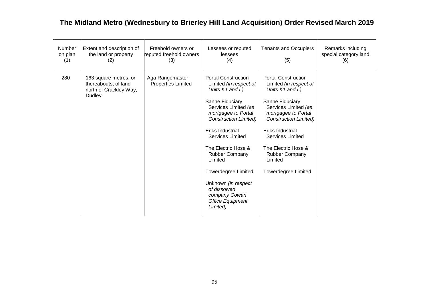| Number<br>on plan<br>(1) | Extent and description of<br>the land or property<br>(2)                                 | Freehold owners or<br>reputed freehold owners<br>(3) | Lessees or reputed<br>lessees<br>(4)                                                                                                                                                                                                                                                                                                                                                                             | <b>Tenants and Occupiers</b><br>(5)                                                                                                                                                                                                                                                                               | Remarks including<br>special category land<br>(6) |
|--------------------------|------------------------------------------------------------------------------------------|------------------------------------------------------|------------------------------------------------------------------------------------------------------------------------------------------------------------------------------------------------------------------------------------------------------------------------------------------------------------------------------------------------------------------------------------------------------------------|-------------------------------------------------------------------------------------------------------------------------------------------------------------------------------------------------------------------------------------------------------------------------------------------------------------------|---------------------------------------------------|
| 280                      | 163 square metres, or<br>thereabouts, of land<br>north of Crackley Way,<br><b>Dudley</b> | Aga Rangemaster<br><b>Properties Limited</b>         | <b>Portal Construction</b><br>Limited (in respect of<br>Units K1 and L)<br>Sanne Fiduciary<br>Services Limited (as<br>mortgagee to Portal<br><b>Construction Limited)</b><br>Eriks Industrial<br><b>Services Limited</b><br>The Electric Hose &<br><b>Rubber Company</b><br>Limited<br><b>Towerdegree Limited</b><br>Unknown (in respect<br>of dissolved<br>company Cowan<br><b>Office Equipment</b><br>Limited) | <b>Portal Construction</b><br>Limited (in respect of<br>Units K1 and L)<br>Sanne Fiduciary<br>Services Limited (as<br>mortgagee to Portal<br><b>Construction Limited)</b><br>Eriks Industrial<br><b>Services Limited</b><br>The Electric Hose &<br><b>Rubber Company</b><br>Limited<br><b>Towerdegree Limited</b> |                                                   |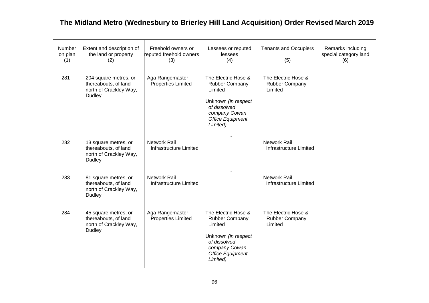| Number<br>on plan<br>(1) | Extent and description of<br>the land or property<br>(2)                          | Freehold owners or<br>reputed freehold owners<br>(3) | Lessees or reputed<br>lessees<br>(4)                                                                                                                   | <b>Tenants and Occupiers</b><br>(5)              | Remarks including<br>special category land<br>(6) |
|--------------------------|-----------------------------------------------------------------------------------|------------------------------------------------------|--------------------------------------------------------------------------------------------------------------------------------------------------------|--------------------------------------------------|---------------------------------------------------|
| 281                      | 204 square metres, or<br>thereabouts, of land<br>north of Crackley Way,<br>Dudley | Aga Rangemaster<br><b>Properties Limited</b>         | The Electric Hose &<br><b>Rubber Company</b><br>Limited<br>Unknown (in respect<br>of dissolved<br>company Cowan<br><b>Office Equipment</b><br>Limited) | The Electric Hose &<br>Rubber Company<br>Limited |                                                   |
| 282                      | 13 square metres, or<br>thereabouts, of land<br>north of Crackley Way,<br>Dudley  | Network Rail<br>Infrastructure Limited               |                                                                                                                                                        | <b>Network Rail</b><br>Infrastructure Limited    |                                                   |
| 283                      | 81 square metres, or<br>thereabouts, of land<br>north of Crackley Way,<br>Dudley  | <b>Network Rail</b><br>Infrastructure Limited        |                                                                                                                                                        | <b>Network Rail</b><br>Infrastructure Limited    |                                                   |
| 284                      | 45 square metres, or<br>thereabouts, of land<br>north of Crackley Way,<br>Dudley  | Aga Rangemaster<br><b>Properties Limited</b>         | The Electric Hose &<br>Rubber Company<br>Limited<br>Unknown (in respect<br>of dissolved<br>company Cowan<br><b>Office Equipment</b><br>Limited)        | The Electric Hose &<br>Rubber Company<br>Limited |                                                   |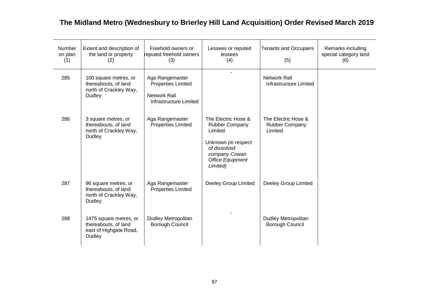| Number<br>on plan<br>(1) | Extent and description of<br>the land or property<br>(2)                                 | Freehold owners or<br>reputed freehold owners<br>(3)                                                 | Lessees or reputed<br>lessees<br>(4)                                                                                                                   | <b>Tenants and Occupiers</b><br>(5)              | Remarks including<br>special category land<br>(6) |
|--------------------------|------------------------------------------------------------------------------------------|------------------------------------------------------------------------------------------------------|--------------------------------------------------------------------------------------------------------------------------------------------------------|--------------------------------------------------|---------------------------------------------------|
| 285                      | 100 square metres, or<br>thereabouts, of land<br>north of Crackley Way,<br><b>Dudley</b> | Aga Rangemaster<br><b>Properties Limited</b><br><b>Network Rail</b><br><b>Infrastructure Limited</b> | $\overline{a}$                                                                                                                                         | <b>Network Rail</b><br>Infrastructure Limited    |                                                   |
| 286                      | 3 square metres, or<br>thereabouts, of land<br>north of Crackley Way,<br>Dudley          | Aga Rangemaster<br><b>Properties Limited</b>                                                         | The Electric Hose &<br><b>Rubber Company</b><br>Limited<br>Unknown (in respect<br>of dissolved<br>company Cowan<br><b>Office Equipment</b><br>Limited) | The Electric Hose &<br>Rubber Company<br>Limited |                                                   |
| 287                      | 96 square metres, or<br>thereabouts, of land<br>north of Crackley Way,<br>Dudley         | Aga Rangemaster<br><b>Properties Limited</b>                                                         | Deeley Group Limited                                                                                                                                   | Deeley Group Limited                             |                                                   |
| 288                      | 1475 square metres, or<br>thereabouts, of land<br>east of Highgate Road,<br>Dudley       | <b>Dudley Metropolitan</b><br>Borough Council                                                        |                                                                                                                                                        | <b>Dudley Metropolitan</b><br>Borough Council    |                                                   |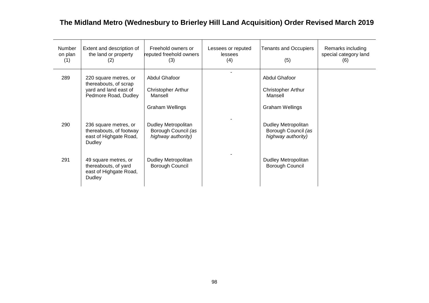| <b>Number</b><br>on plan<br>(1) | Extent and description of<br>the land or property<br>(2)                                        | Freehold owners or<br>reputed freehold owners<br>(3)             | Lessees or reputed<br>lessees<br>(4) | <b>Tenants and Occupiers</b><br>(5)                              | Remarks including<br>special category land<br>(6) |
|---------------------------------|-------------------------------------------------------------------------------------------------|------------------------------------------------------------------|--------------------------------------|------------------------------------------------------------------|---------------------------------------------------|
| 289                             | 220 square metres, or<br>thereabouts, of scrap<br>yard and land east of<br>Pedmore Road, Dudley | <b>Abdul Ghafoor</b><br><b>Christopher Arthur</b><br>Mansell     |                                      | Abdul Ghafoor<br><b>Christopher Arthur</b><br>Mansell            |                                                   |
|                                 |                                                                                                 | <b>Graham Wellings</b>                                           |                                      | <b>Graham Wellings</b>                                           |                                                   |
| 290                             | 236 square metres, or<br>thereabouts, of footway<br>east of Highgate Road,<br>Dudley            | Dudley Metropolitan<br>Borough Council (as<br>highway authority) |                                      | Dudley Metropolitan<br>Borough Council (as<br>highway authority) |                                                   |
| 291                             | 49 square metres, or<br>thereabouts, of yard<br>east of Highgate Road,<br>Dudley                | Dudley Metropolitan<br>Borough Council                           |                                      | Dudley Metropolitan<br>Borough Council                           |                                                   |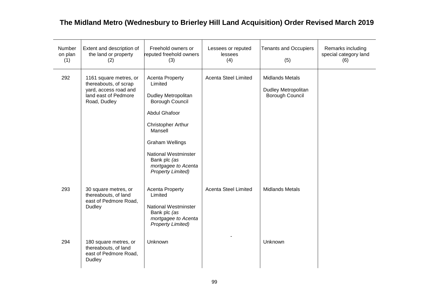| Number<br>on plan<br>(1) | Extent and description of<br>the land or property<br>(2)                                                         | Freehold owners or<br>reputed freehold owners<br>(3)                                                                                                                                                                                                                    | Lessees or reputed<br>lessees<br>(4) | <b>Tenants and Occupiers</b><br>(5)                              | Remarks including<br>special category land<br>(6) |
|--------------------------|------------------------------------------------------------------------------------------------------------------|-------------------------------------------------------------------------------------------------------------------------------------------------------------------------------------------------------------------------------------------------------------------------|--------------------------------------|------------------------------------------------------------------|---------------------------------------------------|
| 292                      | 1161 square metres, or<br>thereabouts, of scrap<br>yard, access road and<br>land east of Pedmore<br>Road, Dudley | <b>Acenta Property</b><br>Limited<br><b>Dudley Metropolitan</b><br>Borough Council<br><b>Abdul Ghafoor</b><br>Christopher Arthur<br>Mansell<br><b>Graham Wellings</b><br><b>National Westminster</b><br>Bank plc (as<br>mortgagee to Acenta<br><b>Property Limited)</b> | <b>Acenta Steel Limited</b>          | <b>Midlands Metals</b><br>Dudley Metropolitan<br>Borough Council |                                                   |
| 293                      | 30 square metres, or<br>thereabouts, of land<br>east of Pedmore Road,<br>Dudley                                  | <b>Acenta Property</b><br>Limited<br><b>National Westminster</b><br>Bank plc (as<br>mortgagee to Acenta<br><b>Property Limited)</b>                                                                                                                                     | <b>Acenta Steel Limited</b>          | <b>Midlands Metals</b>                                           |                                                   |
| 294                      | 180 square metres, or<br>thereabouts, of land<br>east of Pedmore Road,<br>Dudley                                 | Unknown                                                                                                                                                                                                                                                                 |                                      | Unknown                                                          |                                                   |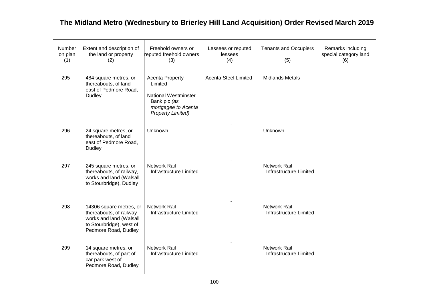| Number<br>on plan<br>(1) | Extent and description of<br>the land or property<br>(2)                                                                          | Freehold owners or<br>reputed freehold owners<br>(3)                                                                                | Lessees or reputed<br>lessees<br>(4) | <b>Tenants and Occupiers</b><br>(5)           | Remarks including<br>special category land<br>(6) |
|--------------------------|-----------------------------------------------------------------------------------------------------------------------------------|-------------------------------------------------------------------------------------------------------------------------------------|--------------------------------------|-----------------------------------------------|---------------------------------------------------|
| 295                      | 484 square metres, or<br>thereabouts, of land<br>east of Pedmore Road,<br><b>Dudley</b>                                           | <b>Acenta Property</b><br>Limited<br><b>National Westminster</b><br>Bank plc (as<br>mortgagee to Acenta<br><b>Property Limited)</b> | <b>Acenta Steel Limited</b>          | <b>Midlands Metals</b>                        |                                                   |
| 296                      | 24 square metres, or<br>thereabouts, of land<br>east of Pedmore Road,<br>Dudley                                                   | Unknown                                                                                                                             |                                      | Unknown                                       |                                                   |
| 297                      | 245 square metres, or<br>thereabouts, of railway,<br>works and land (Walsall<br>to Stourbridge), Dudley                           | <b>Network Rail</b><br>Infrastructure Limited                                                                                       |                                      | <b>Network Rail</b><br>Infrastructure Limited |                                                   |
| 298                      | 14306 square metres, or<br>thereabouts, of railway<br>works and land (Walsall<br>to Stourbridge), west of<br>Pedmore Road, Dudley | <b>Network Rail</b><br>Infrastructure Limited                                                                                       |                                      | <b>Network Rail</b><br>Infrastructure Limited |                                                   |
| 299                      | 14 square metres, or<br>thereabouts, of part of<br>car park west of<br>Pedmore Road, Dudley                                       | <b>Network Rail</b><br>Infrastructure Limited                                                                                       |                                      | <b>Network Rail</b><br>Infrastructure Limited |                                                   |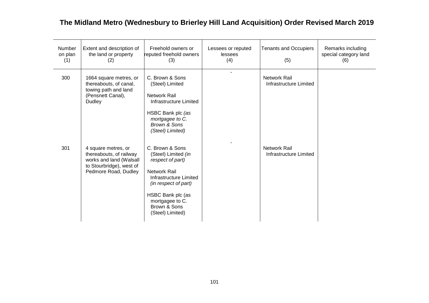| <b>Number</b><br>on plan<br>(1) | Extent and description of<br>the land or property<br>(2)                                                                      | Freehold owners or<br>reputed freehold owners<br>(3)                                                                                                                                                     | Lessees or reputed<br>lessees<br>(4) | <b>Tenants and Occupiers</b><br>(5)           | Remarks including<br>special category land<br>(6) |
|---------------------------------|-------------------------------------------------------------------------------------------------------------------------------|----------------------------------------------------------------------------------------------------------------------------------------------------------------------------------------------------------|--------------------------------------|-----------------------------------------------|---------------------------------------------------|
| 300                             | 1664 square metres, or<br>thereabouts, of canal,<br>towing path and land<br>(Pensnett Canal),<br><b>Dudley</b>                | C. Brown & Sons<br>(Steel) Limited<br><b>Network Rail</b><br>Infrastructure Limited<br>HSBC Bank plc (as<br>mortgagee to C.<br><b>Brown &amp; Sons</b><br>(Steel) Limited)                               |                                      | <b>Network Rail</b><br>Infrastructure Limited |                                                   |
| 301                             | 4 square metres, or<br>thereabouts, of railway<br>works and land (Walsall<br>to Stourbridge), west of<br>Pedmore Road, Dudley | C. Brown & Sons<br>(Steel) Limited (in<br>respect of part)<br>Network Rail<br>Infrastructure Limited<br>(in respect of part)<br>HSBC Bank plc (as<br>mortgagee to C.<br>Brown & Sons<br>(Steel) Limited) |                                      | <b>Network Rail</b><br>Infrastructure Limited |                                                   |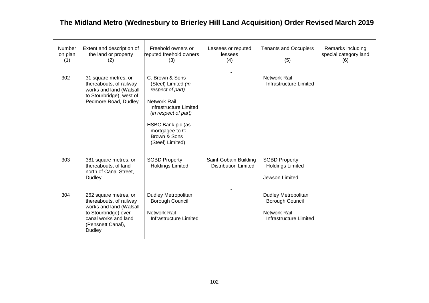| <b>Number</b><br>on plan<br>(1) | Extent and description of<br>the land or property<br>(2)                                                                                                   | Freehold owners or<br>reputed freehold owners<br>(3)                                                                                                                                                            | Lessees or reputed<br>lessees<br>(4)                 | <b>Tenants and Occupiers</b><br>(5)                                                                   | Remarks including<br>special category land<br>(6) |
|---------------------------------|------------------------------------------------------------------------------------------------------------------------------------------------------------|-----------------------------------------------------------------------------------------------------------------------------------------------------------------------------------------------------------------|------------------------------------------------------|-------------------------------------------------------------------------------------------------------|---------------------------------------------------|
| 302                             | 31 square metres, or<br>thereabouts, of railway<br>works and land (Walsall<br>to Stourbridge), west of<br>Pedmore Road, Dudley                             | C. Brown & Sons<br>(Steel) Limited (in<br>respect of part)<br><b>Network Rail</b><br>Infrastructure Limited<br>(in respect of part)<br>HSBC Bank plc (as<br>mortgagee to C.<br>Brown & Sons<br>(Steel) Limited) |                                                      | <b>Network Rail</b><br>Infrastructure Limited                                                         |                                                   |
| 303                             | 381 square metres, or<br>thereabouts, of land<br>north of Canal Street,<br>Dudley                                                                          | <b>SGBD Property</b><br><b>Holdings Limited</b>                                                                                                                                                                 | Saint-Gobain Building<br><b>Distribution Limited</b> | <b>SGBD Property</b><br><b>Holdings Limited</b><br>Jewson Limited                                     |                                                   |
| 304                             | 262 square metres, or<br>thereabouts, of railway<br>works and land (Walsall<br>to Stourbridge) over<br>canal works and land<br>(Pensnett Canal),<br>Dudley | Dudley Metropolitan<br>Borough Council<br><b>Network Rail</b><br>Infrastructure Limited                                                                                                                         |                                                      | <b>Dudley Metropolitan</b><br><b>Borough Council</b><br><b>Network Rail</b><br>Infrastructure Limited |                                                   |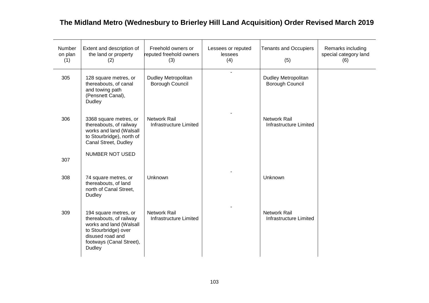| Number<br>on plan<br>(1) | Extent and description of<br>the land or property<br>(2)                                                                                                      | Freehold owners or<br>reputed freehold owners<br>(3) | Lessees or reputed<br>lessees<br>(4) | <b>Tenants and Occupiers</b><br>(5)           | Remarks including<br>special category land<br>(6) |
|--------------------------|---------------------------------------------------------------------------------------------------------------------------------------------------------------|------------------------------------------------------|--------------------------------------|-----------------------------------------------|---------------------------------------------------|
| 305                      | 128 square metres, or<br>thereabouts, of canal<br>and towing path<br>(Pensnett Canal),<br>Dudley                                                              | Dudley Metropolitan<br>Borough Council               |                                      | Dudley Metropolitan<br>Borough Council        |                                                   |
| 306                      | 3368 square metres, or<br>thereabouts, of railway<br>works and land (Walsall<br>to Stourbridge), north of<br>Canal Street, Dudley                             | <b>Network Rail</b><br>Infrastructure Limited        |                                      | <b>Network Rail</b><br>Infrastructure Limited |                                                   |
| 307                      | <b>NUMBER NOT USED</b>                                                                                                                                        |                                                      |                                      |                                               |                                                   |
| 308                      | 74 square metres, or<br>thereabouts, of land<br>north of Canal Street,<br>Dudley                                                                              | Unknown                                              |                                      | Unknown                                       |                                                   |
| 309                      | 194 square metres, or<br>thereabouts, of railway<br>works and land (Walsall<br>to Stourbridge) over<br>disused road and<br>footways (Canal Street),<br>Dudley | <b>Network Rail</b><br>Infrastructure Limited        |                                      | <b>Network Rail</b><br>Infrastructure Limited |                                                   |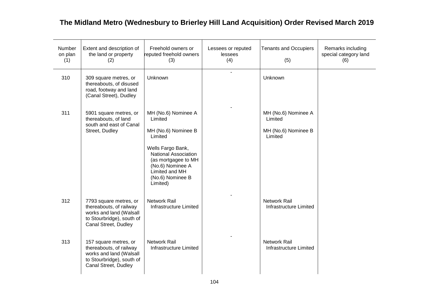| <b>Number</b><br>on plan<br>(1) | Extent and description of<br>the land or property<br>(2)                                                                          | Freehold owners or<br>reputed freehold owners<br>(3)                                                                                                                                                       | Lessees or reputed<br>lessees<br>(4) | <b>Tenants and Occupiers</b><br>(5)                              | Remarks including<br>special category land<br>(6) |
|---------------------------------|-----------------------------------------------------------------------------------------------------------------------------------|------------------------------------------------------------------------------------------------------------------------------------------------------------------------------------------------------------|--------------------------------------|------------------------------------------------------------------|---------------------------------------------------|
| 310                             | 309 square metres, or<br>thereabouts, of disused<br>road, footway and land<br>(Canal Street), Dudley                              | Unknown                                                                                                                                                                                                    | $\blacksquare$                       | Unknown                                                          |                                                   |
| 311                             | 5901 square metres, or<br>thereabouts, of land<br>south and east of Canal<br>Street, Dudley                                       | MH (No.6) Nominee A<br>Limited<br>MH (No.6) Nominee B<br>Limited<br>Wells Fargo Bank,<br>National Association<br>(as mortgagee to MH<br>(No.6) Nominee A<br>Limited and MH<br>(No.6) Nominee B<br>Limited) |                                      | MH (No.6) Nominee A<br>Limited<br>MH (No.6) Nominee B<br>Limited |                                                   |
| 312                             | 7793 square metres, or<br>thereabouts, of railway<br>works and land (Walsall<br>to Stourbridge), south of<br>Canal Street, Dudley | Network Rail<br>Infrastructure Limited                                                                                                                                                                     |                                      | Network Rail<br>Infrastructure Limited                           |                                                   |
| 313                             | 157 square metres, or<br>thereabouts, of railway<br>works and land (Walsall<br>to Stourbridge), south of<br>Canal Street, Dudley  | <b>Network Rail</b><br>Infrastructure Limited                                                                                                                                                              |                                      | Network Rail<br>Infrastructure Limited                           |                                                   |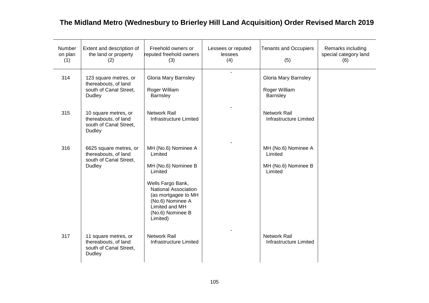| Number<br>on plan<br>(1) | Extent and description of<br>the land or property<br>(2)                                 | Freehold owners or<br>reputed freehold owners<br>(3)                                                                                                                                                              | Lessees or reputed<br>lessees<br>(4) | <b>Tenants and Occupiers</b><br>(5)                              | Remarks including<br>special category land<br>(6) |
|--------------------------|------------------------------------------------------------------------------------------|-------------------------------------------------------------------------------------------------------------------------------------------------------------------------------------------------------------------|--------------------------------------|------------------------------------------------------------------|---------------------------------------------------|
| 314                      | 123 square metres, or<br>thereabouts, of land<br>south of Canal Street,<br><b>Dudley</b> | <b>Gloria Mary Barnsley</b><br>Roger William<br>Barnsley                                                                                                                                                          | $\overline{a}$                       | Gloria Mary Barnsley<br>Roger William<br>Barnsley                |                                                   |
| 315                      | 10 square metres, or<br>thereabouts, of land<br>south of Canal Street,<br><b>Dudley</b>  | <b>Network Rail</b><br>Infrastructure Limited                                                                                                                                                                     |                                      | <b>Network Rail</b><br>Infrastructure Limited                    |                                                   |
| 316                      | 6625 square metres, or<br>thereabouts, of land<br>south of Canal Street,<br>Dudley       | MH (No.6) Nominee A<br>Limited<br>MH (No.6) Nominee B<br>Limited<br>Wells Fargo Bank,<br><b>National Association</b><br>(as mortgagee to MH<br>(No.6) Nominee A<br>Limited and MH<br>(No.6) Nominee B<br>Limited) |                                      | MH (No.6) Nominee A<br>Limited<br>MH (No.6) Nominee B<br>Limited |                                                   |
| 317                      | 11 square metres, or<br>thereabouts, of land<br>south of Canal Street,<br><b>Dudley</b>  | <b>Network Rail</b><br>Infrastructure Limited                                                                                                                                                                     |                                      | <b>Network Rail</b><br>Infrastructure Limited                    |                                                   |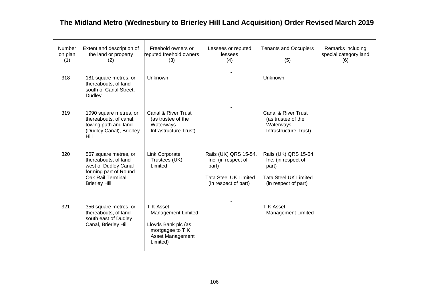| <b>Number</b><br>on plan<br>(1) | Extent and description of<br>the land or property<br>(2)                                                                                     | Freehold owners or<br>reputed freehold owners<br>(3)                                                                     | Lessees or reputed<br>lessees<br>(4)                                                                          | <b>Tenants and Occupiers</b><br>(5)                                                                           | Remarks including<br>special category land<br>(6) |
|---------------------------------|----------------------------------------------------------------------------------------------------------------------------------------------|--------------------------------------------------------------------------------------------------------------------------|---------------------------------------------------------------------------------------------------------------|---------------------------------------------------------------------------------------------------------------|---------------------------------------------------|
| 318                             | 181 square metres, or<br>thereabouts, of land<br>south of Canal Street,<br><b>Dudley</b>                                                     | Unknown                                                                                                                  |                                                                                                               | Unknown                                                                                                       |                                                   |
| 319                             | 1090 square metres, or<br>thereabouts, of canal,<br>towing path and land<br>(Dudley Canal), Brierley<br>Hill                                 | Canal & River Trust<br>(as trustee of the<br>Waterways<br>Infrastructure Trust)                                          |                                                                                                               | Canal & River Trust<br>(as trustee of the<br>Waterways<br>Infrastructure Trust)                               |                                                   |
| 320                             | 567 square metres, or<br>thereabouts, of land<br>west of Dudley Canal<br>forming part of Round<br>Oak Rail Terminal,<br><b>Brierley Hill</b> | Link Corporate<br>Trustees (UK)<br>Limited                                                                               | Rails (UK) QRS 15-54,<br>Inc. (in respect of<br>part)<br><b>Tata Steel UK Limited</b><br>(in respect of part) | Rails (UK) QRS 15-54,<br>Inc. (in respect of<br>part)<br><b>Tata Steel UK Limited</b><br>(in respect of part) |                                                   |
| 321                             | 356 square metres, or<br>thereabouts, of land<br>south east of Dudley<br>Canal, Brierley Hill                                                | T K Asset<br><b>Management Limited</b><br>Lloyds Bank plc (as<br>mortgagee to T K<br><b>Asset Management</b><br>Limited) |                                                                                                               | T K Asset<br><b>Management Limited</b>                                                                        |                                                   |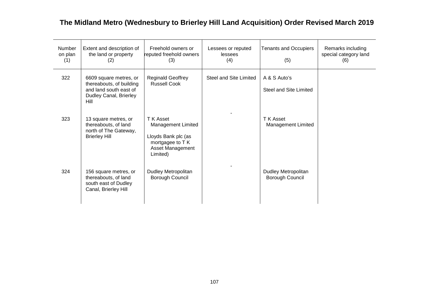| <b>Number</b><br>on plan<br>(1) | Extent and description of<br>the land or property<br>(2)                                                       | Freehold owners or<br>reputed freehold owners<br>(3)                                                              | Lessees or reputed<br>lessees<br>(4) | <b>Tenants and Occupiers</b><br>(5)    | Remarks including<br>special category land<br>(6) |
|---------------------------------|----------------------------------------------------------------------------------------------------------------|-------------------------------------------------------------------------------------------------------------------|--------------------------------------|----------------------------------------|---------------------------------------------------|
| 322                             | 6609 square metres, or<br>thereabouts, of building<br>and land south east of<br>Dudley Canal, Brierley<br>Hill | <b>Reginald Geoffrey</b><br><b>Russell Cook</b>                                                                   | Steel and Site Limited               | A & S Auto's<br>Steel and Site Limited |                                                   |
| 323                             | 13 square metres, or<br>thereabouts, of land<br>north of The Gateway,<br><b>Brierley Hill</b>                  | T K Asset<br><b>Management Limited</b><br>Lloyds Bank plc (as<br>mortgagee to T K<br>Asset Management<br>Limited) |                                      | T K Asset<br><b>Management Limited</b> |                                                   |
| 324                             | 156 square metres, or<br>thereabouts, of land<br>south east of Dudley<br>Canal, Brierley Hill                  | Dudley Metropolitan<br>Borough Council                                                                            |                                      | Dudley Metropolitan<br>Borough Council |                                                   |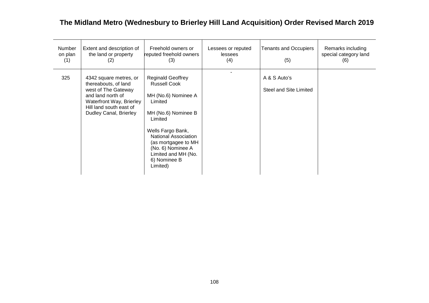| Number<br>on plan<br>(1) | Extent and description of<br>the land or property<br>(2)                                                                                                                    | Freehold owners or<br>reputed freehold owners<br>(3)                                                                                                                                                                                                                   | Lessees or reputed<br>lessees<br>(4) | <b>Tenants and Occupiers</b><br>(5)    | Remarks including<br>special category land<br>(6) |
|--------------------------|-----------------------------------------------------------------------------------------------------------------------------------------------------------------------------|------------------------------------------------------------------------------------------------------------------------------------------------------------------------------------------------------------------------------------------------------------------------|--------------------------------------|----------------------------------------|---------------------------------------------------|
| 325                      | 4342 square metres, or<br>thereabouts, of land<br>west of The Gateway<br>and land north of<br>Waterfront Way, Brierley<br>Hill land south east of<br>Dudley Canal, Brierley | <b>Reginald Geoffrey</b><br><b>Russell Cook</b><br>MH (No.6) Nominee A<br>Limited<br>MH (No.6) Nominee B<br>Limited<br>Wells Fargo Bank,<br><b>National Association</b><br>(as mortgagee to MH<br>(No. 6) Nominee A<br>Limited and MH (No.<br>6) Nominee B<br>Limited) |                                      | A & S Auto's<br>Steel and Site Limited |                                                   |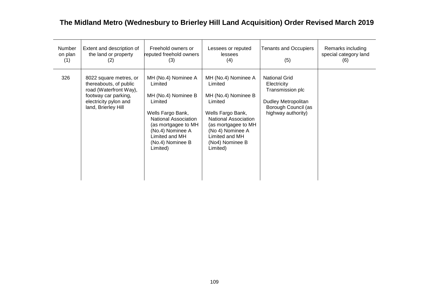| Number<br>on plan<br>(1) | Extent and description of<br>the land or property<br>(2)                                                                                           | Freehold owners or<br>reputed freehold owners<br>(3)                                                                                                                                                       | Lessees or reputed<br>lessees<br>(4)                                                                                                                                                                             | <b>Tenants and Occupiers</b><br>(5)                                                                                         | Remarks including<br>special category land<br>(6) |
|--------------------------|----------------------------------------------------------------------------------------------------------------------------------------------------|------------------------------------------------------------------------------------------------------------------------------------------------------------------------------------------------------------|------------------------------------------------------------------------------------------------------------------------------------------------------------------------------------------------------------------|-----------------------------------------------------------------------------------------------------------------------------|---------------------------------------------------|
| 326                      | 8022 square metres, or<br>thereabouts, of public<br>road (Waterfront Way),<br>footway car parking,<br>electricity pylon and<br>land, Brierley Hill | MH (No.4) Nominee A<br>Limited<br>MH (No.4) Nominee B<br>Limited<br>Wells Fargo Bank,<br>National Association<br>(as mortgagee to MH<br>(No.4) Nominee A<br>Limited and MH<br>(No.4) Nominee B<br>Limited) | MH (No.4) Nominee A<br>Limited<br>MH (No.4) Nominee B<br>Limited<br>Wells Fargo Bank,<br><b>National Association</b><br>(as mortgagee to MH<br>(No 4) Nominee A<br>Limited and MH<br>(No4) Nominee B<br>Limited) | <b>National Grid</b><br>Electricity<br>Transmission plc<br>Dudley Metropolitan<br>Borough Council (as<br>highway authority) |                                                   |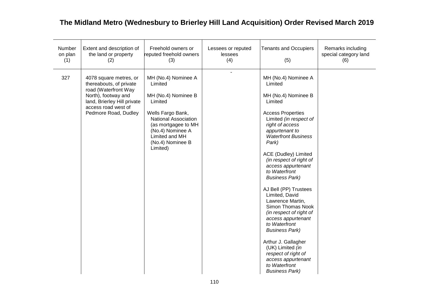| Number<br>on plan<br>(1) | Extent and description of<br>the land or property<br>(2)                                                                                                                       | Freehold owners or<br>reputed freehold owners<br>(3)                                                                                                                                                       | Lessees or reputed<br>lessees<br>(4) | <b>Tenants and Occupiers</b><br>(5)                                                                                                                                                                                                                                                                                                                                                                                                                                                                                                                                                                                                    | Remarks including<br>special category land<br>(6) |
|--------------------------|--------------------------------------------------------------------------------------------------------------------------------------------------------------------------------|------------------------------------------------------------------------------------------------------------------------------------------------------------------------------------------------------------|--------------------------------------|----------------------------------------------------------------------------------------------------------------------------------------------------------------------------------------------------------------------------------------------------------------------------------------------------------------------------------------------------------------------------------------------------------------------------------------------------------------------------------------------------------------------------------------------------------------------------------------------------------------------------------------|---------------------------------------------------|
| 327                      | 4078 square metres, or<br>thereabouts, of private<br>road (Waterfront Way<br>North), footway and<br>land, Brierley Hill private<br>access road west of<br>Pedmore Road, Dudley | MH (No.4) Nominee A<br>Limited<br>MH (No.4) Nominee B<br>Limited<br>Wells Fargo Bank,<br>National Association<br>(as mortgagee to MH<br>(No.4) Nominee A<br>Limited and MH<br>(No.4) Nominee B<br>Limited) | L.                                   | MH (No.4) Nominee A<br>Limited<br>MH (No.4) Nominee B<br>Limited<br><b>Access Properties</b><br>Limited (in respect of<br>right of access<br>appurtenant to<br><b>Waterfront Business</b><br>Park)<br>ACE (Dudley) Limited<br>(in respect of right of<br>access appurtenant<br>to Waterfront<br><b>Business Park)</b><br>AJ Bell (PP) Trustees<br>Limited, David<br>Lawrence Martin,<br>Simon Thomas Nook<br>(in respect of right of<br>access appurtenant<br>to Waterfront<br><b>Business Park)</b><br>Arthur J. Gallagher<br>(UK) Limited (in<br>respect of right of<br>access appurtenant<br>to Waterfront<br><b>Business Park)</b> |                                                   |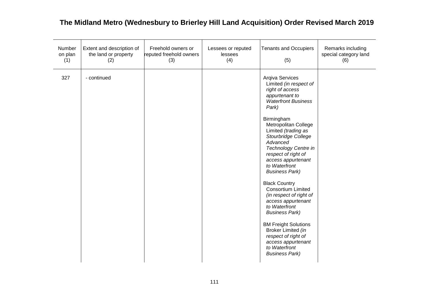| Number<br>on plan<br>(1) | Extent and description of<br>the land or property<br>(2) | Freehold owners or<br>reputed freehold owners<br>(3) | Lessees or reputed<br>lessees<br>(4) | <b>Tenants and Occupiers</b><br>(5)                                                                                                                                                                                                                                                                                                                                                                                                                                                                                                                                                                                              | Remarks including<br>special category land<br>(6) |
|--------------------------|----------------------------------------------------------|------------------------------------------------------|--------------------------------------|----------------------------------------------------------------------------------------------------------------------------------------------------------------------------------------------------------------------------------------------------------------------------------------------------------------------------------------------------------------------------------------------------------------------------------------------------------------------------------------------------------------------------------------------------------------------------------------------------------------------------------|---------------------------------------------------|
| 327                      | - continued                                              |                                                      |                                      | Arqiva Services<br>Limited (in respect of<br>right of access<br>appurtenant to<br><b>Waterfront Business</b><br>Park)<br>Birmingham<br>Metropolitan College<br>Limited (trading as<br>Stourbridge College<br>Advanced<br>Technology Centre in<br>respect of right of<br>access appurtenant<br>to Waterfront<br><b>Business Park)</b><br><b>Black Country</b><br><b>Consortium Limited</b><br>(in respect of right of<br>access appurtenant<br>to Waterfront<br><b>Business Park)</b><br><b>BM Freight Solutions</b><br>Broker Limited (in<br>respect of right of<br>access appurtenant<br>to Waterfront<br><b>Business Park)</b> |                                                   |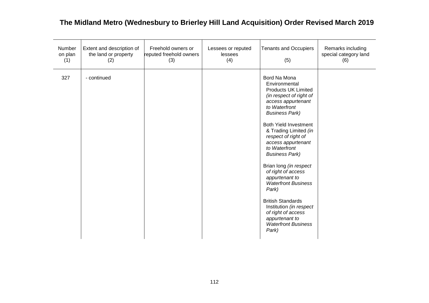| Number<br>on plan<br>(1) | Extent and description of<br>the land or property<br>(2) | Freehold owners or<br>reputed freehold owners<br>(3) | Lessees or reputed<br>lessees<br>(4) | <b>Tenants and Occupiers</b><br>(5)                                                                                                                                                                                                                                                                                                                                                                                                                                                                                                                   | Remarks including<br>special category land<br>(6) |
|--------------------------|----------------------------------------------------------|------------------------------------------------------|--------------------------------------|-------------------------------------------------------------------------------------------------------------------------------------------------------------------------------------------------------------------------------------------------------------------------------------------------------------------------------------------------------------------------------------------------------------------------------------------------------------------------------------------------------------------------------------------------------|---------------------------------------------------|
| 327                      | - continued                                              |                                                      |                                      | Bord Na Mona<br>Environmental<br><b>Products UK Limited</b><br>(in respect of right of<br>access appurtenant<br>to Waterfront<br><b>Business Park)</b><br><b>Both Yield Investment</b><br>& Trading Limited (in<br>respect of right of<br>access appurtenant<br>to Waterfront<br><b>Business Park)</b><br>Brian long (in respect<br>of right of access<br>appurtenant to<br><b>Waterfront Business</b><br>Park)<br><b>British Standards</b><br>Institution (in respect<br>of right of access<br>appurtenant to<br><b>Waterfront Business</b><br>Park) |                                                   |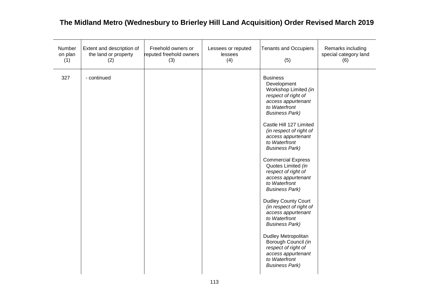| Number<br>on plan<br>(1) | Extent and description of<br>the land or property<br>(2) | Freehold owners or<br>reputed freehold owners<br>(3) | Lessees or reputed<br>lessees<br>(4) | <b>Tenants and Occupiers</b><br>(5)                                                                                                                                                                                                                                                                                                                                                                                                                                                                                                                                                                                                                                  | Remarks including<br>special category land<br>(6) |
|--------------------------|----------------------------------------------------------|------------------------------------------------------|--------------------------------------|----------------------------------------------------------------------------------------------------------------------------------------------------------------------------------------------------------------------------------------------------------------------------------------------------------------------------------------------------------------------------------------------------------------------------------------------------------------------------------------------------------------------------------------------------------------------------------------------------------------------------------------------------------------------|---------------------------------------------------|
| 327                      | - continued                                              |                                                      |                                      | <b>Business</b><br>Development<br>Workshop Limited (in<br>respect of right of<br>access appurtenant<br>to Waterfront<br><b>Business Park)</b><br>Castle Hill 127 Limited<br>(in respect of right of<br>access appurtenant<br>to Waterfront<br><b>Business Park)</b><br><b>Commercial Express</b><br>Quotes Limited (in<br>respect of right of<br>access appurtenant<br>to Waterfront<br><b>Business Park)</b><br>Dudley County Court<br>(in respect of right of<br>access appurtenant<br>to Waterfront<br><b>Business Park)</b><br>Dudley Metropolitan<br>Borough Council (in<br>respect of right of<br>access appurtenant<br>to Waterfront<br><b>Business Park)</b> |                                                   |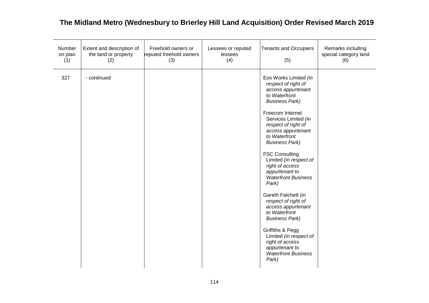| Number<br>on plan<br>(1) | Extent and description of<br>the land or property<br>(2) | Freehold owners or<br>reputed freehold owners<br>(3) | Lessees or reputed<br>lessees<br>(4) | <b>Tenants and Occupiers</b><br>(5)                                                                                                                                                                                                                                                                                                                                                                                                                                                                                                                                                                                    | Remarks including<br>special category land<br>(6) |
|--------------------------|----------------------------------------------------------|------------------------------------------------------|--------------------------------------|------------------------------------------------------------------------------------------------------------------------------------------------------------------------------------------------------------------------------------------------------------------------------------------------------------------------------------------------------------------------------------------------------------------------------------------------------------------------------------------------------------------------------------------------------------------------------------------------------------------------|---------------------------------------------------|
| 327                      | - continued                                              |                                                      |                                      | Eos Works Limited (in<br>respect of right of<br>access appurtenant<br>to Waterfront<br><b>Business Park)</b><br>Freecom Internet<br>Services Limited (in<br>respect of right of<br>access appurtenant<br>to Waterfront<br><b>Business Park)</b><br><b>FSC Consulting</b><br>Limited (in respect of<br>right of access<br>appurtenant to<br><b>Waterfront Business</b><br>Park)<br>Gareth Fatchett (in<br>respect of right of<br>access appurtenant<br>to Waterfront<br><b>Business Park)</b><br>Griffiths & Pegg<br>Limited (in respect of<br>right of access<br>appurtenant to<br><b>Waterfront Business</b><br>Park) |                                                   |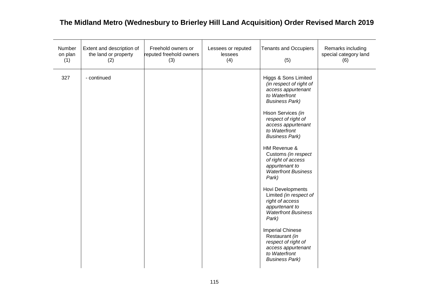| Number<br>on plan<br>(1) | Extent and description of<br>the land or property<br>(2) | Freehold owners or<br>reputed freehold owners<br>(3) | Lessees or reputed<br>lessees<br>(4) | <b>Tenants and Occupiers</b><br>(5)                                                                                                                                                                                                                                                                                                                                                                                                                                                                                                                                                                               | Remarks including<br>special category land<br>(6) |
|--------------------------|----------------------------------------------------------|------------------------------------------------------|--------------------------------------|-------------------------------------------------------------------------------------------------------------------------------------------------------------------------------------------------------------------------------------------------------------------------------------------------------------------------------------------------------------------------------------------------------------------------------------------------------------------------------------------------------------------------------------------------------------------------------------------------------------------|---------------------------------------------------|
| 327                      | - continued                                              |                                                      |                                      | Higgs & Sons Limited<br>(in respect of right of<br>access appurtenant<br>to Waterfront<br><b>Business Park)</b><br>Hison Services (in<br>respect of right of<br>access appurtenant<br>to Waterfront<br><b>Business Park)</b><br>HM Revenue &<br>Customs (in respect<br>of right of access<br>appurtenant to<br><b>Waterfront Business</b><br>Park)<br>Hovi Developments<br>Limited (in respect of<br>right of access<br>appurtenant to<br><b>Waterfront Business</b><br>Park)<br><b>Imperial Chinese</b><br>Restaurant (in<br>respect of right of<br>access appurtenant<br>to Waterfront<br><b>Business Park)</b> |                                                   |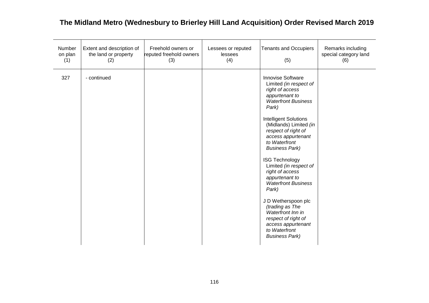| Number<br>on plan<br>(1) | Extent and description of<br>the land or property<br>(2) | Freehold owners or<br>reputed freehold owners<br>(3) | Lessees or reputed<br>lessees<br>(4) | <b>Tenants and Occupiers</b><br>(5)                                                                                                                                                                                                                                                                                                                                                                                                                                                                                                                           | Remarks including<br>special category land<br>(6) |
|--------------------------|----------------------------------------------------------|------------------------------------------------------|--------------------------------------|---------------------------------------------------------------------------------------------------------------------------------------------------------------------------------------------------------------------------------------------------------------------------------------------------------------------------------------------------------------------------------------------------------------------------------------------------------------------------------------------------------------------------------------------------------------|---------------------------------------------------|
| 327                      | - continued                                              |                                                      |                                      | Innovise Software<br>Limited (in respect of<br>right of access<br>appurtenant to<br><b>Waterfront Business</b><br>Park)<br><b>Intelligent Solutions</b><br>(Midlands) Limited (in<br>respect of right of<br>access appurtenant<br>to Waterfront<br><b>Business Park)</b><br><b>ISG Technology</b><br>Limited (in respect of<br>right of access<br>appurtenant to<br><b>Waterfront Business</b><br>Park)<br>J D Wetherspoon plc<br>(trading as The<br>Waterfront Inn in<br>respect of right of<br>access appurtenant<br>to Waterfront<br><b>Business Park)</b> |                                                   |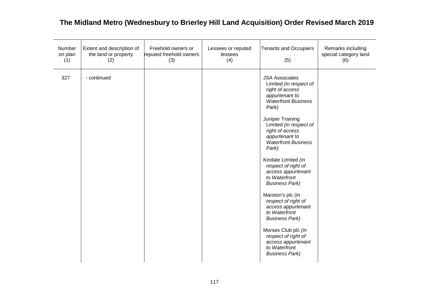| Number<br>on plan<br>(1) | Extent and description of<br>the land or property<br>(2) | Freehold owners or<br>reputed freehold owners<br>(3) | Lessees or reputed<br>lessees<br>(4) | <b>Tenants and Occupiers</b><br>(5)                                                                                                                                                                                                                                                                                                                                                                                                                                                                                                                                                           | Remarks including<br>special category land<br>(6) |
|--------------------------|----------------------------------------------------------|------------------------------------------------------|--------------------------------------|-----------------------------------------------------------------------------------------------------------------------------------------------------------------------------------------------------------------------------------------------------------------------------------------------------------------------------------------------------------------------------------------------------------------------------------------------------------------------------------------------------------------------------------------------------------------------------------------------|---------------------------------------------------|
| 327                      | - continued                                              |                                                      |                                      | <b>JSA Associates</b><br>Limited (in respect of<br>right of access<br>appurtenant to<br><b>Waterfront Business</b><br>Park)<br>Juniper Training<br>Limited (in respect of<br>right of access<br>appurtenant to<br><b>Waterfront Business</b><br>Park)<br>Kindale Limited (in<br>respect of right of<br>access appurtenant<br>to Waterfront<br><b>Business Park)</b><br>Marston's plc (in<br>respect of right of<br>access appurtenant<br>to Waterfront<br><b>Business Park)</b><br>Morses Club plc (in<br>respect of right of<br>access appurtenant<br>to Waterfront<br><b>Business Park)</b> |                                                   |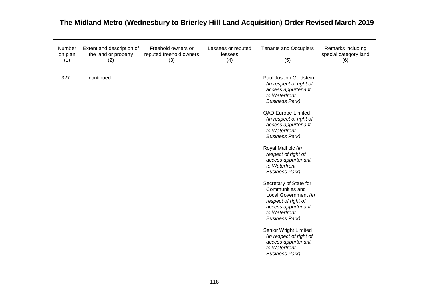| Number<br>on plan<br>(1) | Extent and description of<br>the land or property<br>(2) | Freehold owners or<br>reputed freehold owners<br>(3) | Lessees or reputed<br>lessees<br>(4) | <b>Tenants and Occupiers</b><br>(5)                                                                                                                                                                                                                                                                                                                                                                                                                                                                                                                                                                                                   | Remarks including<br>special category land<br>(6) |
|--------------------------|----------------------------------------------------------|------------------------------------------------------|--------------------------------------|---------------------------------------------------------------------------------------------------------------------------------------------------------------------------------------------------------------------------------------------------------------------------------------------------------------------------------------------------------------------------------------------------------------------------------------------------------------------------------------------------------------------------------------------------------------------------------------------------------------------------------------|---------------------------------------------------|
| 327                      | - continued                                              |                                                      |                                      | Paul Joseph Goldstein<br>(in respect of right of<br>access appurtenant<br>to Waterfront<br><b>Business Park)</b><br><b>QAD Europe Limited</b><br>(in respect of right of<br>access appurtenant<br>to Waterfront<br><b>Business Park)</b><br>Royal Mail plc (in<br>respect of right of<br>access appurtenant<br>to Waterfront<br><b>Business Park)</b><br>Secretary of State for<br>Communities and<br>Local Government (in<br>respect of right of<br>access appurtenant<br>to Waterfront<br><b>Business Park)</b><br>Senior Wright Limited<br>(in respect of right of<br>access appurtenant<br>to Waterfront<br><b>Business Park)</b> |                                                   |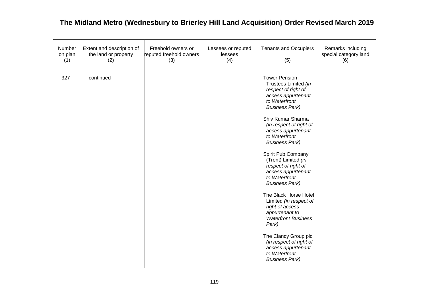| Number<br>on plan<br>(1) | Extent and description of<br>the land or property<br>(2) | Freehold owners or<br>reputed freehold owners<br>(3) | Lessees or reputed<br>lessees<br>(4) | <b>Tenants and Occupiers</b><br>(5)                                                                                                                                                                                                                                                                                                                                                                                                                                                                                                                                                                                                       | Remarks including<br>special category land<br>(6) |
|--------------------------|----------------------------------------------------------|------------------------------------------------------|--------------------------------------|-------------------------------------------------------------------------------------------------------------------------------------------------------------------------------------------------------------------------------------------------------------------------------------------------------------------------------------------------------------------------------------------------------------------------------------------------------------------------------------------------------------------------------------------------------------------------------------------------------------------------------------------|---------------------------------------------------|
| 327                      | - continued                                              |                                                      |                                      | <b>Tower Pension</b><br>Trustees Limited (in<br>respect of right of<br>access appurtenant<br>to Waterfront<br><b>Business Park)</b><br>Shiv Kumar Sharma<br>(in respect of right of<br>access appurtenant<br>to Waterfront<br><b>Business Park)</b><br>Spirit Pub Company<br>(Trent) Limited (in<br>respect of right of<br>access appurtenant<br>to Waterfront<br><b>Business Park)</b><br>The Black Horse Hotel<br>Limited (in respect of<br>right of access<br>appurtenant to<br><b>Waterfront Business</b><br>Park)<br>The Clancy Group plc<br>(in respect of right of<br>access appurtenant<br>to Waterfront<br><b>Business Park)</b> |                                                   |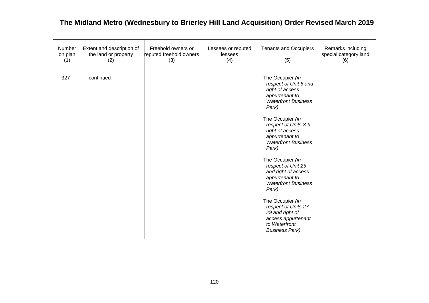| Number<br>on plan<br>(1) | Extent and description of<br>the land or property<br>(2) | Freehold owners or<br>reputed freehold owners<br>(3) | Lessees or reputed<br>lessees<br>(4) | <b>Tenants and Occupiers</b><br>(5)                                                                                                                                                                                                                                                                                                                                                                                                                                                                    | Remarks including<br>special category land<br>(6) |
|--------------------------|----------------------------------------------------------|------------------------------------------------------|--------------------------------------|--------------------------------------------------------------------------------------------------------------------------------------------------------------------------------------------------------------------------------------------------------------------------------------------------------------------------------------------------------------------------------------------------------------------------------------------------------------------------------------------------------|---------------------------------------------------|
| 327                      | - continued                                              |                                                      |                                      | The Occupier (in<br>respect of Unit 6 and<br>right of access<br>appurtenant to<br><b>Waterfront Business</b><br>Park)<br>The Occupier (in<br>respect of Units 8-9<br>right of access<br>appurtenant to<br><b>Waterfront Business</b><br>Park)<br>The Occupier (in<br>respect of Unit 25<br>and right of access<br>appurtenant to<br><b>Waterfront Business</b><br>Park)<br>The Occupier (in<br>respect of Units 27-<br>29 and right of<br>access appurtenant<br>to Waterfront<br><b>Business Park)</b> |                                                   |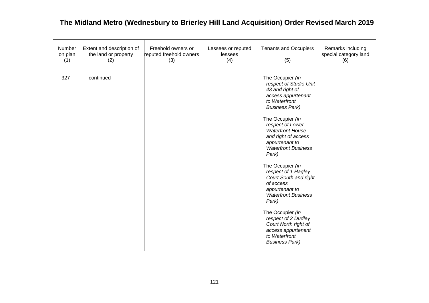| Number<br>on plan<br>(1) | Extent and description of<br>the land or property<br>(2) | Freehold owners or<br>reputed freehold owners<br>(3) | Lessees or reputed<br>lessees<br>(4) | <b>Tenants and Occupiers</b><br>(5)                                                                                                                                                                                                                                                                                                                                                                                                                                                                                                                           | Remarks including<br>special category land<br>(6) |
|--------------------------|----------------------------------------------------------|------------------------------------------------------|--------------------------------------|---------------------------------------------------------------------------------------------------------------------------------------------------------------------------------------------------------------------------------------------------------------------------------------------------------------------------------------------------------------------------------------------------------------------------------------------------------------------------------------------------------------------------------------------------------------|---------------------------------------------------|
| 327                      | - continued                                              |                                                      |                                      | The Occupier (in<br>respect of Studio Unit<br>43 and right of<br>access appurtenant<br>to Waterfront<br><b>Business Park)</b><br>The Occupier (in<br>respect of Lower<br><b>Waterfront House</b><br>and right of access<br>appurtenant to<br><b>Waterfront Business</b><br>Park)<br>The Occupier (in<br>respect of 1 Hagley<br>Court South and right<br>of access<br>appurtenant to<br><b>Waterfront Business</b><br>Park)<br>The Occupier (in<br>respect of 2 Dudley<br>Court North right of<br>access appurtenant<br>to Waterfront<br><b>Business Park)</b> |                                                   |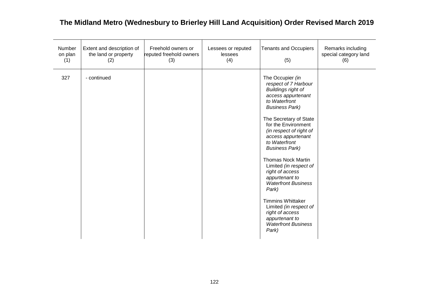| Number<br>on plan<br>(1) | Extent and description of<br>the land or property<br>(2) | Freehold owners or<br>reputed freehold owners<br>(3) | Lessees or reputed<br>lessees<br>(4) | <b>Tenants and Occupiers</b><br>(5)                                                                                                                                                                                                                                                                                                                                                                                                                                                                                                                    | Remarks including<br>special category land<br>(6) |
|--------------------------|----------------------------------------------------------|------------------------------------------------------|--------------------------------------|--------------------------------------------------------------------------------------------------------------------------------------------------------------------------------------------------------------------------------------------------------------------------------------------------------------------------------------------------------------------------------------------------------------------------------------------------------------------------------------------------------------------------------------------------------|---------------------------------------------------|
| 327                      | - continued                                              |                                                      |                                      | The Occupier (in<br>respect of 7 Harbour<br><b>Buildings right of</b><br>access appurtenant<br>to Waterfront<br><b>Business Park)</b><br>The Secretary of State<br>for the Environment<br>(in respect of right of<br>access appurtenant<br>to Waterfront<br><b>Business Park)</b><br><b>Thomas Nock Martin</b><br>Limited (in respect of<br>right of access<br>appurtenant to<br><b>Waterfront Business</b><br>Park)<br><b>Timmins Whittaker</b><br>Limited (in respect of<br>right of access<br>appurtenant to<br><b>Waterfront Business</b><br>Park) |                                                   |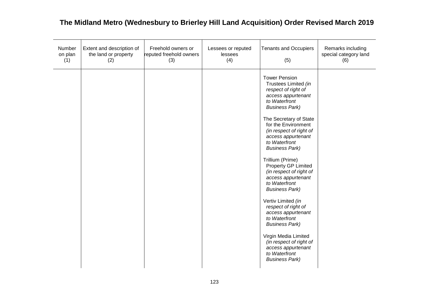| Number<br>on plan<br>(1) | Extent and description of<br>the land or property<br>(2) | Freehold owners or<br>reputed freehold owners<br>(3) | Lessees or reputed<br>lessees<br>(4) | <b>Tenants and Occupiers</b><br>(5)                                                                                                                                                                                                                                                                                                                                                                                                                                                                                                                                                                                                                   | Remarks including<br>special category land<br>(6) |
|--------------------------|----------------------------------------------------------|------------------------------------------------------|--------------------------------------|-------------------------------------------------------------------------------------------------------------------------------------------------------------------------------------------------------------------------------------------------------------------------------------------------------------------------------------------------------------------------------------------------------------------------------------------------------------------------------------------------------------------------------------------------------------------------------------------------------------------------------------------------------|---------------------------------------------------|
|                          |                                                          |                                                      |                                      | <b>Tower Pension</b><br>Trustees Limited (in<br>respect of right of<br>access appurtenant<br>to Waterfront<br><b>Business Park)</b><br>The Secretary of State<br>for the Environment<br>(in respect of right of<br>access appurtenant<br>to Waterfront<br><b>Business Park)</b><br>Trillium (Prime)<br>Property GP Limited<br>(in respect of right of<br>access appurtenant<br>to Waterfront<br><b>Business Park)</b><br>Vertiv Limited (in<br>respect of right of<br>access appurtenant<br>to Waterfront<br><b>Business Park)</b><br>Virgin Media Limited<br>(in respect of right of<br>access appurtenant<br>to Waterfront<br><b>Business Park)</b> |                                                   |
|                          |                                                          |                                                      |                                      |                                                                                                                                                                                                                                                                                                                                                                                                                                                                                                                                                                                                                                                       |                                                   |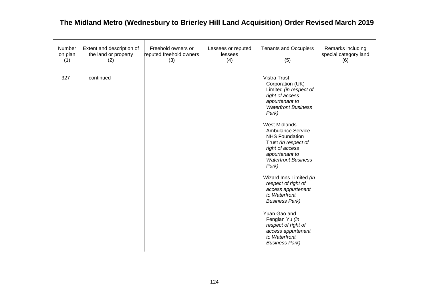| Number<br>on plan<br>(1) | Extent and description of<br>the land or property<br>(2) | Freehold owners or<br>reputed freehold owners<br>(3) | Lessees or reputed<br>lessees<br>(4) | <b>Tenants and Occupiers</b><br>(5)                                                                                                                                                                                                                                                                                                                                                                                                                                                                                                                                | Remarks including<br>special category land<br>(6) |
|--------------------------|----------------------------------------------------------|------------------------------------------------------|--------------------------------------|--------------------------------------------------------------------------------------------------------------------------------------------------------------------------------------------------------------------------------------------------------------------------------------------------------------------------------------------------------------------------------------------------------------------------------------------------------------------------------------------------------------------------------------------------------------------|---------------------------------------------------|
| 327                      | - continued                                              |                                                      |                                      | <b>Vistra Trust</b><br>Corporation (UK)<br>Limited (in respect of<br>right of access<br>appurtenant to<br><b>Waterfront Business</b><br>Park)<br><b>West Midlands</b><br>Ambulance Service<br><b>NHS Foundation</b><br>Trust (in respect of<br>right of access<br>appurtenant to<br><b>Waterfront Business</b><br>Park)<br>Wizard Inns Limited (in<br>respect of right of<br>access appurtenant<br>to Waterfront<br><b>Business Park)</b><br>Yuan Gao and<br>Fenglan Yu (in<br>respect of right of<br>access appurtenant<br>to Waterfront<br><b>Business Park)</b> |                                                   |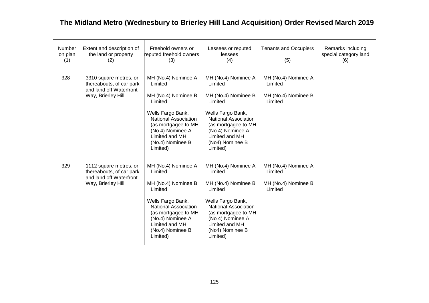| <b>Number</b><br>on plan<br>(1) | Extent and description of<br>the land or property<br>(2)                                            | Freehold owners or<br>reputed freehold owners<br>(3)                                                                                                                                                              | Lessees or reputed<br>lessees<br>(4)                                                                                                                                                                             | <b>Tenants and Occupiers</b><br>(5)                              | Remarks including<br>special category land<br>(6) |
|---------------------------------|-----------------------------------------------------------------------------------------------------|-------------------------------------------------------------------------------------------------------------------------------------------------------------------------------------------------------------------|------------------------------------------------------------------------------------------------------------------------------------------------------------------------------------------------------------------|------------------------------------------------------------------|---------------------------------------------------|
| 328                             | 3310 square metres, or<br>thereabouts, of car park<br>and land off Waterfront<br>Way, Brierley Hill | MH (No.4) Nominee A<br>Limited<br>MH (No.4) Nominee B<br>Limited                                                                                                                                                  | MH (No.4) Nominee A<br>Limited<br>MH (No.4) Nominee B<br>Limited                                                                                                                                                 | MH (No.4) Nominee A<br>Limited<br>MH (No.4) Nominee B<br>Limited |                                                   |
|                                 |                                                                                                     | Wells Fargo Bank,<br>National Association<br>(as mortgagee to MH<br>(No.4) Nominee A<br>Limited and MH<br>(No.4) Nominee B<br>Limited)                                                                            | Wells Fargo Bank,<br><b>National Association</b><br>(as mortgagee to MH<br>(No 4) Nominee A<br>Limited and MH<br>(No4) Nominee B<br>Limited)                                                                     |                                                                  |                                                   |
| 329                             | 1112 square metres, or<br>thereabouts, of car park<br>and land off Waterfront<br>Way, Brierley Hill | MH (No.4) Nominee A<br>Limited<br>MH (No.4) Nominee B<br>Limited<br>Wells Fargo Bank,<br><b>National Association</b><br>(as mortgagee to MH<br>(No.4) Nominee A<br>Limited and MH<br>(No.4) Nominee B<br>Limited) | MH (No.4) Nominee A<br>Limited<br>MH (No.4) Nominee B<br>Limited<br>Wells Fargo Bank,<br><b>National Association</b><br>(as mortgagee to MH<br>(No 4) Nominee A<br>Limited and MH<br>(No4) Nominee B<br>Limited) | MH (No.4) Nominee A<br>Limited<br>MH (No.4) Nominee B<br>Limited |                                                   |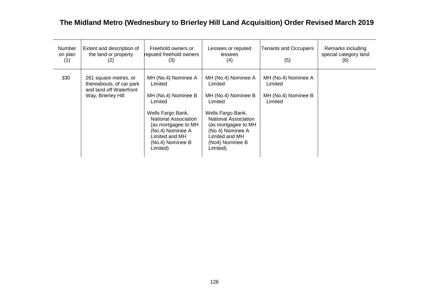| <b>Number</b><br>on plan<br>(1) | Extent and description of<br>the land or property<br>(2)                                           | Freehold owners or<br>reputed freehold owners<br>(3)                                                                                                                                                       | Lessees or reputed<br>lessees<br>(4)                                                                                                                                                                             | <b>Tenants and Occupiers</b><br>(5)                              | Remarks including<br>special category land<br>(6) |
|---------------------------------|----------------------------------------------------------------------------------------------------|------------------------------------------------------------------------------------------------------------------------------------------------------------------------------------------------------------|------------------------------------------------------------------------------------------------------------------------------------------------------------------------------------------------------------------|------------------------------------------------------------------|---------------------------------------------------|
| 330                             | 261 square metres, or<br>thereabouts, of car park<br>and land off Waterfront<br>Way, Brierley Hill | MH (No.4) Nominee A<br>Limited<br>MH (No.4) Nominee B<br>Limited<br>Wells Fargo Bank,<br>National Association<br>(as mortgagee to MH<br>(No.4) Nominee A<br>Limited and MH<br>(No.4) Nominee B<br>Limited) | MH (No.4) Nominee A<br>Limited<br>MH (No.4) Nominee B<br>Limited<br>Wells Fargo Bank,<br><b>National Association</b><br>(as mortgagee to MH<br>(No 4) Nominee A<br>Limited and MH<br>(No4) Nominee B<br>Limited) | MH (No.4) Nominee A<br>Limited<br>MH (No.4) Nominee B<br>Limited |                                                   |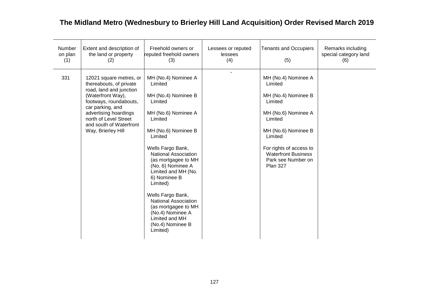| Number<br>on plan<br>(1) | Extent and description of<br>the land or property<br>(2)                                                                                                                                                                                            | Freehold owners or<br>reputed freehold owners<br>(3)                                                                                                                                                                                                                                                                                                                                                                                     | Lessees or reputed<br>lessees<br>(4) | <b>Tenants and Occupiers</b><br>(5)                                                                                                                                                                                                    | Remarks including<br>special category land<br>(6) |
|--------------------------|-----------------------------------------------------------------------------------------------------------------------------------------------------------------------------------------------------------------------------------------------------|------------------------------------------------------------------------------------------------------------------------------------------------------------------------------------------------------------------------------------------------------------------------------------------------------------------------------------------------------------------------------------------------------------------------------------------|--------------------------------------|----------------------------------------------------------------------------------------------------------------------------------------------------------------------------------------------------------------------------------------|---------------------------------------------------|
| 331                      | 12021 square metres, or<br>thereabouts, of private<br>road, land and junction<br>(Waterfront Way),<br>footways, roundabouts,<br>car parking, and<br>advertising hoardings<br>north of Level Street<br>and south of Waterfront<br>Way, Brierley Hill | MH (No.4) Nominee A<br>Limited<br>MH (No.4) Nominee B<br>Limited<br>MH (No.6) Nominee A<br>Limited<br>MH (No.6) Nominee B<br>Limited<br>Wells Fargo Bank,<br><b>National Association</b><br>(as mortgagee to MH<br>(No. 6) Nominee A<br>Limited and MH (No.<br>6) Nominee B<br>Limited)<br>Wells Fargo Bank,<br><b>National Association</b><br>(as mortgagee to MH<br>(No.4) Nominee A<br>Limited and MH<br>(No.4) Nominee B<br>Limited) |                                      | MH (No.4) Nominee A<br>Limited<br>MH (No.4) Nominee B<br>Limited<br>MH (No.6) Nominee A<br>Limited<br>MH (No.6) Nominee B<br>Limited<br>For rights of access to<br><b>Waterfront Business</b><br>Park see Number on<br><b>Plan 327</b> |                                                   |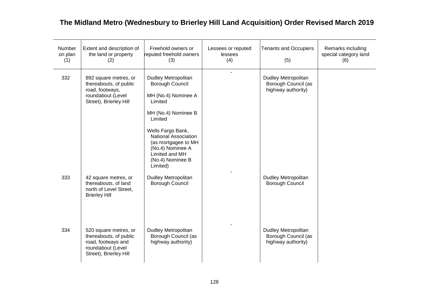| Number<br>on plan<br>(1) | Extent and description of<br>the land or property<br>(2)                                                             | Freehold owners or<br>reputed freehold owners<br>(3)                                                                                                                                                                                                 | Lessees or reputed<br>lessees<br>(4) | <b>Tenants and Occupiers</b><br>(5)                              | Remarks including<br>special category land<br>(6) |
|--------------------------|----------------------------------------------------------------------------------------------------------------------|------------------------------------------------------------------------------------------------------------------------------------------------------------------------------------------------------------------------------------------------------|--------------------------------------|------------------------------------------------------------------|---------------------------------------------------|
| 332                      | 892 square metres, or<br>thereabouts, of public<br>road, footways,<br>roundabout (Level<br>Street), Brierley Hill    | Dudley Metropolitan<br>Borough Council<br>MH (No.4) Nominee A<br>Limited<br>MH (No.4) Nominee B<br>Limited<br>Wells Fargo Bank,<br>National Association<br>(as mortgagee to MH<br>(No.4) Nominee A<br>Limited and MH<br>(No.4) Nominee B<br>Limited) |                                      | Dudley Metropolitan<br>Borough Council (as<br>highway authority) |                                                   |
| 333                      | 42 square metres, or<br>thereabouts, of land<br>north of Level Street,<br><b>Brierley Hill</b>                       | Dudley Metropolitan<br>Borough Council                                                                                                                                                                                                               |                                      | Dudley Metropolitan<br>Borough Council                           |                                                   |
| 334                      | 520 square metres, or<br>thereabouts, of public<br>road, footways and<br>roundabout (Level<br>Street), Brierley Hill | Dudley Metropolitan<br>Borough Council (as<br>highway authority)                                                                                                                                                                                     |                                      | Dudley Metropolitan<br>Borough Council (as<br>highway authority) |                                                   |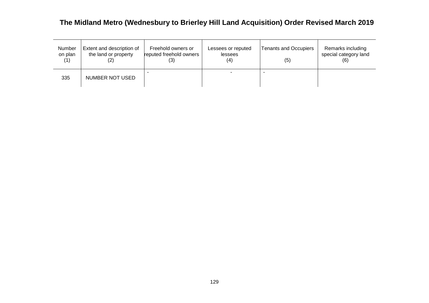| Number<br>on plan<br>(1) | Extent and description of<br>the land or property | Freehold owners or<br>reputed freehold owners | Lessees or reputed<br>lessees<br>(4) | <b>Tenants and Occupiers</b><br>(5) | Remarks including<br>special category land<br>(6) |
|--------------------------|---------------------------------------------------|-----------------------------------------------|--------------------------------------|-------------------------------------|---------------------------------------------------|
| 335                      | NUMBER NOT USED                                   |                                               |                                      |                                     |                                                   |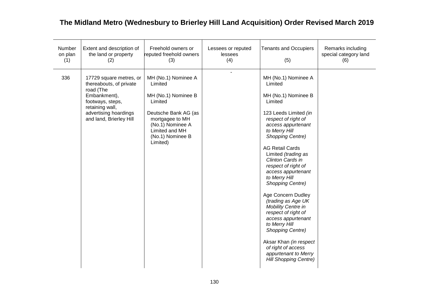| Number<br>on plan<br>(1) | Extent and description of<br>the land or property<br>(2)                                                                                                                   | Freehold owners or<br>reputed freehold owners<br>(3)                                                                                                                              | Lessees or reputed<br>lessees<br>(4) | <b>Tenants and Occupiers</b><br>(5)                                                                                                                                                                                                                                                                                                                                                                                                                                                                                                                                                            | Remarks including<br>special category land<br>(6) |
|--------------------------|----------------------------------------------------------------------------------------------------------------------------------------------------------------------------|-----------------------------------------------------------------------------------------------------------------------------------------------------------------------------------|--------------------------------------|------------------------------------------------------------------------------------------------------------------------------------------------------------------------------------------------------------------------------------------------------------------------------------------------------------------------------------------------------------------------------------------------------------------------------------------------------------------------------------------------------------------------------------------------------------------------------------------------|---------------------------------------------------|
| 336                      | 17729 square metres, or<br>thereabouts, of private<br>road (The<br>Embankment),<br>footways, steps,<br>retaining wall,<br>advertising hoardings<br>and land, Brierley Hill | MH (No.1) Nominee A<br>Limited<br>MH (No.1) Nominee B<br>Limited<br>Deutsche Bank AG (as<br>mortgagee to MH<br>(No.1) Nominee A<br>Limited and MH<br>(No.1) Nominee B<br>Limited) |                                      | MH (No.1) Nominee A<br>Limited<br>MH (No.1) Nominee B<br>Limited<br>123 Leeds Limited (in<br>respect of right of<br>access appurtenant<br>to Merry Hill<br>Shopping Centre)<br><b>AG Retail Cards</b><br>Limited (trading as<br>Clinton Cards in<br>respect of right of<br>access appurtenant<br>to Merry Hill<br>Shopping Centre)<br>Age Concern Dudley<br>(trading as Age UK<br>Mobility Centre in<br>respect of right of<br>access appurtenant<br>to Merry Hill<br>Shopping Centre)<br>Aksar Khan (in respect<br>of right of access<br>appurtenant to Merry<br><b>Hill Shopping Centre)</b> |                                                   |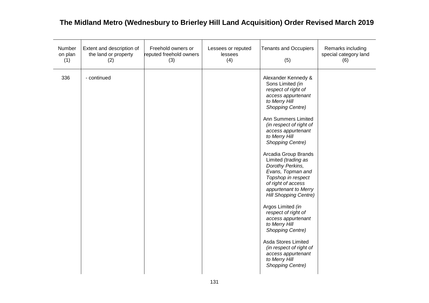| Number<br>on plan<br>(1) | Extent and description of<br>the land or property<br>(2) | Freehold owners or<br>reputed freehold owners<br>(3) | Lessees or reputed<br>lessees<br>(4) | <b>Tenants and Occupiers</b><br>(5)                                                                                                                                                                                                                                                                                                                                                                                                                                                                                                                                                                                                                                         | Remarks including<br>special category land<br>(6) |
|--------------------------|----------------------------------------------------------|------------------------------------------------------|--------------------------------------|-----------------------------------------------------------------------------------------------------------------------------------------------------------------------------------------------------------------------------------------------------------------------------------------------------------------------------------------------------------------------------------------------------------------------------------------------------------------------------------------------------------------------------------------------------------------------------------------------------------------------------------------------------------------------------|---------------------------------------------------|
| 336                      | - continued                                              |                                                      |                                      | Alexander Kennedy &<br>Sons Limited (in<br>respect of right of<br>access appurtenant<br>to Merry Hill<br><b>Shopping Centre)</b><br>Ann Summers Limited<br>(in respect of right of<br>access appurtenant<br>to Merry Hill<br><b>Shopping Centre)</b><br>Arcadia Group Brands<br>Limited (trading as<br>Dorothy Perkins,<br>Evans, Topman and<br>Topshop in respect<br>of right of access<br>appurtenant to Merry<br><b>Hill Shopping Centre)</b><br>Argos Limited (in<br>respect of right of<br>access appurtenant<br>to Merry Hill<br>Shopping Centre)<br>Asda Stores Limited<br>(in respect of right of<br>access appurtenant<br>to Merry Hill<br><b>Shopping Centre)</b> |                                                   |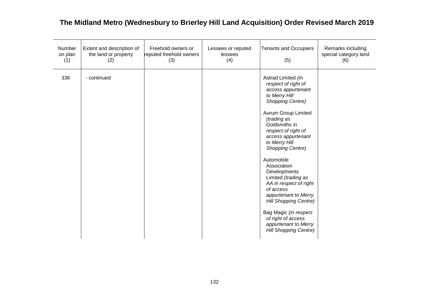| Number<br>on plan<br>(1) | Extent and description of<br>the land or property<br>(2) | Freehold owners or<br>reputed freehold owners<br>(3) | Lessees or reputed<br>lessees<br>(4) | <b>Tenants and Occupiers</b><br>(5)                                                                                                                                                                                                                                                                                                                                                                                                                                                                                                   | Remarks including<br>special category land<br>(6) |
|--------------------------|----------------------------------------------------------|------------------------------------------------------|--------------------------------------|---------------------------------------------------------------------------------------------------------------------------------------------------------------------------------------------------------------------------------------------------------------------------------------------------------------------------------------------------------------------------------------------------------------------------------------------------------------------------------------------------------------------------------------|---------------------------------------------------|
| 336                      | - continued                                              |                                                      |                                      | Astrad Limited (in<br>respect of right of<br>access appurtenant<br>to Merry Hill<br><b>Shopping Centre)</b><br>Aurum Group Limited<br>(trading as<br>Goldsmiths in<br>respect of right of<br>access appurtenant<br>to Merry Hill<br><b>Shopping Centre)</b><br>Automobile<br>Association<br>Developments<br>Limited (trading as<br>AA in respect of right<br>of access<br>appurtenant to Merry<br><b>Hill Shopping Centre)</b><br>Bag Magic (in respect<br>of right of access<br>appurtenant to Merry<br><b>Hill Shopping Centre)</b> |                                                   |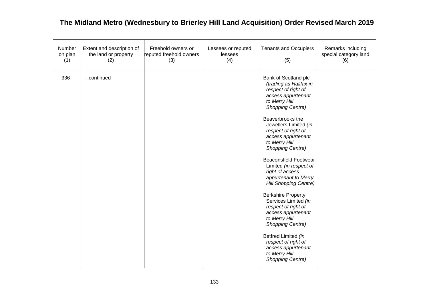| Number<br>on plan<br>(1) | Extent and description of<br>the land or property<br>(2) | Freehold owners or<br>reputed freehold owners<br>(3) | Lessees or reputed<br>lessees<br>(4) | <b>Tenants and Occupiers</b><br>(5)                                                                                                                                                                                                                                                                                                                                                                                                                                                                                                                                                                                                                                | Remarks including<br>special category land<br>(6) |
|--------------------------|----------------------------------------------------------|------------------------------------------------------|--------------------------------------|--------------------------------------------------------------------------------------------------------------------------------------------------------------------------------------------------------------------------------------------------------------------------------------------------------------------------------------------------------------------------------------------------------------------------------------------------------------------------------------------------------------------------------------------------------------------------------------------------------------------------------------------------------------------|---------------------------------------------------|
| 336                      | - continued                                              |                                                      |                                      | Bank of Scotland plc<br>(trading as Halifax in<br>respect of right of<br>access appurtenant<br>to Merry Hill<br><b>Shopping Centre)</b><br>Beaverbrooks the<br>Jewellers Limited (in<br>respect of right of<br>access appurtenant<br>to Merry Hill<br><b>Shopping Centre)</b><br><b>Beaconsfield Footwear</b><br>Limited (in respect of<br>right of access<br>appurtenant to Merry<br>Hill Shopping Centre)<br><b>Berkshire Property</b><br>Services Limited (in<br>respect of right of<br>access appurtenant<br>to Merry Hill<br><b>Shopping Centre)</b><br>Betfred Limited (in<br>respect of right of<br>access appurtenant<br>to Merry Hill<br>Shopping Centre) |                                                   |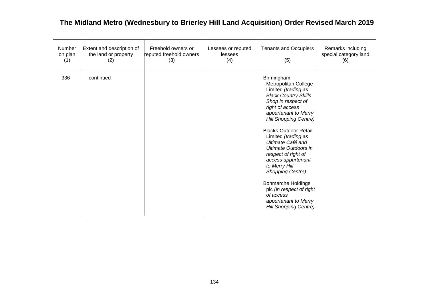| Number<br>on plan<br>(1) | Extent and description of<br>the land or property<br>(2) | Freehold owners or<br>reputed freehold owners<br>(3) | Lessees or reputed<br>lessees<br>(4) | <b>Tenants and Occupiers</b><br>(5)                                                                                                                                                                                                                                                                                                                                                                                                                                                                                         | Remarks including<br>special category land<br>(6) |
|--------------------------|----------------------------------------------------------|------------------------------------------------------|--------------------------------------|-----------------------------------------------------------------------------------------------------------------------------------------------------------------------------------------------------------------------------------------------------------------------------------------------------------------------------------------------------------------------------------------------------------------------------------------------------------------------------------------------------------------------------|---------------------------------------------------|
| 336                      | - continued                                              |                                                      |                                      | Birmingham<br>Metropolitan College<br>Limited (trading as<br><b>Black Country Skills</b><br>Shop in respect of<br>right of access<br>appurtenant to Merry<br><b>Hill Shopping Centre)</b><br><b>Blacks Outdoor Retail</b><br>Limited (trading as<br>Ultimate Café and<br><b>Ultimate Outdoors in</b><br>respect of right of<br>access appurtenant<br>to Merry Hill<br><b>Shopping Centre)</b><br><b>Bonmarche Holdings</b><br>plc (in respect of right<br>of access<br>appurtenant to Merry<br><b>Hill Shopping Centre)</b> |                                                   |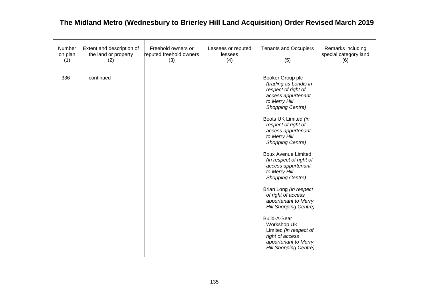| Number<br>on plan<br>(1) | Extent and description of<br>the land or property<br>(2) | Freehold owners or<br>reputed freehold owners<br>(3) | Lessees or reputed<br>lessees<br>(4) | <b>Tenants and Occupiers</b><br>(5)                                                                                                                                                                                                                                                                                                                                                                                                                                                                                                                                                                          | Remarks including<br>special category land<br>(6) |
|--------------------------|----------------------------------------------------------|------------------------------------------------------|--------------------------------------|--------------------------------------------------------------------------------------------------------------------------------------------------------------------------------------------------------------------------------------------------------------------------------------------------------------------------------------------------------------------------------------------------------------------------------------------------------------------------------------------------------------------------------------------------------------------------------------------------------------|---------------------------------------------------|
| 336                      | - continued                                              |                                                      |                                      | Booker Group plc<br>(trading as Londis in<br>respect of right of<br>access appurtenant<br>to Merry Hill<br>Shopping Centre)<br>Boots UK Limited (in<br>respect of right of<br>access appurtenant<br>to Merry Hill<br>Shopping Centre)<br><b>Boux Avenue Limited</b><br>(in respect of right of<br>access appurtenant<br>to Merry Hill<br>Shopping Centre)<br>Brian Long (in respect<br>of right of access<br>appurtenant to Merry<br><b>Hill Shopping Centre)</b><br><b>Build-A-Bear</b><br>Workshop UK<br>Limited (in respect of<br>right of access<br>appurtenant to Merry<br><b>Hill Shopping Centre)</b> |                                                   |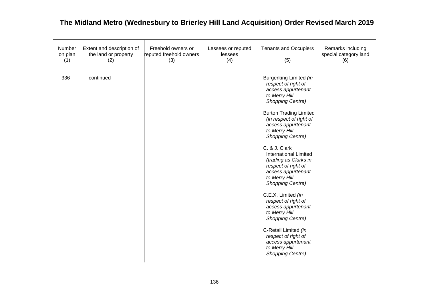| Number<br>on plan<br>(1) | Extent and description of<br>the land or property<br>(2) | Freehold owners or<br>reputed freehold owners<br>(3) | Lessees or reputed<br>lessees<br>(4) | <b>Tenants and Occupiers</b><br>(5)                                                                                                                                                                                                                                                                                                                                                                                                                                                                                                                                                                                  | Remarks including<br>special category land<br>(6) |
|--------------------------|----------------------------------------------------------|------------------------------------------------------|--------------------------------------|----------------------------------------------------------------------------------------------------------------------------------------------------------------------------------------------------------------------------------------------------------------------------------------------------------------------------------------------------------------------------------------------------------------------------------------------------------------------------------------------------------------------------------------------------------------------------------------------------------------------|---------------------------------------------------|
| 336                      | - continued                                              |                                                      |                                      | Burgerking Limited (in<br>respect of right of<br>access appurtenant<br>to Merry Hill<br><b>Shopping Centre)</b><br><b>Burton Trading Limited</b><br>(in respect of right of<br>access appurtenant<br>to Merry Hill<br>Shopping Centre)<br>C. & J. Clark<br><b>International Limited</b><br>(trading as Clarks in<br>respect of right of<br>access appurtenant<br>to Merry Hill<br>Shopping Centre)<br>C.E.X. Limited (in<br>respect of right of<br>access appurtenant<br>to Merry Hill<br>Shopping Centre)<br>C-Retail Limited (in<br>respect of right of<br>access appurtenant<br>to Merry Hill<br>Shopping Centre) |                                                   |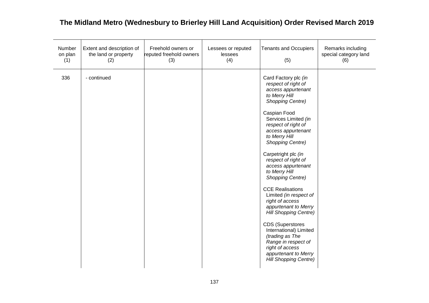| Number<br>on plan<br>(1) | Extent and description of<br>the land or property<br>(2) | Freehold owners or<br>reputed freehold owners<br>(3) | Lessees or reputed<br>lessees<br>(4) | <b>Tenants and Occupiers</b><br>(5)                                                                                                                                                                                                                                                                                                                                                                                                                                                                                                                                                                                                                 | Remarks including<br>special category land<br>(6) |
|--------------------------|----------------------------------------------------------|------------------------------------------------------|--------------------------------------|-----------------------------------------------------------------------------------------------------------------------------------------------------------------------------------------------------------------------------------------------------------------------------------------------------------------------------------------------------------------------------------------------------------------------------------------------------------------------------------------------------------------------------------------------------------------------------------------------------------------------------------------------------|---------------------------------------------------|
| 336                      | - continued                                              |                                                      |                                      | Card Factory plc (in<br>respect of right of<br>access appurtenant<br>to Merry Hill<br>Shopping Centre)<br>Caspian Food<br>Services Limited (in<br>respect of right of<br>access appurtenant<br>to Merry Hill<br>Shopping Centre)<br>Carpetright plc (in<br>respect of right of<br>access appurtenant<br>to Merry Hill<br>Shopping Centre)<br><b>CCE Realisations</b><br>Limited (in respect of<br>right of access<br>appurtenant to Merry<br><b>Hill Shopping Centre)</b><br><b>CDS (Superstores</b><br>International) Limited<br>(trading as The<br>Range in respect of<br>right of access<br>appurtenant to Merry<br><b>Hill Shopping Centre)</b> |                                                   |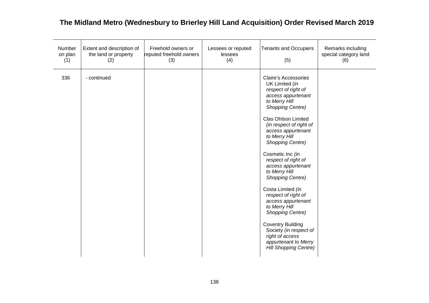| Number<br>on plan<br>(1) | Extent and description of<br>the land or property<br>(2) | Freehold owners or<br>reputed freehold owners<br>(3) | Lessees or reputed<br>lessees<br>(4) | <b>Tenants and Occupiers</b><br>(5)                                                                                                                                                                                                                                                                                                                                                                                                                                                                                                                                                                             | Remarks including<br>special category land<br>(6) |
|--------------------------|----------------------------------------------------------|------------------------------------------------------|--------------------------------------|-----------------------------------------------------------------------------------------------------------------------------------------------------------------------------------------------------------------------------------------------------------------------------------------------------------------------------------------------------------------------------------------------------------------------------------------------------------------------------------------------------------------------------------------------------------------------------------------------------------------|---------------------------------------------------|
| 336                      | - continued                                              |                                                      |                                      | <b>Claire's Accessories</b><br>UK Limited (in<br>respect of right of<br>access appurtenant<br>to Merry Hill<br><b>Shopping Centre)</b><br><b>Clas Ohlson Limited</b><br>(in respect of right of<br>access appurtenant<br>to Merry Hill<br><b>Shopping Centre)</b><br>Cosmetic Inc (in<br>respect of right of<br>access appurtenant<br>to Merry Hill<br>Shopping Centre)<br>Costa Limited (in<br>respect of right of<br>access appurtenant<br>to Merry Hill<br>Shopping Centre)<br><b>Coventry Building</b><br>Society (in respect of<br>right of access<br>appurtenant to Merry<br><b>Hill Shopping Centre)</b> |                                                   |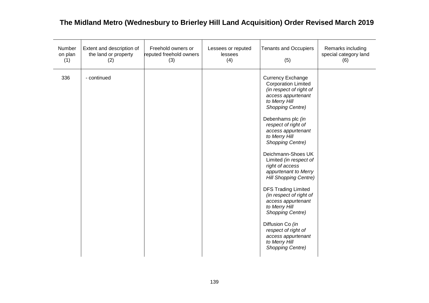| Number<br>on plan<br>(1) | Extent and description of<br>the land or property<br>(2) | Freehold owners or<br>reputed freehold owners<br>(3) | Lessees or reputed<br>lessees<br>(4) | <b>Tenants and Occupiers</b><br>(5)                                                                                                                                                                                                                                                                                                                                                                                                                                                                                                                                                                             | Remarks including<br>special category land<br>(6) |
|--------------------------|----------------------------------------------------------|------------------------------------------------------|--------------------------------------|-----------------------------------------------------------------------------------------------------------------------------------------------------------------------------------------------------------------------------------------------------------------------------------------------------------------------------------------------------------------------------------------------------------------------------------------------------------------------------------------------------------------------------------------------------------------------------------------------------------------|---------------------------------------------------|
| 336                      | - continued                                              |                                                      |                                      | <b>Currency Exchange</b><br><b>Corporation Limited</b><br>(in respect of right of<br>access appurtenant<br>to Merry Hill<br><b>Shopping Centre)</b><br>Debenhams plc (in<br>respect of right of<br>access appurtenant<br>to Merry Hill<br>Shopping Centre)<br>Deichmann-Shoes UK<br>Limited (in respect of<br>right of access<br>appurtenant to Merry<br><b>Hill Shopping Centre)</b><br><b>DFS Trading Limited</b><br>(in respect of right of<br>access appurtenant<br>to Merry Hill<br>Shopping Centre)<br>Diffusion Co (in<br>respect of right of<br>access appurtenant<br>to Merry Hill<br>Shopping Centre) |                                                   |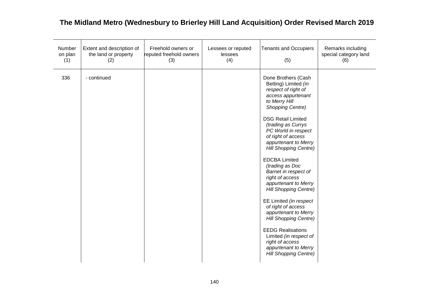| Number<br>on plan<br>(1) | Extent and description of<br>the land or property<br>(2) | Freehold owners or<br>reputed freehold owners<br>(3) | Lessees or reputed<br>lessees<br>(4) | <b>Tenants and Occupiers</b><br>(5)                                                                                                                                                                                                                                                                                                                                                                                                                                                                                                                                                                                                                                                 | Remarks including<br>special category land<br>(6) |
|--------------------------|----------------------------------------------------------|------------------------------------------------------|--------------------------------------|-------------------------------------------------------------------------------------------------------------------------------------------------------------------------------------------------------------------------------------------------------------------------------------------------------------------------------------------------------------------------------------------------------------------------------------------------------------------------------------------------------------------------------------------------------------------------------------------------------------------------------------------------------------------------------------|---------------------------------------------------|
| 336                      | - continued                                              |                                                      |                                      | Done Brothers (Cash<br>Betting) Limited (in<br>respect of right of<br>access appurtenant<br>to Merry Hill<br><b>Shopping Centre)</b><br><b>DSG Retail Limited</b><br>(trading as Currys<br>PC World in respect<br>of right of access<br>appurtenant to Merry<br><b>Hill Shopping Centre)</b><br><b>EDCBA Limited</b><br>(trading as Doc<br>Barnet in respect of<br>right of access<br>appurtenant to Merry<br><b>Hill Shopping Centre)</b><br>EE Limited (in respect<br>of right of access<br>appurtenant to Merry<br><b>Hill Shopping Centre)</b><br><b>EEDG Realisations</b><br>Limited (in respect of<br>right of access<br>appurtenant to Merry<br><b>Hill Shopping Centre)</b> |                                                   |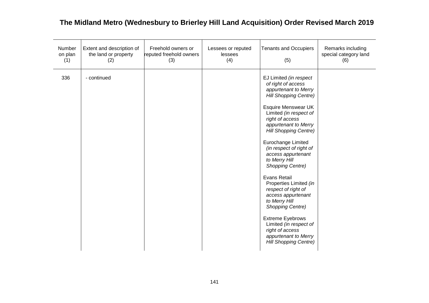| Number<br>on plan<br>(1) | Extent and description of<br>the land or property<br>(2) | Freehold owners or<br>reputed freehold owners<br>(3) | Lessees or reputed<br>lessees<br>(4) | <b>Tenants and Occupiers</b><br>(5)                                                                                                                                                                                                                                                                                                                                                                                                                                                                                                                                                                                           | Remarks including<br>special category land<br>(6) |
|--------------------------|----------------------------------------------------------|------------------------------------------------------|--------------------------------------|-------------------------------------------------------------------------------------------------------------------------------------------------------------------------------------------------------------------------------------------------------------------------------------------------------------------------------------------------------------------------------------------------------------------------------------------------------------------------------------------------------------------------------------------------------------------------------------------------------------------------------|---------------------------------------------------|
| 336                      | - continued                                              |                                                      |                                      | EJ Limited (in respect<br>of right of access<br>appurtenant to Merry<br><b>Hill Shopping Centre)</b><br><b>Esquire Menswear UK</b><br>Limited (in respect of<br>right of access<br>appurtenant to Merry<br><b>Hill Shopping Centre)</b><br>Eurochange Limited<br>(in respect of right of<br>access appurtenant<br>to Merry Hill<br>Shopping Centre)<br><b>Evans Retail</b><br>Properties Limited (in<br>respect of right of<br>access appurtenant<br>to Merry Hill<br><b>Shopping Centre)</b><br><b>Extreme Eyebrows</b><br>Limited (in respect of<br>right of access<br>appurtenant to Merry<br><b>Hill Shopping Centre)</b> |                                                   |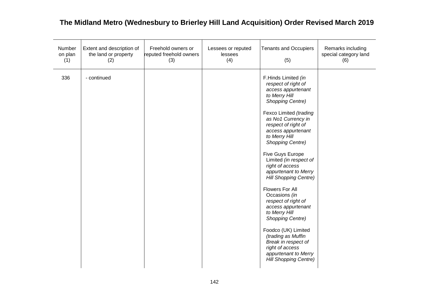| Number<br>on plan<br>(1) | Extent and description of<br>the land or property<br>(2) | Freehold owners or<br>reputed freehold owners<br>(3) | Lessees or reputed<br>lessees<br>(4) | <b>Tenants and Occupiers</b><br>(5)                                                                                                                                                                                                                                                                                                                                                                                                                                                                                                                                                                                                          | Remarks including<br>special category land<br>(6) |
|--------------------------|----------------------------------------------------------|------------------------------------------------------|--------------------------------------|----------------------------------------------------------------------------------------------------------------------------------------------------------------------------------------------------------------------------------------------------------------------------------------------------------------------------------------------------------------------------------------------------------------------------------------------------------------------------------------------------------------------------------------------------------------------------------------------------------------------------------------------|---------------------------------------------------|
| 336                      | - continued                                              |                                                      |                                      | F.Hinds Limited (in<br>respect of right of<br>access appurtenant<br>to Merry Hill<br>Shopping Centre)<br>Fexco Limited (trading<br>as No1 Currency in<br>respect of right of<br>access appurtenant<br>to Merry Hill<br>Shopping Centre)<br>Five Guys Europe<br>Limited (in respect of<br>right of access<br>appurtenant to Merry<br><b>Hill Shopping Centre)</b><br><b>Flowers For All</b><br>Occasions (in<br>respect of right of<br>access appurtenant<br>to Merry Hill<br>Shopping Centre)<br>Foodco (UK) Limited<br>(trading as Muffin<br>Break in respect of<br>right of access<br>appurtenant to Merry<br><b>Hill Shopping Centre)</b> |                                                   |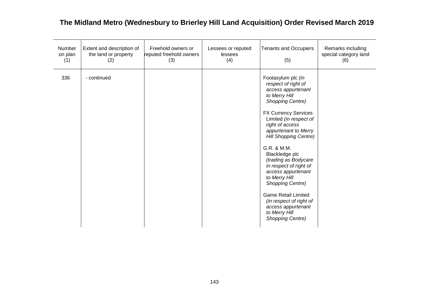| Number<br>on plan<br>(1) | Extent and description of<br>the land or property<br>(2) | Freehold owners or<br>reputed freehold owners<br>(3) | Lessees or reputed<br>lessees<br>(4) | <b>Tenants and Occupiers</b><br>(5)                                                                                                                                                                                                                                                                                                                                                                                                                                                                                      | Remarks including<br>special category land<br>(6) |
|--------------------------|----------------------------------------------------------|------------------------------------------------------|--------------------------------------|--------------------------------------------------------------------------------------------------------------------------------------------------------------------------------------------------------------------------------------------------------------------------------------------------------------------------------------------------------------------------------------------------------------------------------------------------------------------------------------------------------------------------|---------------------------------------------------|
| 336                      | - continued                                              |                                                      |                                      | Footasylum plc (in<br>respect of right of<br>access appurtenant<br>to Merry Hill<br><b>Shopping Centre)</b><br><b>FX Currency Services</b><br>Limited (in respect of<br>right of access<br>appurtenant to Merry<br><b>Hill Shopping Centre)</b><br>G.R. & M.M.<br>Blackledge plc<br>(trading as Bodycare<br>in respect of right of<br>access appurtenant<br>to Merry Hill<br>Shopping Centre)<br><b>Game Retail Limited</b><br>(in respect of right of<br>access appurtenant<br>to Merry Hill<br><b>Shopping Centre)</b> |                                                   |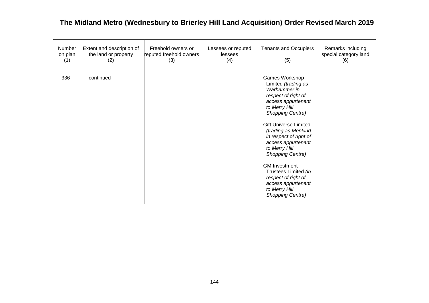| Number<br>on plan<br>(1) | Extent and description of<br>the land or property<br>(2) | Freehold owners or<br>reputed freehold owners<br>(3) | Lessees or reputed<br>lessees<br>(4) | <b>Tenants and Occupiers</b><br>(5)                                                                                                                                                                                                                                                                                                                                                                                   | Remarks including<br>special category land<br>(6) |
|--------------------------|----------------------------------------------------------|------------------------------------------------------|--------------------------------------|-----------------------------------------------------------------------------------------------------------------------------------------------------------------------------------------------------------------------------------------------------------------------------------------------------------------------------------------------------------------------------------------------------------------------|---------------------------------------------------|
| 336                      | - continued                                              |                                                      |                                      | Games Workshop<br>Limited (trading as<br>Warhammer in<br>respect of right of<br>access appurtenant<br>to Merry Hill<br>Shopping Centre)<br><b>Gift Universe Limited</b><br>(trading as Menkind<br>in respect of right of<br>access appurtenant<br>to Merry Hill<br>Shopping Centre)<br><b>GM Investment</b><br>Trustees Limited (in<br>respect of right of<br>access appurtenant<br>to Merry Hill<br>Shopping Centre) |                                                   |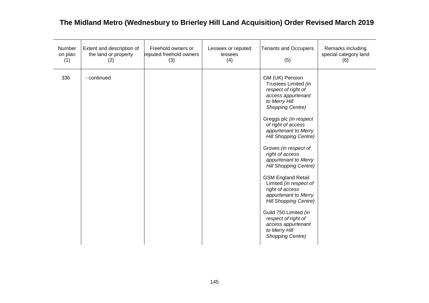| Number<br>on plan<br>(1) | Extent and description of<br>the land or property<br>(2) | Freehold owners or<br>reputed freehold owners<br>(3) | Lessees or reputed<br>lessees<br>(4) | <b>Tenants and Occupiers</b><br>(5)                                                                                                                                                                                                                                                                                                                                                                                                                                                                                                                                                | Remarks including<br>special category land<br>(6) |
|--------------------------|----------------------------------------------------------|------------------------------------------------------|--------------------------------------|------------------------------------------------------------------------------------------------------------------------------------------------------------------------------------------------------------------------------------------------------------------------------------------------------------------------------------------------------------------------------------------------------------------------------------------------------------------------------------------------------------------------------------------------------------------------------------|---------------------------------------------------|
| 336                      | - continued                                              |                                                      |                                      | GM (UK) Pension<br>Trustees Limited (in<br>respect of right of<br>access appurtenant<br>to Merry Hill<br>Shopping Centre)<br>Greggs plc (in respect<br>of right of access<br>appurtenant to Merry<br><b>Hill Shopping Centre)</b><br>Groves (in respect of<br>right of access<br>appurtenant to Merry<br><b>Hill Shopping Centre)</b><br><b>GSM England Retail</b><br>Limited (in respect of<br>right of access<br>appurtenant to Merry<br><b>Hill Shopping Centre)</b><br>Guild 750 Limited (in<br>respect of right of<br>access appurtenant<br>to Merry Hill<br>Shopping Centre) |                                                   |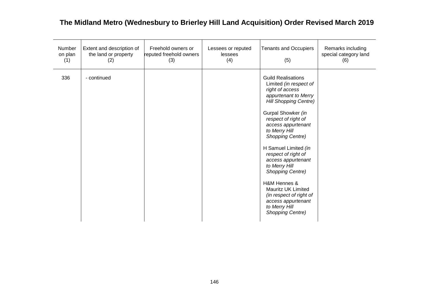| Number<br>on plan<br>(1) | Extent and description of<br>the land or property<br>(2) | Freehold owners or<br>reputed freehold owners<br>(3) | Lessees or reputed<br>lessees<br>(4) | <b>Tenants and Occupiers</b><br>(5)                                                                                                                                                                                                                                                                                                                                                                                                                                                 | Remarks including<br>special category land<br>(6) |
|--------------------------|----------------------------------------------------------|------------------------------------------------------|--------------------------------------|-------------------------------------------------------------------------------------------------------------------------------------------------------------------------------------------------------------------------------------------------------------------------------------------------------------------------------------------------------------------------------------------------------------------------------------------------------------------------------------|---------------------------------------------------|
| 336                      | - continued                                              |                                                      |                                      | <b>Guild Realisations</b><br>Limited (in respect of<br>right of access<br>appurtenant to Merry<br><b>Hill Shopping Centre)</b><br>Gurpal Showker (in<br>respect of right of<br>access appurtenant<br>to Merry Hill<br>Shopping Centre)<br>H Samuel Limited (in<br>respect of right of<br>access appurtenant<br>to Merry Hill<br>Shopping Centre)<br>H&M Hennes &<br><b>Mauritz UK Limited</b><br>(in respect of right of<br>access appurtenant<br>to Merry Hill<br>Shopping Centre) |                                                   |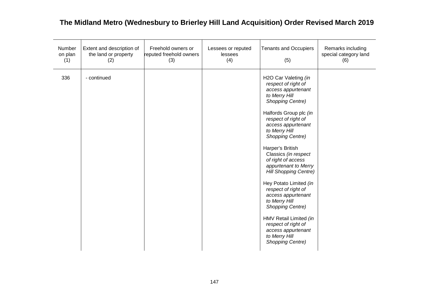| Number<br>on plan<br>(1) | Extent and description of<br>the land or property<br>(2) | Freehold owners or<br>reputed freehold owners<br>(3) | Lessees or reputed<br>lessees<br>(4) | <b>Tenants and Occupiers</b><br>(5)                                                                                                                                                                                                                                                                                                                                                                                                                                                                                                                                  | Remarks including<br>special category land<br>(6) |
|--------------------------|----------------------------------------------------------|------------------------------------------------------|--------------------------------------|----------------------------------------------------------------------------------------------------------------------------------------------------------------------------------------------------------------------------------------------------------------------------------------------------------------------------------------------------------------------------------------------------------------------------------------------------------------------------------------------------------------------------------------------------------------------|---------------------------------------------------|
| 336                      | - continued                                              |                                                      |                                      | H2O Car Valeting (in<br>respect of right of<br>access appurtenant<br>to Merry Hill<br>Shopping Centre)<br>Halfords Group plc (in<br>respect of right of<br>access appurtenant<br>to Merry Hill<br>Shopping Centre)<br>Harper's British<br>Classics (in respect<br>of right of access<br>appurtenant to Merry<br><b>Hill Shopping Centre)</b><br>Hey Potato Limited (in<br>respect of right of<br>access appurtenant<br>to Merry Hill<br>Shopping Centre)<br>HMV Retail Limited (in<br>respect of right of<br>access appurtenant<br>to Merry Hill<br>Shopping Centre) |                                                   |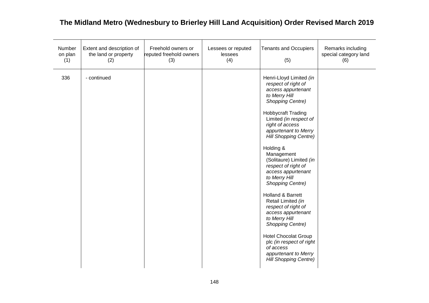| Number<br>on plan<br>(1) | Extent and description of<br>the land or property<br>(2) | Freehold owners or<br>reputed freehold owners<br>(3) | Lessees or reputed<br>lessees<br>(4) | <b>Tenants and Occupiers</b><br>(5)                                                                                                                                                                                                                                                                                                                                                                                                                                                                                                                                                                                                                     | Remarks including<br>special category land<br>(6) |
|--------------------------|----------------------------------------------------------|------------------------------------------------------|--------------------------------------|---------------------------------------------------------------------------------------------------------------------------------------------------------------------------------------------------------------------------------------------------------------------------------------------------------------------------------------------------------------------------------------------------------------------------------------------------------------------------------------------------------------------------------------------------------------------------------------------------------------------------------------------------------|---------------------------------------------------|
| 336                      | - continued                                              |                                                      |                                      | Henri-Lloyd Limited (in<br>respect of right of<br>access appurtenant<br>to Merry Hill<br><b>Shopping Centre)</b><br><b>Hobbycraft Trading</b><br>Limited (in respect of<br>right of access<br>appurtenant to Merry<br>Hill Shopping Centre)<br>Holding &<br>Management<br>(Solitaure) Limited (in<br>respect of right of<br>access appurtenant<br>to Merry Hill<br><b>Shopping Centre)</b><br>Holland & Barrett<br>Retail Limited (in<br>respect of right of<br>access appurtenant<br>to Merry Hill<br>Shopping Centre)<br><b>Hotel Chocolat Group</b><br>plc (in respect of right<br>of access<br>appurtenant to Merry<br><b>Hill Shopping Centre)</b> |                                                   |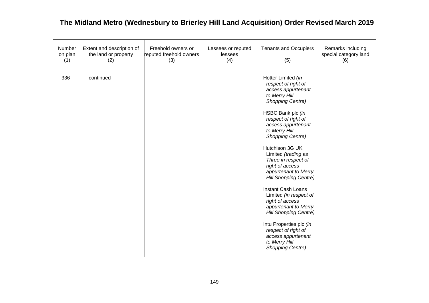| Number<br>on plan<br>(1) | Extent and description of<br>the land or property<br>(2) | Freehold owners or<br>reputed freehold owners<br>(3) | Lessees or reputed<br>lessees<br>(4) | <b>Tenants and Occupiers</b><br>(5)                                                                                                                                                                                                                                                                                                                                                                                                                                                                                                                                                                           | Remarks including<br>special category land<br>(6) |
|--------------------------|----------------------------------------------------------|------------------------------------------------------|--------------------------------------|---------------------------------------------------------------------------------------------------------------------------------------------------------------------------------------------------------------------------------------------------------------------------------------------------------------------------------------------------------------------------------------------------------------------------------------------------------------------------------------------------------------------------------------------------------------------------------------------------------------|---------------------------------------------------|
| 336                      | - continued                                              |                                                      |                                      | Hotter Limited (in<br>respect of right of<br>access appurtenant<br>to Merry Hill<br><b>Shopping Centre)</b><br>HSBC Bank plc (in<br>respect of right of<br>access appurtenant<br>to Merry Hill<br>Shopping Centre)<br>Hutchison 3G UK<br>Limited (trading as<br>Three in respect of<br>right of access<br>appurtenant to Merry<br><b>Hill Shopping Centre)</b><br><b>Instant Cash Loans</b><br>Limited (in respect of<br>right of access<br>appurtenant to Merry<br><b>Hill Shopping Centre)</b><br>Intu Properties plc (in<br>respect of right of<br>access appurtenant<br>to Merry Hill<br>Shopping Centre) |                                                   |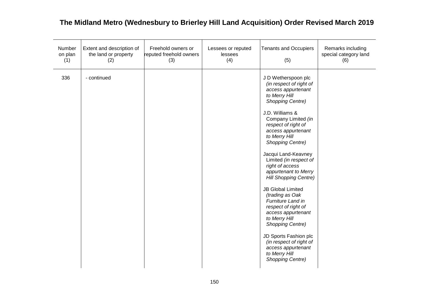| Number<br>on plan<br>(1) | Extent and description of<br>the land or property<br>(2) | Freehold owners or<br>reputed freehold owners<br>(3) | Lessees or reputed<br>lessees<br>(4) | <b>Tenants and Occupiers</b><br>(5)                                                                                                                                                                                                                                                                                                                                                                                                                                                                                                                                                                                                                         | Remarks including<br>special category land<br>(6) |
|--------------------------|----------------------------------------------------------|------------------------------------------------------|--------------------------------------|-------------------------------------------------------------------------------------------------------------------------------------------------------------------------------------------------------------------------------------------------------------------------------------------------------------------------------------------------------------------------------------------------------------------------------------------------------------------------------------------------------------------------------------------------------------------------------------------------------------------------------------------------------------|---------------------------------------------------|
| 336                      | - continued                                              |                                                      |                                      | J D Wetherspoon plc<br>(in respect of right of<br>access appurtenant<br>to Merry Hill<br><b>Shopping Centre)</b><br>J.D. Williams &<br>Company Limited (in<br>respect of right of<br>access appurtenant<br>to Merry Hill<br><b>Shopping Centre)</b><br>Jacqui Land-Keavney<br>Limited (in respect of<br>right of access<br>appurtenant to Merry<br><b>Hill Shopping Centre)</b><br><b>JB Global Limited</b><br>(trading as Oak<br>Furniture Land in<br>respect of right of<br>access appurtenant<br>to Merry Hill<br><b>Shopping Centre)</b><br>JD Sports Fashion plc<br>(in respect of right of<br>access appurtenant<br>to Merry Hill<br>Shopping Centre) |                                                   |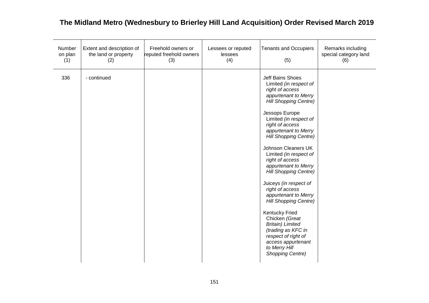| Number<br>on plan<br>(1) | Extent and description of<br>the land or property<br>(2) | Freehold owners or<br>reputed freehold owners<br>(3) | Lessees or reputed<br>lessees<br>(4) | <b>Tenants and Occupiers</b><br>(5)                                                                                                                                                                                                                                                                                                                                                                                                                                                                                                                                                                                                                   | Remarks including<br>special category land<br>(6) |
|--------------------------|----------------------------------------------------------|------------------------------------------------------|--------------------------------------|-------------------------------------------------------------------------------------------------------------------------------------------------------------------------------------------------------------------------------------------------------------------------------------------------------------------------------------------------------------------------------------------------------------------------------------------------------------------------------------------------------------------------------------------------------------------------------------------------------------------------------------------------------|---------------------------------------------------|
| 336                      | - continued                                              |                                                      |                                      | Jeff Bains Shoes<br>Limited (in respect of<br>right of access<br>appurtenant to Merry<br><b>Hill Shopping Centre)</b><br>Jessops Europe<br>Limited (in respect of<br>right of access<br>appurtenant to Merry<br><b>Hill Shopping Centre)</b><br>Johnson Cleaners UK<br>Limited (in respect of<br>right of access<br>appurtenant to Merry<br>Hill Shopping Centre)<br>Juiceys (in respect of<br>right of access<br>appurtenant to Merry<br><b>Hill Shopping Centre)</b><br><b>Kentucky Fried</b><br>Chicken (Great<br><b>Britain</b> ) Limited<br>(trading as KFC in<br>respect of right of<br>access appurtenant<br>to Merry Hill<br>Shopping Centre) |                                                   |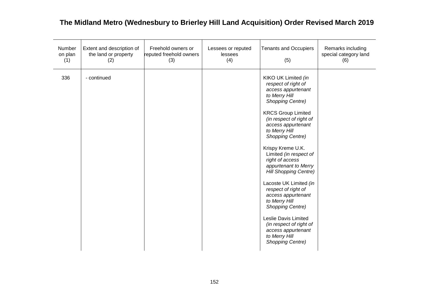| Number<br>on plan<br>(1) | Extent and description of<br>the land or property<br>(2) | Freehold owners or<br>reputed freehold owners<br>(3) | Lessees or reputed<br>lessees<br>(4) | <b>Tenants and Occupiers</b><br>(5)                                                                                                                                                                                                                                                                                                                                                                                                                                                                                                                                                 | Remarks including<br>special category land<br>(6) |
|--------------------------|----------------------------------------------------------|------------------------------------------------------|--------------------------------------|-------------------------------------------------------------------------------------------------------------------------------------------------------------------------------------------------------------------------------------------------------------------------------------------------------------------------------------------------------------------------------------------------------------------------------------------------------------------------------------------------------------------------------------------------------------------------------------|---------------------------------------------------|
| 336                      | - continued                                              |                                                      |                                      | KIKO UK Limited (in<br>respect of right of<br>access appurtenant<br>to Merry Hill<br>Shopping Centre)<br><b>KRCS Group Limited</b><br>(in respect of right of<br>access appurtenant<br>to Merry Hill<br>Shopping Centre)<br>Krispy Kreme U.K.<br>Limited (in respect of<br>right of access<br>appurtenant to Merry<br>Hill Shopping Centre)<br>Lacoste UK Limited (in<br>respect of right of<br>access appurtenant<br>to Merry Hill<br><b>Shopping Centre)</b><br>Leslie Davis Limited<br>(in respect of right of<br>access appurtenant<br>to Merry Hill<br><b>Shopping Centre)</b> |                                                   |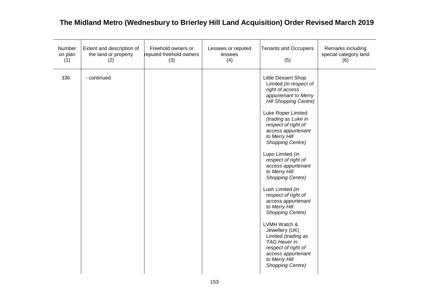| Number<br>on plan<br>(1) | Extent and description of<br>the land or property<br>(2) | Freehold owners or<br>reputed freehold owners<br>(3) | Lessees or reputed<br>lessees<br>(4) | <b>Tenants and Occupiers</b><br>(5)                                                                                                                                                                                                                                                                                                                                                                                                                                                                                                                                                                                                                 | Remarks including<br>special category land<br>(6) |
|--------------------------|----------------------------------------------------------|------------------------------------------------------|--------------------------------------|-----------------------------------------------------------------------------------------------------------------------------------------------------------------------------------------------------------------------------------------------------------------------------------------------------------------------------------------------------------------------------------------------------------------------------------------------------------------------------------------------------------------------------------------------------------------------------------------------------------------------------------------------------|---------------------------------------------------|
| 336                      | - continued                                              |                                                      |                                      | Little Dessert Shop<br>Limited (in respect of<br>right of access<br>appurtenant to Merry<br><b>Hill Shopping Centre)</b><br>Luke Roper Limited<br>(trading as Luke in<br>respect of right of<br>access appurtenant<br>to Merry Hill<br><b>Shopping Centre)</b><br>Lupo Limited (in<br>respect of right of<br>access appurtenant<br>to Merry Hill<br><b>Shopping Centre)</b><br>Lush Limited (in<br>respect of right of<br>access appurtenant<br>to Merry Hill<br>Shopping Centre)<br>LVMH Watch &<br>Jewellery (UK)<br>Limited (trading as<br><b>TAG Heuer in</b><br>respect of right of<br>access appurtenant<br>to Merry Hill<br>Shopping Centre) |                                                   |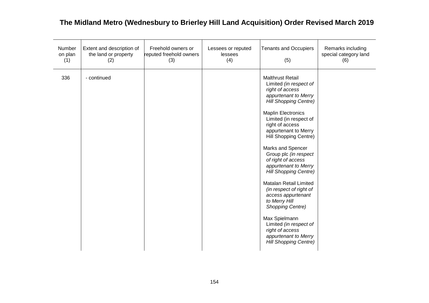| Number<br>on plan<br>(1) | Extent and description of<br>the land or property<br>(2) | Freehold owners or<br>reputed freehold owners<br>(3) | Lessees or reputed<br>lessees<br>(4) | <b>Tenants and Occupiers</b><br>(5)                                                                                                                                                                                                                                                                                                                                                                                                                                                                                                                                                                                              | Remarks including<br>special category land<br>(6) |
|--------------------------|----------------------------------------------------------|------------------------------------------------------|--------------------------------------|----------------------------------------------------------------------------------------------------------------------------------------------------------------------------------------------------------------------------------------------------------------------------------------------------------------------------------------------------------------------------------------------------------------------------------------------------------------------------------------------------------------------------------------------------------------------------------------------------------------------------------|---------------------------------------------------|
| 336                      | - continued                                              |                                                      |                                      | <b>Malthrust Retail</b><br>Limited (in respect of<br>right of access<br>appurtenant to Merry<br><b>Hill Shopping Centre)</b><br><b>Maplin Electronics</b><br>Limited (in respect of<br>right of access<br>appurtenant to Merry<br>Hill Shopping Centre)<br>Marks and Spencer<br>Group plc (in respect<br>of right of access<br>appurtenant to Merry<br><b>Hill Shopping Centre)</b><br>Matalan Retail Limited<br>(in respect of right of<br>access appurtenant<br>to Merry Hill<br><b>Shopping Centre)</b><br>Max Spielmann<br>Limited (in respect of<br>right of access<br>appurtenant to Merry<br><b>Hill Shopping Centre)</b> |                                                   |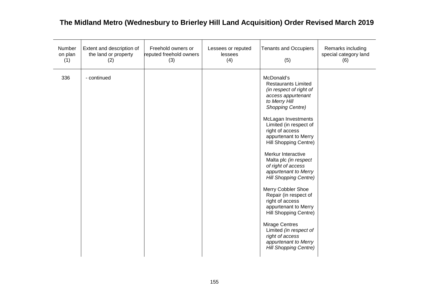| Number<br>on plan<br>(1) | Extent and description of<br>the land or property<br>(2) | Freehold owners or<br>reputed freehold owners<br>(3) | Lessees or reputed<br>lessees<br>(4) | <b>Tenants and Occupiers</b><br>(5)                                                                                                                                                                                                                                                                                                                                                                                                                                                                                                                                                                                                      | Remarks including<br>special category land<br>(6) |
|--------------------------|----------------------------------------------------------|------------------------------------------------------|--------------------------------------|------------------------------------------------------------------------------------------------------------------------------------------------------------------------------------------------------------------------------------------------------------------------------------------------------------------------------------------------------------------------------------------------------------------------------------------------------------------------------------------------------------------------------------------------------------------------------------------------------------------------------------------|---------------------------------------------------|
| 336                      | - continued                                              |                                                      |                                      | McDonald's<br><b>Restaurants Limited</b><br>(in respect of right of<br>access appurtenant<br>to Merry Hill<br><b>Shopping Centre)</b><br>McLagan Investments<br>Limited (in respect of<br>right of access<br>appurtenant to Merry<br>Hill Shopping Centre)<br>Merkur Interactive<br>Malta plc (in respect<br>of right of access<br>appurtenant to Merry<br><b>Hill Shopping Centre)</b><br>Merry Cobbler Shoe<br>Repair (in respect of<br>right of access<br>appurtenant to Merry<br>Hill Shopping Centre)<br><b>Mirage Centres</b><br>Limited (in respect of<br>right of access<br>appurtenant to Merry<br><b>Hill Shopping Centre)</b> |                                                   |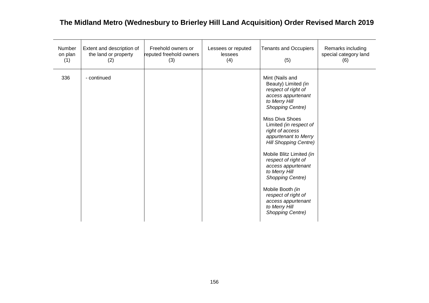| Number<br>on plan<br>(1) | Extent and description of<br>the land or property<br>(2) | Freehold owners or<br>reputed freehold owners<br>(3) | Lessees or reputed<br>lessees<br>(4) | <b>Tenants and Occupiers</b><br>(5)                                                                                                                                                                                                                                                                                                                                                                                                                                                | Remarks including<br>special category land<br>(6) |
|--------------------------|----------------------------------------------------------|------------------------------------------------------|--------------------------------------|------------------------------------------------------------------------------------------------------------------------------------------------------------------------------------------------------------------------------------------------------------------------------------------------------------------------------------------------------------------------------------------------------------------------------------------------------------------------------------|---------------------------------------------------|
| 336                      | - continued                                              |                                                      |                                      | Mint (Nails and<br>Beauty) Limited (in<br>respect of right of<br>access appurtenant<br>to Merry Hill<br>Shopping Centre)<br><b>Miss Diva Shoes</b><br>Limited (in respect of<br>right of access<br>appurtenant to Merry<br><b>Hill Shopping Centre)</b><br>Mobile Blitz Limited (in<br>respect of right of<br>access appurtenant<br>to Merry Hill<br><b>Shopping Centre)</b><br>Mobile Booth (in<br>respect of right of<br>access appurtenant<br>to Merry Hill<br>Shopping Centre) |                                                   |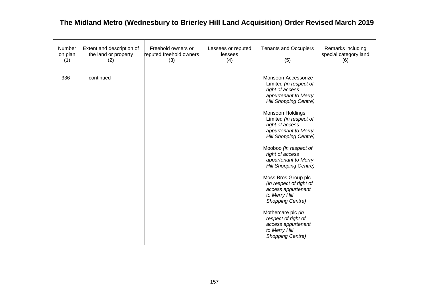| Number<br>on plan<br>(1) | Extent and description of<br>the land or property<br>(2) | Freehold owners or<br>reputed freehold owners<br>(3) | Lessees or reputed<br>lessees<br>(4) | <b>Tenants and Occupiers</b><br>(5)                                                                                                                                                                                                                                                                                                                                                                                                                                                                                                                                        | Remarks including<br>special category land<br>(6) |
|--------------------------|----------------------------------------------------------|------------------------------------------------------|--------------------------------------|----------------------------------------------------------------------------------------------------------------------------------------------------------------------------------------------------------------------------------------------------------------------------------------------------------------------------------------------------------------------------------------------------------------------------------------------------------------------------------------------------------------------------------------------------------------------------|---------------------------------------------------|
| 336                      | - continued                                              |                                                      |                                      | Monsoon Accessorize<br>Limited (in respect of<br>right of access<br>appurtenant to Merry<br><b>Hill Shopping Centre)</b><br>Monsoon Holdings<br>Limited (in respect of<br>right of access<br>appurtenant to Merry<br><b>Hill Shopping Centre)</b><br>Mooboo (in respect of<br>right of access<br>appurtenant to Merry<br><b>Hill Shopping Centre)</b><br>Moss Bros Group plc<br>(in respect of right of<br>access appurtenant<br>to Merry Hill<br>Shopping Centre)<br>Mothercare plc (in<br>respect of right of<br>access appurtenant<br>to Merry Hill<br>Shopping Centre) |                                                   |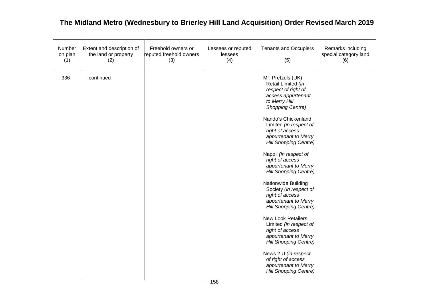| Number<br>on plan<br>(1) | Extent and description of<br>the land or property<br>(2) | Freehold owners or<br>reputed freehold owners<br>(3) | Lessees or reputed<br>lessees<br>(4) | <b>Tenants and Occupiers</b><br>(5)                                                                                                                                                                                                                                                                                                                                                                                                                                                                                                                                                                                                                                                                                                  | Remarks including<br>special category land<br>(6) |
|--------------------------|----------------------------------------------------------|------------------------------------------------------|--------------------------------------|--------------------------------------------------------------------------------------------------------------------------------------------------------------------------------------------------------------------------------------------------------------------------------------------------------------------------------------------------------------------------------------------------------------------------------------------------------------------------------------------------------------------------------------------------------------------------------------------------------------------------------------------------------------------------------------------------------------------------------------|---------------------------------------------------|
| 336                      | - continued                                              |                                                      |                                      | Mr. Pretzels (UK)<br>Retail Limited (in<br>respect of right of<br>access appurtenant<br>to Merry Hill<br><b>Shopping Centre)</b><br>Nando's Chickenland<br>Limited (in respect of<br>right of access<br>appurtenant to Merry<br><b>Hill Shopping Centre)</b><br>Napoli (in respect of<br>right of access<br>appurtenant to Merry<br><b>Hill Shopping Centre)</b><br>Nationwide Building<br>Society (in respect of<br>right of access<br>appurtenant to Merry<br><b>Hill Shopping Centre)</b><br><b>New Look Retailers</b><br>Limited (in respect of<br>right of access<br>appurtenant to Merry<br><b>Hill Shopping Centre)</b><br>News 2 U (in respect<br>of right of access<br>appurtenant to Merry<br><b>Hill Shopping Centre)</b> |                                                   |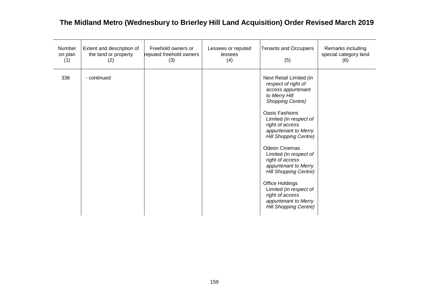| Number<br>on plan<br>(1) | Extent and description of<br>the land or property<br>(2) | Freehold owners or<br>reputed freehold owners<br>(3) | Lessees or reputed<br>lessees<br>(4) | <b>Tenants and Occupiers</b><br>(5)                                                                                                                                                                                                                                                                                                                                                                                                                                                                 | Remarks including<br>special category land<br>(6) |
|--------------------------|----------------------------------------------------------|------------------------------------------------------|--------------------------------------|-----------------------------------------------------------------------------------------------------------------------------------------------------------------------------------------------------------------------------------------------------------------------------------------------------------------------------------------------------------------------------------------------------------------------------------------------------------------------------------------------------|---------------------------------------------------|
| 336                      | - continued                                              |                                                      |                                      | Next Retail Limited (in<br>respect of right of<br>access appurtenant<br>to Merry Hill<br><b>Shopping Centre)</b><br><b>Oasis Fashions</b><br>Limited (in respect of<br>right of access<br>appurtenant to Merry<br><b>Hill Shopping Centre)</b><br><b>Odeon Cinemas</b><br>Limited (in respect of<br>right of access<br>appurtenant to Merry<br><b>Hill Shopping Centre)</b><br>Office Holdings<br>Limited (in respect of<br>right of access<br>appurtenant to Merry<br><b>Hill Shopping Centre)</b> |                                                   |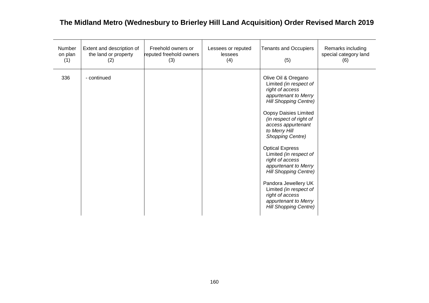| Number<br>on plan<br>(1) | Extent and description of<br>the land or property<br>(2) | Freehold owners or<br>reputed freehold owners<br>(3) | Lessees or reputed<br>lessees<br>(4) | <b>Tenants and Occupiers</b><br>(5)                                                                                                                                                                                                                                                                                                                                                                                                                                                                        | Remarks including<br>special category land<br>(6) |
|--------------------------|----------------------------------------------------------|------------------------------------------------------|--------------------------------------|------------------------------------------------------------------------------------------------------------------------------------------------------------------------------------------------------------------------------------------------------------------------------------------------------------------------------------------------------------------------------------------------------------------------------------------------------------------------------------------------------------|---------------------------------------------------|
| 336                      | - continued                                              |                                                      |                                      | Olive Oil & Oregano<br>Limited (in respect of<br>right of access<br>appurtenant to Merry<br><b>Hill Shopping Centre)</b><br>Oopsy Daisies Limited<br>(in respect of right of<br>access appurtenant<br>to Merry Hill<br><b>Shopping Centre)</b><br><b>Optical Express</b><br>Limited (in respect of<br>right of access<br>appurtenant to Merry<br><b>Hill Shopping Centre)</b><br>Pandora Jewellery UK<br>Limited (in respect of<br>right of access<br>appurtenant to Merry<br><b>Hill Shopping Centre)</b> |                                                   |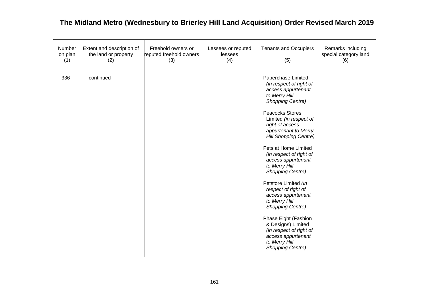| Number<br>on plan<br>(1) | Extent and description of<br>the land or property<br>(2) | Freehold owners or<br>reputed freehold owners<br>(3) | Lessees or reputed<br>lessees<br>(4) | <b>Tenants and Occupiers</b><br>(5)                                                                                                                                                                                                                                                                                                                                                                                                                                                                                                                                                          | Remarks including<br>special category land<br>(6) |
|--------------------------|----------------------------------------------------------|------------------------------------------------------|--------------------------------------|----------------------------------------------------------------------------------------------------------------------------------------------------------------------------------------------------------------------------------------------------------------------------------------------------------------------------------------------------------------------------------------------------------------------------------------------------------------------------------------------------------------------------------------------------------------------------------------------|---------------------------------------------------|
| 336                      | - continued                                              |                                                      |                                      | Paperchase Limited<br>(in respect of right of<br>access appurtenant<br>to Merry Hill<br>Shopping Centre)<br>Peacocks Stores<br>Limited (in respect of<br>right of access<br>appurtenant to Merry<br><b>Hill Shopping Centre)</b><br>Pets at Home Limited<br>(in respect of right of<br>access appurtenant<br>to Merry Hill<br>Shopping Centre)<br>Petstore Limited (in<br>respect of right of<br>access appurtenant<br>to Merry Hill<br>Shopping Centre)<br>Phase Eight (Fashion<br>& Designs) Limited<br>(in respect of right of<br>access appurtenant<br>to Merry Hill<br>Shopping Centre) |                                                   |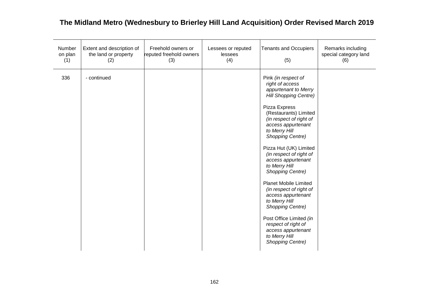| Number<br>on plan<br>(1) | Extent and description of<br>the land or property<br>(2) | Freehold owners or<br>reputed freehold owners<br>(3) | Lessees or reputed<br>lessees<br>(4) | <b>Tenants and Occupiers</b><br>(5)                                                                                                                                                                                                                                                                                                                                                                                                                                                                                                                                                      | Remarks including<br>special category land<br>(6) |
|--------------------------|----------------------------------------------------------|------------------------------------------------------|--------------------------------------|------------------------------------------------------------------------------------------------------------------------------------------------------------------------------------------------------------------------------------------------------------------------------------------------------------------------------------------------------------------------------------------------------------------------------------------------------------------------------------------------------------------------------------------------------------------------------------------|---------------------------------------------------|
| 336                      | - continued                                              |                                                      |                                      | Pink (in respect of<br>right of access<br>appurtenant to Merry<br><b>Hill Shopping Centre)</b><br>Pizza Express<br>(Restaurants) Limited<br>(in respect of right of<br>access appurtenant<br>to Merry Hill<br>Shopping Centre)<br>Pizza Hut (UK) Limited<br>(in respect of right of<br>access appurtenant<br>to Merry Hill<br>Shopping Centre)<br><b>Planet Mobile Limited</b><br>(in respect of right of<br>access appurtenant<br>to Merry Hill<br>Shopping Centre)<br>Post Office Limited (in<br>respect of right of<br>access appurtenant<br>to Merry Hill<br><b>Shopping Centre)</b> |                                                   |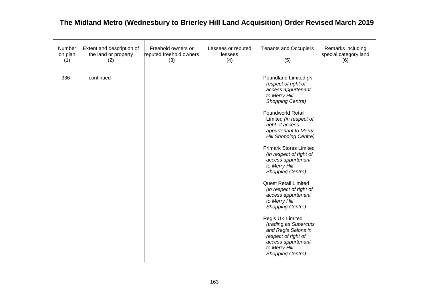| Number<br>on plan<br>(1) | Extent and description of<br>the land or property<br>(2) | Freehold owners or<br>reputed freehold owners<br>(3) | Lessees or reputed<br>lessees<br>(4) | <b>Tenants and Occupiers</b><br>(5)                                                                                                                                                                                                                                                                                                                                                                                                                                                                                                                                                                                                               | Remarks including<br>special category land<br>(6) |
|--------------------------|----------------------------------------------------------|------------------------------------------------------|--------------------------------------|---------------------------------------------------------------------------------------------------------------------------------------------------------------------------------------------------------------------------------------------------------------------------------------------------------------------------------------------------------------------------------------------------------------------------------------------------------------------------------------------------------------------------------------------------------------------------------------------------------------------------------------------------|---------------------------------------------------|
| 336                      | - continued                                              |                                                      |                                      | Poundland Limited (in<br>respect of right of<br>access appurtenant<br>to Merry Hill<br>Shopping Centre)<br><b>Poundworld Retail</b><br>Limited (in respect of<br>right of access<br>appurtenant to Merry<br><b>Hill Shopping Centre)</b><br><b>Primark Stores Limited</b><br>(in respect of right of<br>access appurtenant<br>to Merry Hill<br>Shopping Centre)<br><b>Quest Retail Limited</b><br>(in respect of right of<br>access appurtenant<br>to Merry Hill<br>Shopping Centre)<br>Regis UK Limited<br>(trading as Supercuts<br>and Regis Salons in<br>respect of right of<br>access appurtenant<br>to Merry Hill<br><b>Shopping Centre)</b> |                                                   |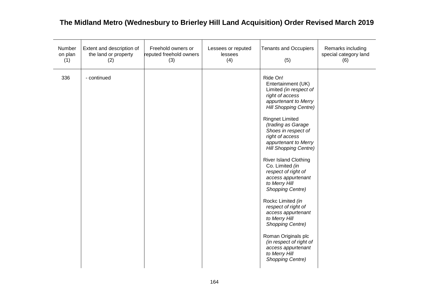| Number<br>on plan<br>(1) | Extent and description of<br>the land or property<br>(2) | Freehold owners or<br>reputed freehold owners<br>(3) | Lessees or reputed<br>lessees<br>(4) | <b>Tenants and Occupiers</b><br>(5)                                                                                                                                                                                                                                                                                                                                                                                                                                                                                                                                                                                                                   | Remarks including<br>special category land<br>(6) |
|--------------------------|----------------------------------------------------------|------------------------------------------------------|--------------------------------------|-------------------------------------------------------------------------------------------------------------------------------------------------------------------------------------------------------------------------------------------------------------------------------------------------------------------------------------------------------------------------------------------------------------------------------------------------------------------------------------------------------------------------------------------------------------------------------------------------------------------------------------------------------|---------------------------------------------------|
| 336                      | - continued                                              |                                                      |                                      | Ride On!<br>Entertainment (UK)<br>Limited (in respect of<br>right of access<br>appurtenant to Merry<br>Hill Shopping Centre)<br><b>Ringnet Limited</b><br>(trading as Garage<br>Shoes in respect of<br>right of access<br>appurtenant to Merry<br><b>Hill Shopping Centre)</b><br><b>River Island Clothing</b><br>Co. Limited (in<br>respect of right of<br>access appurtenant<br>to Merry Hill<br><b>Shopping Centre)</b><br>Rockc Limited (in<br>respect of right of<br>access appurtenant<br>to Merry Hill<br>Shopping Centre)<br>Roman Originals plc<br>(in respect of right of<br>access appurtenant<br>to Merry Hill<br><b>Shopping Centre)</b> |                                                   |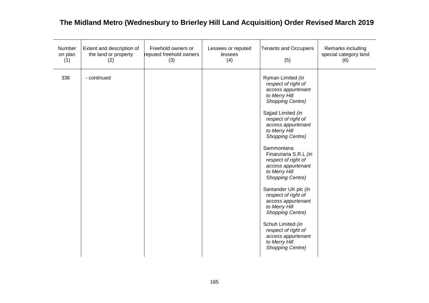| Number<br>on plan<br>(1) | Extent and description of<br>the land or property<br>(2) | Freehold owners or<br>reputed freehold owners<br>(3) | Lessees or reputed<br>lessees<br>(4) | <b>Tenants and Occupiers</b><br>(5)                                                                                                                                                                                                                                                                                                                                                                                                                                                                                                                                 | Remarks including<br>special category land<br>(6) |
|--------------------------|----------------------------------------------------------|------------------------------------------------------|--------------------------------------|---------------------------------------------------------------------------------------------------------------------------------------------------------------------------------------------------------------------------------------------------------------------------------------------------------------------------------------------------------------------------------------------------------------------------------------------------------------------------------------------------------------------------------------------------------------------|---------------------------------------------------|
| 336                      | - continued                                              |                                                      |                                      | Ryman Limited (in<br>respect of right of<br>access appurtenant<br>to Merry Hill<br><b>Shopping Centre)</b><br>Sajjad Limited (in<br>respect of right of<br>access appurtenant<br>to Merry Hill<br><b>Shopping Centre)</b><br>Sammontana<br>Finanziaria S.R.L (in<br>respect of right of<br>access appurtenant<br>to Merry Hill<br>Shopping Centre)<br>Santander UK plc (in<br>respect of right of<br>access appurtenant<br>to Merry Hill<br>Shopping Centre)<br>Schuh Limited (in<br>respect of right of<br>access appurtenant<br>to Merry Hill<br>Shopping Centre) |                                                   |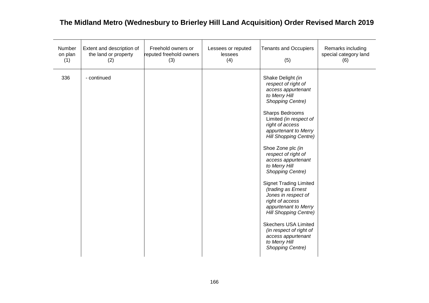| Number<br>on plan<br>(1) | Extent and description of<br>the land or property<br>(2) | Freehold owners or<br>reputed freehold owners<br>(3) | Lessees or reputed<br>lessees<br>(4) | <b>Tenants and Occupiers</b><br>(5)                                                                                                                                                                                                                                                                                                                                                                                                                                                                                                                                                                                     | Remarks including<br>special category land<br>(6) |
|--------------------------|----------------------------------------------------------|------------------------------------------------------|--------------------------------------|-------------------------------------------------------------------------------------------------------------------------------------------------------------------------------------------------------------------------------------------------------------------------------------------------------------------------------------------------------------------------------------------------------------------------------------------------------------------------------------------------------------------------------------------------------------------------------------------------------------------------|---------------------------------------------------|
| 336                      | - continued                                              |                                                      |                                      | Shake Delight (in<br>respect of right of<br>access appurtenant<br>to Merry Hill<br><b>Shopping Centre)</b><br>Sharps Bedrooms<br>Limited (in respect of<br>right of access<br>appurtenant to Merry<br><b>Hill Shopping Centre)</b><br>Shoe Zone plc (in<br>respect of right of<br>access appurtenant<br>to Merry Hill<br>Shopping Centre)<br><b>Signet Trading Limited</b><br>(trading as Ernest<br>Jones in respect of<br>right of access<br>appurtenant to Merry<br><b>Hill Shopping Centre)</b><br><b>Skechers USA Limited</b><br>(in respect of right of<br>access appurtenant<br>to Merry Hill<br>Shopping Centre) |                                                   |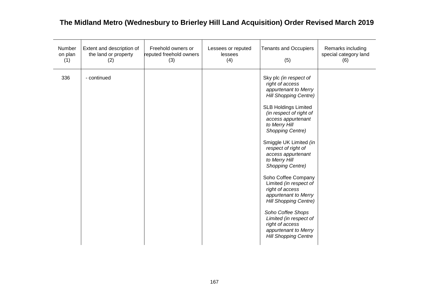| Number<br>on plan<br>(1) | Extent and description of<br>the land or property<br>(2) | Freehold owners or<br>reputed freehold owners<br>(3) | Lessees or reputed<br>lessees<br>(4) | <b>Tenants and Occupiers</b><br>(5)                                                                                                                                                                                                                                                                                                                                                                                                                                                                                                                                                     | Remarks including<br>special category land<br>(6) |
|--------------------------|----------------------------------------------------------|------------------------------------------------------|--------------------------------------|-----------------------------------------------------------------------------------------------------------------------------------------------------------------------------------------------------------------------------------------------------------------------------------------------------------------------------------------------------------------------------------------------------------------------------------------------------------------------------------------------------------------------------------------------------------------------------------------|---------------------------------------------------|
| 336                      | - continued                                              |                                                      |                                      | Sky plc (in respect of<br>right of access<br>appurtenant to Merry<br><b>Hill Shopping Centre)</b><br><b>SLB Holdings Limited</b><br>(in respect of right of<br>access appurtenant<br>to Merry Hill<br>Shopping Centre)<br>Smiggle UK Limited (in<br>respect of right of<br>access appurtenant<br>to Merry Hill<br>Shopping Centre)<br>Soho Coffee Company<br>Limited (in respect of<br>right of access<br>appurtenant to Merry<br><b>Hill Shopping Centre)</b><br>Soho Coffee Shops<br>Limited (in respect of<br>right of access<br>appurtenant to Merry<br><b>Hill Shopping Centre</b> |                                                   |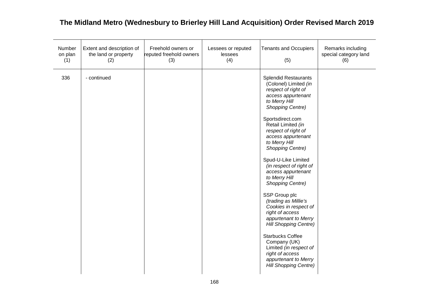| Number<br>on plan<br>(1) | Extent and description of<br>the land or property<br>(2) | Freehold owners or<br>reputed freehold owners<br>(3) | Lessees or reputed<br>lessees<br>(4) | <b>Tenants and Occupiers</b><br>(5)                                                                                                                                                                                                                                                                                                                                                                                                                                                                                                                                                                                                                                          | Remarks including<br>special category land<br>(6) |
|--------------------------|----------------------------------------------------------|------------------------------------------------------|--------------------------------------|------------------------------------------------------------------------------------------------------------------------------------------------------------------------------------------------------------------------------------------------------------------------------------------------------------------------------------------------------------------------------------------------------------------------------------------------------------------------------------------------------------------------------------------------------------------------------------------------------------------------------------------------------------------------------|---------------------------------------------------|
| 336                      | - continued                                              |                                                      |                                      | <b>Splendid Restaurants</b><br>(Colonel) Limited (in<br>respect of right of<br>access appurtenant<br>to Merry Hill<br>Shopping Centre)<br>Sportsdirect.com<br>Retail Limited (in<br>respect of right of<br>access appurtenant<br>to Merry Hill<br>Shopping Centre)<br>Spud-U-Like Limited<br>(in respect of right of<br>access appurtenant<br>to Merry Hill<br>Shopping Centre)<br>SSP Group plc<br>(trading as Millie's<br>Cookies in respect of<br>right of access<br>appurtenant to Merry<br><b>Hill Shopping Centre)</b><br><b>Starbucks Coffee</b><br>Company (UK)<br>Limited (in respect of<br>right of access<br>appurtenant to Merry<br><b>Hill Shopping Centre)</b> |                                                   |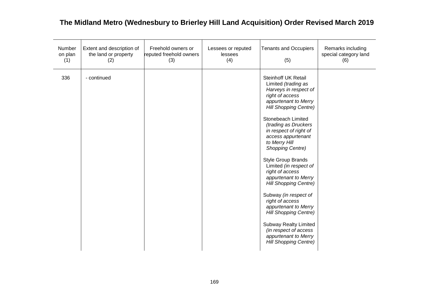| Number<br>on plan<br>(1) | Extent and description of<br>the land or property<br>(2) | Freehold owners or<br>reputed freehold owners<br>(3) | Lessees or reputed<br>lessees<br>(4) | <b>Tenants and Occupiers</b><br>(5)                                                                                                                                                                                                                                                                                                                                                                                                                                                                                                                                                                                                      | Remarks including<br>special category land<br>(6) |
|--------------------------|----------------------------------------------------------|------------------------------------------------------|--------------------------------------|------------------------------------------------------------------------------------------------------------------------------------------------------------------------------------------------------------------------------------------------------------------------------------------------------------------------------------------------------------------------------------------------------------------------------------------------------------------------------------------------------------------------------------------------------------------------------------------------------------------------------------------|---------------------------------------------------|
| 336                      | - continued                                              |                                                      |                                      | Steinhoff UK Retail<br>Limited (trading as<br>Harveys in respect of<br>right of access<br>appurtenant to Merry<br><b>Hill Shopping Centre)</b><br>Stonebeach Limited<br>(trading as Druckers<br>in respect of right of<br>access appurtenant<br>to Merry Hill<br>Shopping Centre)<br><b>Style Group Brands</b><br>Limited (in respect of<br>right of access<br>appurtenant to Merry<br><b>Hill Shopping Centre)</b><br>Subway (in respect of<br>right of access<br>appurtenant to Merry<br><b>Hill Shopping Centre)</b><br><b>Subway Realty Limited</b><br>(in respect of access<br>appurtenant to Merry<br><b>Hill Shopping Centre)</b> |                                                   |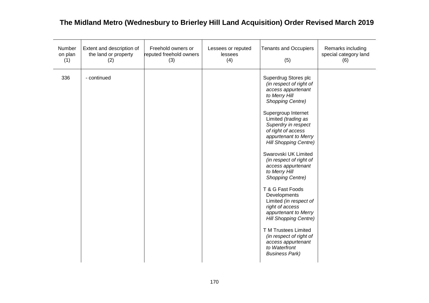| Number<br>on plan<br>(1) | Extent and description of<br>the land or property<br>(2) | Freehold owners or<br>reputed freehold owners<br>(3) | Lessees or reputed<br>lessees<br>(4) | <b>Tenants and Occupiers</b><br>(5)                                                                                                                                                                                                                                                                                                                                                                                                                                                                                                                                                                                                     | Remarks including<br>special category land<br>(6) |
|--------------------------|----------------------------------------------------------|------------------------------------------------------|--------------------------------------|-----------------------------------------------------------------------------------------------------------------------------------------------------------------------------------------------------------------------------------------------------------------------------------------------------------------------------------------------------------------------------------------------------------------------------------------------------------------------------------------------------------------------------------------------------------------------------------------------------------------------------------------|---------------------------------------------------|
| 336                      | - continued                                              |                                                      |                                      | Superdrug Stores plc<br>(in respect of right of<br>access appurtenant<br>to Merry Hill<br>Shopping Centre)<br>Supergroup Internet<br>Limited (trading as<br>Superdry in respect<br>of right of access<br>appurtenant to Merry<br><b>Hill Shopping Centre)</b><br>Swarovski UK Limited<br>(in respect of right of<br>access appurtenant<br>to Merry Hill<br>Shopping Centre)<br>T & G Fast Foods<br>Developments<br>Limited (in respect of<br>right of access<br>appurtenant to Merry<br><b>Hill Shopping Centre)</b><br>T M Trustees Limited<br>(in respect of right of<br>access appurtenant<br>to Waterfront<br><b>Business Park)</b> |                                                   |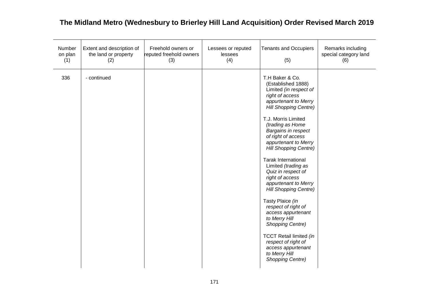| Number<br>on plan<br>(1) | Extent and description of<br>the land or property<br>(2) | Freehold owners or<br>reputed freehold owners<br>(3) | Lessees or reputed<br>lessees<br>(4) | <b>Tenants and Occupiers</b><br>(5)                                                                                                                                                                                                                                                                                                                                                                                                                                                                                                                                                                                                                                        | Remarks including<br>special category land<br>(6) |
|--------------------------|----------------------------------------------------------|------------------------------------------------------|--------------------------------------|----------------------------------------------------------------------------------------------------------------------------------------------------------------------------------------------------------------------------------------------------------------------------------------------------------------------------------------------------------------------------------------------------------------------------------------------------------------------------------------------------------------------------------------------------------------------------------------------------------------------------------------------------------------------------|---------------------------------------------------|
| 336                      | - continued                                              |                                                      |                                      | T.H Baker & Co.<br>(Established 1888)<br>Limited (in respect of<br>right of access<br>appurtenant to Merry<br><b>Hill Shopping Centre)</b><br>T.J. Morris Limited<br>(trading as Home<br>Bargains in respect<br>of right of access<br>appurtenant to Merry<br><b>Hill Shopping Centre)</b><br><b>Tarak International</b><br>Limited (trading as<br>Quiz in respect of<br>right of access<br>appurtenant to Merry<br>Hill Shopping Centre)<br>Tasty Plaice (in<br>respect of right of<br>access appurtenant<br>to Merry Hill<br>Shopping Centre)<br><b>TCCT Retail limited (in</b><br>respect of right of<br>access appurtenant<br>to Merry Hill<br><b>Shopping Centre)</b> |                                                   |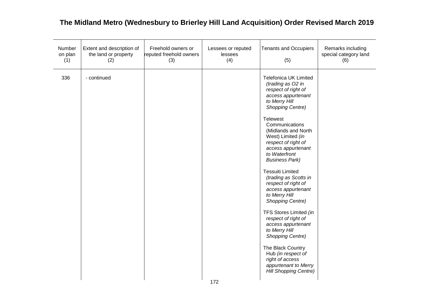| Number<br>on plan<br>(1) | Extent and description of<br>the land or property<br>(2) | Freehold owners or<br>reputed freehold owners<br>(3) | Lessees or reputed<br>lessees<br>(4) | <b>Tenants and Occupiers</b><br>(5)                                                                                                                                                                                                                                                                                                                                                                                                                                                                                                                                                                                                                                                                      | Remarks including<br>special category land<br>(6) |
|--------------------------|----------------------------------------------------------|------------------------------------------------------|--------------------------------------|----------------------------------------------------------------------------------------------------------------------------------------------------------------------------------------------------------------------------------------------------------------------------------------------------------------------------------------------------------------------------------------------------------------------------------------------------------------------------------------------------------------------------------------------------------------------------------------------------------------------------------------------------------------------------------------------------------|---------------------------------------------------|
| 336                      | - continued                                              |                                                      |                                      | <b>Telefonica UK Limited</b><br>(trading as O2 in<br>respect of right of<br>access appurtenant<br>to Merry Hill<br><b>Shopping Centre)</b><br><b>Telewest</b><br>Communications<br>(Midlands and North<br>West) Limited (in<br>respect of right of<br>access appurtenant<br>to Waterfront<br><b>Business Park)</b><br><b>Tessuiti Limited</b><br>(trading as Scotts in<br>respect of right of<br>access appurtenant<br>to Merry Hill<br><b>Shopping Centre)</b><br>TFS Stores Limited (in<br>respect of right of<br>access appurtenant<br>to Merry Hill<br><b>Shopping Centre)</b><br>The Black Country<br>Hub (in respect of<br>right of access<br>appurtenant to Merry<br><b>Hill Shopping Centre)</b> |                                                   |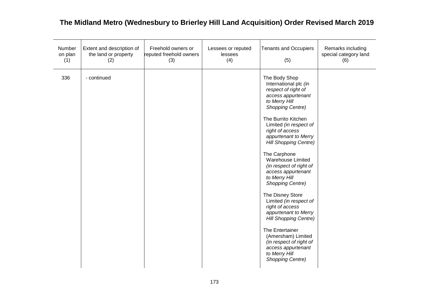| Number<br>on plan<br>(1) | Extent and description of<br>the land or property<br>(2) | Freehold owners or<br>reputed freehold owners<br>(3) | Lessees or reputed<br>lessees<br>(4) | <b>Tenants and Occupiers</b><br>(5)                                                                                                                                                                                                                                                                                                                                                                                                                                                                                                                                                                                                                   | Remarks including<br>special category land<br>(6) |
|--------------------------|----------------------------------------------------------|------------------------------------------------------|--------------------------------------|-------------------------------------------------------------------------------------------------------------------------------------------------------------------------------------------------------------------------------------------------------------------------------------------------------------------------------------------------------------------------------------------------------------------------------------------------------------------------------------------------------------------------------------------------------------------------------------------------------------------------------------------------------|---------------------------------------------------|
| 336                      | - continued                                              |                                                      |                                      | The Body Shop<br>International plc (in<br>respect of right of<br>access appurtenant<br>to Merry Hill<br><b>Shopping Centre)</b><br>The Burrito Kitchen<br>Limited (in respect of<br>right of access<br>appurtenant to Merry<br><b>Hill Shopping Centre)</b><br>The Carphone<br><b>Warehouse Limited</b><br>(in respect of right of<br>access appurtenant<br>to Merry Hill<br>Shopping Centre)<br>The Disney Store<br>Limited (in respect of<br>right of access<br>appurtenant to Merry<br><b>Hill Shopping Centre)</b><br>The Entertainer<br>(Amersham) Limited<br>(in respect of right of<br>access appurtenant<br>to Merry Hill<br>Shopping Centre) |                                                   |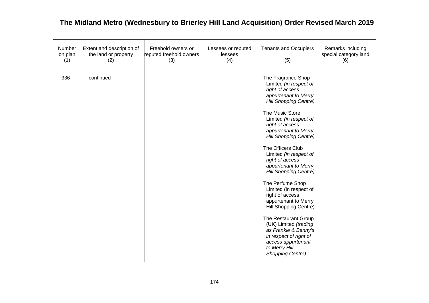| Number<br>on plan<br>(1) | Extent and description of<br>the land or property<br>(2) | Freehold owners or<br>reputed freehold owners<br>(3) | Lessees or reputed<br>lessees<br>(4) | <b>Tenants and Occupiers</b><br>(5)                                                                                                                                                                                                                                                                                                                                                                                                                                                                                                                                                                                                                       | Remarks including<br>special category land<br>(6) |
|--------------------------|----------------------------------------------------------|------------------------------------------------------|--------------------------------------|-----------------------------------------------------------------------------------------------------------------------------------------------------------------------------------------------------------------------------------------------------------------------------------------------------------------------------------------------------------------------------------------------------------------------------------------------------------------------------------------------------------------------------------------------------------------------------------------------------------------------------------------------------------|---------------------------------------------------|
| 336                      | - continued                                              |                                                      |                                      | The Fragrance Shop<br>Limited (in respect of<br>right of access<br>appurtenant to Merry<br><b>Hill Shopping Centre)</b><br>The Music Store<br>Limited (in respect of<br>right of access<br>appurtenant to Merry<br><b>Hill Shopping Centre)</b><br>The Officers Club<br>Limited (in respect of<br>right of access<br>appurtenant to Merry<br><b>Hill Shopping Centre)</b><br>The Perfume Shop<br>Limited (in respect of<br>right of access<br>appurtenant to Merry<br>Hill Shopping Centre)<br>The Restaurant Group<br>(UK) Limited (trading<br>as Frankie & Benny's<br>in respect of right of<br>access appurtenant<br>to Merry Hill<br>Shopping Centre) |                                                   |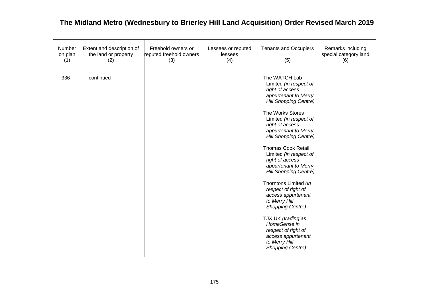| Number<br>on plan<br>(1) | Extent and description of<br>the land or property<br>(2) | Freehold owners or<br>reputed freehold owners<br>(3) | Lessees or reputed<br>lessees<br>(4) | <b>Tenants and Occupiers</b><br>(5)                                                                                                                                                                                                                                                                                                                                                                                                                                                                                                                                                                                     | Remarks including<br>special category land<br>(6) |
|--------------------------|----------------------------------------------------------|------------------------------------------------------|--------------------------------------|-------------------------------------------------------------------------------------------------------------------------------------------------------------------------------------------------------------------------------------------------------------------------------------------------------------------------------------------------------------------------------------------------------------------------------------------------------------------------------------------------------------------------------------------------------------------------------------------------------------------------|---------------------------------------------------|
| 336                      | - continued                                              |                                                      |                                      | The WATCH Lab<br>Limited (in respect of<br>right of access<br>appurtenant to Merry<br><b>Hill Shopping Centre)</b><br>The Works Stores<br>Limited (in respect of<br>right of access<br>appurtenant to Merry<br><b>Hill Shopping Centre)</b><br><b>Thomas Cook Retail</b><br>Limited (in respect of<br>right of access<br>appurtenant to Merry<br><b>Hill Shopping Centre)</b><br>Thorntons Limited (in<br>respect of right of<br>access appurtenant<br>to Merry Hill<br><b>Shopping Centre)</b><br>TJX UK (trading as<br>HomeSense in<br>respect of right of<br>access appurtenant<br>to Merry Hill<br>Shopping Centre) |                                                   |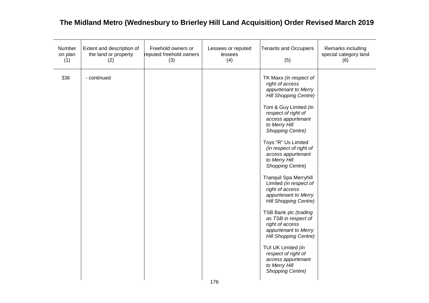| Number<br>on plan<br>(1) | Extent and description of<br>the land or property<br>(2) | Freehold owners or<br>reputed freehold owners<br>(3) | Lessees or reputed<br>lessees<br>(4) | <b>Tenants and Occupiers</b><br>(5)                                                                                                                                                                                                                                                                                                                                                                                                                                                                                                                                                                                                                                                                         | Remarks including<br>special category land<br>(6) |
|--------------------------|----------------------------------------------------------|------------------------------------------------------|--------------------------------------|-------------------------------------------------------------------------------------------------------------------------------------------------------------------------------------------------------------------------------------------------------------------------------------------------------------------------------------------------------------------------------------------------------------------------------------------------------------------------------------------------------------------------------------------------------------------------------------------------------------------------------------------------------------------------------------------------------------|---------------------------------------------------|
| 336                      | - continued                                              |                                                      |                                      | TK Maxx (in respect of<br>right of access<br>appurtenant to Merry<br><b>Hill Shopping Centre)</b><br>Toni & Guy Limited (in<br>respect of right of<br>access appurtenant<br>to Merry Hill<br><b>Shopping Centre)</b><br>Toys "R" Us Limited<br>(in respect of right of<br>access appurtenant<br>to Merry Hill<br><b>Shopping Centre)</b><br>Tranquil Spa Merryhill<br>Limited (in respect of<br>right of access<br>appurtenant to Merry<br><b>Hill Shopping Centre)</b><br>TSB Bank plc (trading<br>as TSB in respect of<br>right of access<br>appurtenant to Merry<br><b>Hill Shopping Centre)</b><br>TUI UK Limited (in<br>respect of right of<br>access appurtenant<br>to Merry Hill<br>Shopping Centre) |                                                   |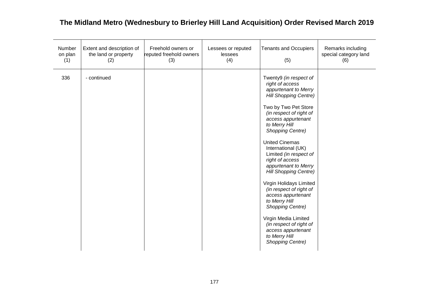| Number<br>on plan<br>(1) | Extent and description of<br>the land or property<br>(2) | Freehold owners or<br>reputed freehold owners<br>(3) | Lessees or reputed<br>lessees<br>(4) | <b>Tenants and Occupiers</b><br>(5)                                                                                                                                                                                                                                                                                                                                                                                                                                                                                                                                                                              | Remarks including<br>special category land<br>(6) |
|--------------------------|----------------------------------------------------------|------------------------------------------------------|--------------------------------------|------------------------------------------------------------------------------------------------------------------------------------------------------------------------------------------------------------------------------------------------------------------------------------------------------------------------------------------------------------------------------------------------------------------------------------------------------------------------------------------------------------------------------------------------------------------------------------------------------------------|---------------------------------------------------|
| 336                      | - continued                                              |                                                      |                                      | Twenty9 (in respect of<br>right of access<br>appurtenant to Merry<br><b>Hill Shopping Centre)</b><br>Two by Two Pet Store<br>(in respect of right of<br>access appurtenant<br>to Merry Hill<br>Shopping Centre)<br><b>United Cinemas</b><br>International (UK)<br>Limited (in respect of<br>right of access<br>appurtenant to Merry<br><b>Hill Shopping Centre)</b><br>Virgin Holidays Limited<br>(in respect of right of<br>access appurtenant<br>to Merry Hill<br><b>Shopping Centre)</b><br>Virgin Media Limited<br>(in respect of right of<br>access appurtenant<br>to Merry Hill<br><b>Shopping Centre)</b> |                                                   |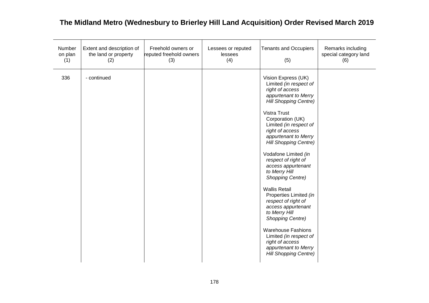| Number<br>on plan<br>(1) | Extent and description of<br>the land or property<br>(2) | Freehold owners or<br>reputed freehold owners<br>(3) | Lessees or reputed<br>lessees<br>(4) | <b>Tenants and Occupiers</b><br>(5)                                                                                                                                                                                                                                                                                                                                                                                                                                                                                                                                                                                                               | Remarks including<br>special category land<br>(6) |
|--------------------------|----------------------------------------------------------|------------------------------------------------------|--------------------------------------|---------------------------------------------------------------------------------------------------------------------------------------------------------------------------------------------------------------------------------------------------------------------------------------------------------------------------------------------------------------------------------------------------------------------------------------------------------------------------------------------------------------------------------------------------------------------------------------------------------------------------------------------------|---------------------------------------------------|
| 336                      | - continued                                              |                                                      |                                      | Vision Express (UK)<br>Limited (in respect of<br>right of access<br>appurtenant to Merry<br>Hill Shopping Centre)<br><b>Vistra Trust</b><br>Corporation (UK)<br>Limited (in respect of<br>right of access<br>appurtenant to Merry<br><b>Hill Shopping Centre)</b><br>Vodafone Limited (in<br>respect of right of<br>access appurtenant<br>to Merry Hill<br>Shopping Centre)<br><b>Wallis Retail</b><br>Properties Limited (in<br>respect of right of<br>access appurtenant<br>to Merry Hill<br>Shopping Centre)<br><b>Warehouse Fashions</b><br>Limited (in respect of<br>right of access<br>appurtenant to Merry<br><b>Hill Shopping Centre)</b> |                                                   |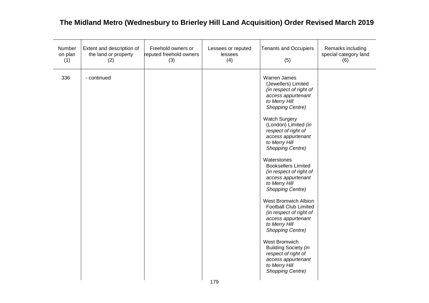| Number<br>on plan<br>(1) | Extent and description of<br>the land or property<br>(2) | Freehold owners or<br>reputed freehold owners<br>(3) | Lessees or reputed<br>lessees<br>(4) | <b>Tenants and Occupiers</b><br>(5)                                                                                                                                                                                                                                                                                                                                                                                                                                                                                                                                                                                                                                                                               | Remarks including<br>special category land<br>(6) |
|--------------------------|----------------------------------------------------------|------------------------------------------------------|--------------------------------------|-------------------------------------------------------------------------------------------------------------------------------------------------------------------------------------------------------------------------------------------------------------------------------------------------------------------------------------------------------------------------------------------------------------------------------------------------------------------------------------------------------------------------------------------------------------------------------------------------------------------------------------------------------------------------------------------------------------------|---------------------------------------------------|
| 336                      | - continued                                              |                                                      | 179                                  | <b>Warren James</b><br>(Jewellers) Limited<br>(in respect of right of<br>access appurtenant<br>to Merry Hill<br><b>Shopping Centre)</b><br><b>Watch Surgery</b><br>(London) Limited (in<br>respect of right of<br>access appurtenant<br>to Merry Hill<br><b>Shopping Centre)</b><br>Waterstones<br><b>Booksellers Limited</b><br>(in respect of right of<br>access appurtenant<br>to Merry Hill<br>Shopping Centre)<br><b>West Bromwich Albion</b><br><b>Football Club Limited</b><br>(in respect of right of<br>access appurtenant<br>to Merry Hill<br><b>Shopping Centre)</b><br>West Bromwich<br>Building Society (in<br>respect of right of<br>access appurtenant<br>to Merry Hill<br><b>Shopping Centre)</b> |                                                   |
|                          |                                                          |                                                      |                                      |                                                                                                                                                                                                                                                                                                                                                                                                                                                                                                                                                                                                                                                                                                                   |                                                   |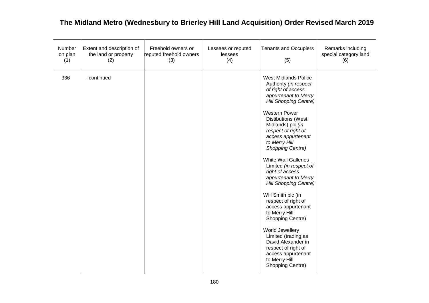| Number<br>on plan<br>(1) | Extent and description of<br>the land or property<br>(2) | Freehold owners or<br>reputed freehold owners<br>(3) | Lessees or reputed<br>lessees<br>(4) | <b>Tenants and Occupiers</b><br>(5)                                                                                                                                                                                                                                                                                                                                                                                                                                                                                                                                                                                                                                                        | Remarks including<br>special category land<br>(6) |
|--------------------------|----------------------------------------------------------|------------------------------------------------------|--------------------------------------|--------------------------------------------------------------------------------------------------------------------------------------------------------------------------------------------------------------------------------------------------------------------------------------------------------------------------------------------------------------------------------------------------------------------------------------------------------------------------------------------------------------------------------------------------------------------------------------------------------------------------------------------------------------------------------------------|---------------------------------------------------|
| 336                      | - continued                                              |                                                      |                                      | <b>West Midlands Police</b><br>Authority (in respect<br>of right of access<br>appurtenant to Merry<br><b>Hill Shopping Centre)</b><br><b>Western Power</b><br><b>Distibutions (West</b><br>Midlands) plc (in<br>respect of right of<br>access appurtenant<br>to Merry Hill<br>Shopping Centre)<br><b>White Wall Galleries</b><br>Limited (in respect of<br>right of access<br>appurtenant to Merry<br><b>Hill Shopping Centre)</b><br>WH Smith plc (in<br>respect of right of<br>access appurtenant<br>to Merry Hill<br>Shopping Centre)<br>World Jewellery<br>Limited (trading as<br>David Alexander in<br>respect of right of<br>access appurtenant<br>to Merry Hill<br>Shopping Centre) |                                                   |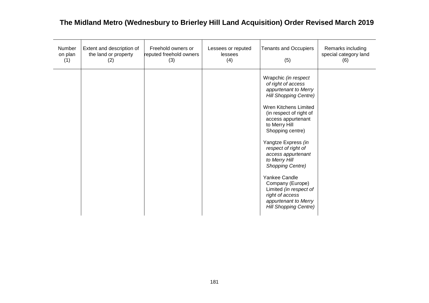| Number<br>on plan<br>(1) | Extent and description of<br>the land or property<br>(2) | Freehold owners or<br>reputed freehold owners<br>(3) | Lessees or reputed<br>lessees<br>(4) | <b>Tenants and Occupiers</b><br>(5)                                                                                                                                                                                                                                                                                                                                                                                                                                  | Remarks including<br>special category land<br>(6) |
|--------------------------|----------------------------------------------------------|------------------------------------------------------|--------------------------------------|----------------------------------------------------------------------------------------------------------------------------------------------------------------------------------------------------------------------------------------------------------------------------------------------------------------------------------------------------------------------------------------------------------------------------------------------------------------------|---------------------------------------------------|
|                          |                                                          |                                                      |                                      | Wrapchic (in respect<br>of right of access<br>appurtenant to Merry<br><b>Hill Shopping Centre)</b><br>Wren Kitchens Limited<br>(in respect of right of<br>access appurtenant<br>to Merry Hill<br>Shopping centre)<br>Yangtze Express (in<br>respect of right of<br>access appurtenant<br>to Merry Hill<br>Shopping Centre)<br>Yankee Candle<br>Company (Europe)<br>Limited (in respect of<br>right of access<br>appurtenant to Merry<br><b>Hill Shopping Centre)</b> |                                                   |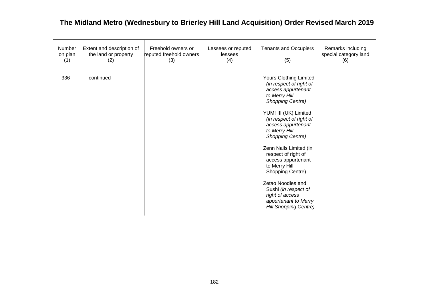| Number<br>on plan<br>(1) | Extent and description of<br>the land or property<br>(2) | Freehold owners or<br>reputed freehold owners<br>(3) | Lessees or reputed<br>lessees<br>(4) | <b>Tenants and Occupiers</b><br>(5)                                                                                                                                                                                                                                                                                                                                                                                                                                    | Remarks including<br>special category land<br>(6) |
|--------------------------|----------------------------------------------------------|------------------------------------------------------|--------------------------------------|------------------------------------------------------------------------------------------------------------------------------------------------------------------------------------------------------------------------------------------------------------------------------------------------------------------------------------------------------------------------------------------------------------------------------------------------------------------------|---------------------------------------------------|
| 336                      | - continued                                              |                                                      |                                      | <b>Yours Clothing Limited</b><br>(in respect of right of<br>access appurtenant<br>to Merry Hill<br>Shopping Centre)<br>YUM! III (UK) Limited<br>(in respect of right of<br>access appurtenant<br>to Merry Hill<br>Shopping Centre)<br>Zenn Nails Limited (in<br>respect of right of<br>access appurtenant<br>to Merry Hill<br>Shopping Centre)<br>Zetao Noodles and<br>Sushi (in respect of<br>right of access<br>appurtenant to Merry<br><b>Hill Shopping Centre)</b> |                                                   |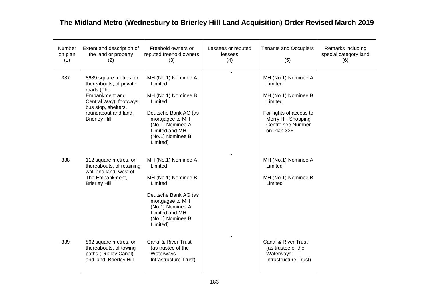| Number<br>on plan<br>(1) | Extent and description of<br>the land or property<br>(2)                                                                                                                            | Freehold owners or<br>reputed freehold owners<br>(3)                                                                                                                              | Lessees or reputed<br>lessees<br>(4) | <b>Tenants and Occupiers</b><br>(5)                                                                                                                    | Remarks including<br>special category land<br>(6) |
|--------------------------|-------------------------------------------------------------------------------------------------------------------------------------------------------------------------------------|-----------------------------------------------------------------------------------------------------------------------------------------------------------------------------------|--------------------------------------|--------------------------------------------------------------------------------------------------------------------------------------------------------|---------------------------------------------------|
| 337                      | 8689 square metres, or<br>thereabouts, of private<br>roads (The<br>Embankment and<br>Central Way), footways,<br>bus stop, shelters,<br>roundabout and land,<br><b>Brierley Hill</b> | MH (No.1) Nominee A<br>Limited<br>MH (No.1) Nominee B<br>Limited<br>Deutsche Bank AG (as<br>mortgagee to MH<br>(No.1) Nominee A<br>Limited and MH<br>(No.1) Nominee B<br>Limited) | ÷,                                   | MH (No.1) Nominee A<br>Limited<br>MH (No.1) Nominee B<br>Limited<br>For rights of access to<br>Merry Hill Shopping<br>Centre see Number<br>on Plan 336 |                                                   |
| 338                      | 112 square metres, or<br>thereabouts, of retaining<br>wall and land, west of<br>The Embankment,<br><b>Brierley Hill</b>                                                             | MH (No.1) Nominee A<br>Limited<br>MH (No.1) Nominee B<br>Limited<br>Deutsche Bank AG (as<br>mortgagee to MH<br>(No.1) Nominee A<br>Limited and MH<br>(No.1) Nominee B<br>Limited) |                                      | MH (No.1) Nominee A<br>Limited<br>MH (No.1) Nominee B<br>Limited                                                                                       |                                                   |
| 339                      | 862 square metres, or<br>thereabouts, of towing<br>paths (Dudley Canal)<br>and land, Brierley Hill                                                                                  | Canal & River Trust<br>(as trustee of the<br>Waterways<br>Infrastructure Trust)                                                                                                   |                                      | Canal & River Trust<br>(as trustee of the<br>Waterways<br>Infrastructure Trust)                                                                        |                                                   |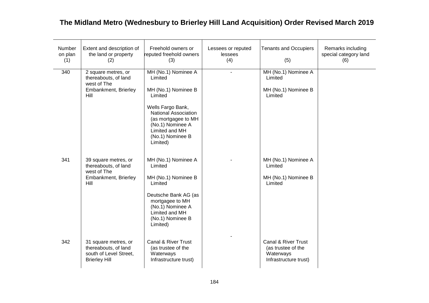| Number<br>on plan<br>(1) | Extent and description of<br>the land or property<br>(2)                                       | Freehold owners or<br>reputed freehold owners<br>(3)                                                                                                                                                              | Lessees or reputed<br>lessees<br>(4) | <b>Tenants and Occupiers</b><br>(5)                                             | Remarks including<br>special category land<br>(6) |
|--------------------------|------------------------------------------------------------------------------------------------|-------------------------------------------------------------------------------------------------------------------------------------------------------------------------------------------------------------------|--------------------------------------|---------------------------------------------------------------------------------|---------------------------------------------------|
| 340                      | 2 square metres, or<br>thereabouts, of land<br>west of The<br>Embankment, Brierley<br>Hill     | MH (No.1) Nominee A<br>Limited<br>MH (No.1) Nominee B<br>Limited<br>Wells Fargo Bank,<br><b>National Association</b><br>(as mortgagee to MH<br>(No.1) Nominee A<br>Limited and MH<br>(No.1) Nominee B<br>Limited) | $\blacksquare$                       | MH (No.1) Nominee A<br>Limited<br>MH (No.1) Nominee B<br>Limited                |                                                   |
| 341                      | 39 square metres, or<br>thereabouts, of land<br>west of The<br>Embankment, Brierley<br>Hill    | MH (No.1) Nominee A<br>Limited<br>MH (No.1) Nominee B<br>Limited<br>Deutsche Bank AG (as<br>mortgagee to MH<br>(No.1) Nominee A<br>Limited and MH<br>(No.1) Nominee B<br>Limited)                                 |                                      | MH (No.1) Nominee A<br>Limited<br>MH (No.1) Nominee B<br>Limited                |                                                   |
| 342                      | 31 square metres, or<br>thereabouts, of land<br>south of Level Street,<br><b>Brierley Hill</b> | Canal & River Trust<br>(as trustee of the<br>Waterways<br>Infrastructure trust)                                                                                                                                   |                                      | Canal & River Trust<br>(as trustee of the<br>Waterways<br>Infrastructure trust) |                                                   |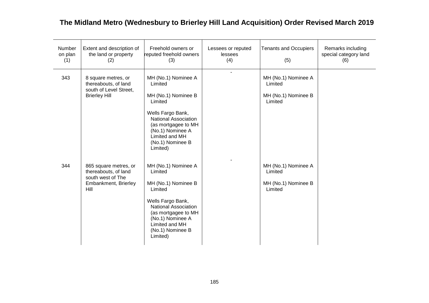| Number<br>on plan<br>(1) | Extent and description of<br>the land or property<br>(2)                                           | Freehold owners or<br>reputed freehold owners<br>(3)                                                                                                                                                       | Lessees or reputed<br>lessees<br>(4) | <b>Tenants and Occupiers</b><br>(5)                              | Remarks including<br>special category land<br>(6) |
|--------------------------|----------------------------------------------------------------------------------------------------|------------------------------------------------------------------------------------------------------------------------------------------------------------------------------------------------------------|--------------------------------------|------------------------------------------------------------------|---------------------------------------------------|
| 343                      | 8 square metres, or<br>thereabouts, of land<br>south of Level Street,<br><b>Brierley Hill</b>      | MH (No.1) Nominee A<br>Limited<br>MH (No.1) Nominee B<br>Limited<br>Wells Fargo Bank,<br>National Association<br>(as mortgagee to MH<br>(No.1) Nominee A<br>Limited and MH<br>(No.1) Nominee B<br>Limited) | $\blacksquare$                       | MH (No.1) Nominee A<br>Limited<br>MH (No.1) Nominee B<br>Limited |                                                   |
| 344                      | 865 square metres, or<br>thereabouts, of land<br>south west of The<br>Embankment, Brierley<br>Hill | MH (No.1) Nominee A<br>Limited<br>MH (No.1) Nominee B<br>Limited<br>Wells Fargo Bank,<br>National Association<br>(as mortgagee to MH<br>(No.1) Nominee A<br>Limited and MH<br>(No.1) Nominee B<br>Limited) |                                      | MH (No.1) Nominee A<br>Limited<br>MH (No.1) Nominee B<br>Limited |                                                   |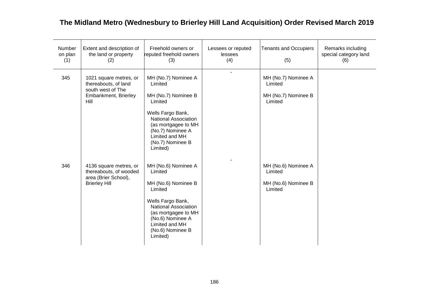| Number<br>on plan<br>(1) | Extent and description of<br>the land or property<br>(2)                                            | Freehold owners or<br>reputed freehold owners<br>(3)                                                                                                                                                       | Lessees or reputed<br>lessees<br>(4) | <b>Tenants and Occupiers</b><br>(5)                              | Remarks including<br>special category land<br>(6) |
|--------------------------|-----------------------------------------------------------------------------------------------------|------------------------------------------------------------------------------------------------------------------------------------------------------------------------------------------------------------|--------------------------------------|------------------------------------------------------------------|---------------------------------------------------|
| 345                      | 1021 square metres, or<br>thereabouts, of land<br>south west of The<br>Embankment, Brierley<br>Hill | MH (No.7) Nominee A<br>Limited<br>MH (No.7) Nominee B<br>Limited<br>Wells Fargo Bank,<br>National Association<br>(as mortgagee to MH<br>(No.7) Nominee A<br>Limited and MH<br>(No.7) Nominee B<br>Limited) |                                      | MH (No.7) Nominee A<br>Limited<br>MH (No.7) Nominee B<br>Limited |                                                   |
| 346                      | 4136 square metres, or<br>thereabouts, of wooded<br>area (Brier School),<br><b>Brierley Hill</b>    | MH (No.6) Nominee A<br>Limited<br>MH (No.6) Nominee B<br>Limited<br>Wells Fargo Bank,<br>National Association<br>(as mortgagee to MH<br>(No.6) Nominee A<br>Limited and MH<br>(No.6) Nominee B<br>Limited) |                                      | MH (No.6) Nominee A<br>Limited<br>MH (No.6) Nominee B<br>Limited |                                                   |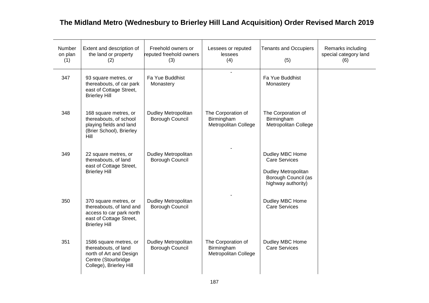| Number<br>on plan<br>(1) | Extent and description of<br>the land or property<br>(2)                                                                         | Freehold owners or<br>reputed freehold owners<br>(3) | Lessees or reputed<br>lessees<br>(4)                            | <b>Tenants and Occupiers</b><br>(5)                                                                         | Remarks including<br>special category land<br>(6) |
|--------------------------|----------------------------------------------------------------------------------------------------------------------------------|------------------------------------------------------|-----------------------------------------------------------------|-------------------------------------------------------------------------------------------------------------|---------------------------------------------------|
| 347                      | 93 square metres, or<br>thereabouts, of car park<br>east of Cottage Street,<br><b>Brierley Hill</b>                              | Fa Yue Buddhist<br>Monastery                         |                                                                 | Fa Yue Buddhist<br>Monastery                                                                                |                                                   |
| 348                      | 168 square metres, or<br>thereabouts, of school<br>playing fields and land<br>(Brier School), Brierley<br>Hill                   | <b>Dudley Metropolitan</b><br>Borough Council        | The Corporation of<br>Birmingham<br>Metropolitan College        | The Corporation of<br>Birmingham<br>Metropolitan College                                                    |                                                   |
| 349                      | 22 square metres, or<br>thereabouts, of land<br>east of Cottage Street,<br><b>Brierley Hill</b>                                  | Dudley Metropolitan<br>Borough Council               |                                                                 | Dudley MBC Home<br><b>Care Services</b><br>Dudley Metropolitan<br>Borough Council (as<br>highway authority) |                                                   |
| 350                      | 370 square metres, or<br>thereabouts, of land and<br>access to car park north<br>east of Cottage Street,<br><b>Brierley Hill</b> | <b>Dudley Metropolitan</b><br>Borough Council        |                                                                 | Dudley MBC Home<br>Care Services                                                                            |                                                   |
| 351                      | 1586 square metres, or<br>thereabouts, of land<br>north of Art and Design<br>Centre (Stourbridge<br>College), Brierley Hill      | Dudley Metropolitan<br>Borough Council               | The Corporation of<br>Birmingham<br><b>Metropolitan College</b> | Dudley MBC Home<br><b>Care Services</b>                                                                     |                                                   |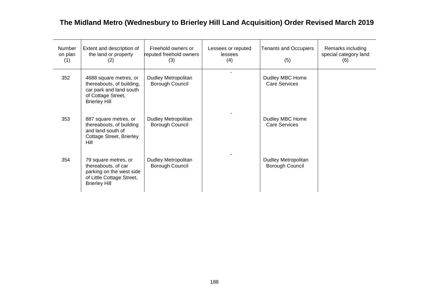| Number<br>on plan<br>(1) | Extent and description of<br>the land or property<br>(2)                                                                     | Freehold owners or<br>reputed freehold owners<br>(3) | Lessees or reputed<br>lessees<br>(4) | <b>Tenants and Occupiers</b><br>(5)           | Remarks including<br>special category land<br>(6) |
|--------------------------|------------------------------------------------------------------------------------------------------------------------------|------------------------------------------------------|--------------------------------------|-----------------------------------------------|---------------------------------------------------|
| 352                      | 4688 square metres, or<br>thereabouts, of building,<br>car park and land south<br>of Cottage Street,<br><b>Brierley Hill</b> | Dudley Metropolitan<br>Borough Council               |                                      | Dudley MBC Home<br><b>Care Services</b>       |                                                   |
| 353                      | 887 square metres, or<br>thereabouts, of building<br>and land south of<br>Cottage Street, Brierley<br>Hill                   | Dudley Metropolitan<br>Borough Council               |                                      | Dudley MBC Home<br><b>Care Services</b>       |                                                   |
| 354                      | 79 square metres, or<br>thereabouts, of car<br>parking on the west side<br>of Little Cottage Street,<br><b>Brierley Hill</b> | Dudley Metropolitan<br>Borough Council               |                                      | <b>Dudley Metropolitan</b><br>Borough Council |                                                   |